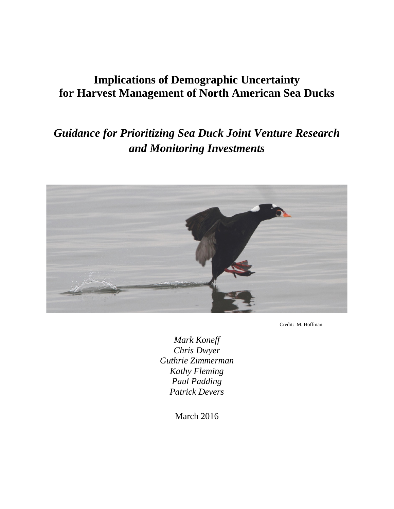## **Implications of Demographic Uncertainty for Harvest Management of North American Sea Ducks**

# *Guidance for Prioritizing Sea Duck Joint Venture Research and Monitoring Investments*



Credit: M. Hoffman

*Mark Koneff Chris Dwyer Guthrie Zimmerman Kathy Fleming Paul Padding Patrick Devers*

March 2016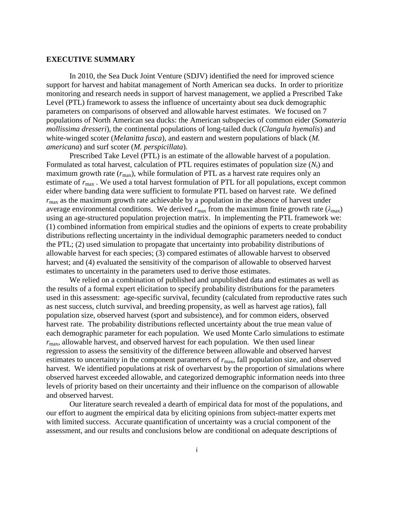#### **EXECUTIVE SUMMARY**

In 2010, the Sea Duck Joint Venture (SDJV) identified the need for improved science support for harvest and habitat management of North American sea ducks. In order to prioritize monitoring and research needs in support of harvest management, we applied a Prescribed Take Level (PTL) framework to assess the influence of uncertainty about sea duck demographic parameters on comparisons of observed and allowable harvest estimates. We focused on 7 populations of North American sea ducks: the American subspecies of common eider (*Somateria mollissima dresseri*), the continental populations of long-tailed duck (*Clangula hyemalis*) and white-winged scoter (*Melanitta fusca*), and eastern and western populations of black (*M. americana*) and surf scoter (*M. perspicillata*).

Prescribed Take Level (PTL) is an estimate of the allowable harvest of a population. Formulated as total harvest, calculation of PTL requires estimates of population size  $(N<sub>t</sub>)$  and maximum growth rate  $(r_{\text{max}})$ , while formulation of PTL as a harvest rate requires only an estimate of  $r_{\text{max}}$ . We used a total harvest formulation of PTL for all populations, except common eider where banding data were sufficient to formulate PTL based on harvest rate. We defined *r*max as the maximum growth rate achievable by a population in the absence of harvest under average environmental conditions. We derived  $r_{\text{max}}$  from the maximum finite growth rate ( $\lambda_{\text{max}}$ ) using an age-structured population projection matrix. In implementing the PTL framework we: (1) combined information from empirical studies and the opinions of experts to create probability distributions reflecting uncertainty in the individual demographic parameters needed to conduct the PTL; (2) used simulation to propagate that uncertainty into probability distributions of allowable harvest for each species; (3) compared estimates of allowable harvest to observed harvest; and (4) evaluated the sensitivity of the comparison of allowable to observed harvest estimates to uncertainty in the parameters used to derive those estimates.

We relied on a combination of published and unpublished data and estimates as well as the results of a formal expert elicitation to specify probability distributions for the parameters used in this assessment: age-specific survival, fecundity (calculated from reproductive rates such as nest success, clutch survival, and breeding propensity, as well as harvest age ratios), fall population size, observed harvest (sport and subsistence), and for common eiders, observed harvest rate. The probability distributions reflected uncertainty about the true mean value of each demographic parameter for each population. We used Monte Carlo simulations to estimate  $r_{\text{max}}$ , allowable harvest, and observed harvest for each population. We then used linear regression to assess the sensitivity of the difference between allowable and observed harvest estimates to uncertainty in the component parameters of  $r_{\text{max}}$ , fall population size, and observed harvest. We identified populations at risk of overharvest by the proportion of simulations where observed harvest exceeded allowable, and categorized demographic information needs into three levels of priority based on their uncertainty and their influence on the comparison of allowable and observed harvest.

Our literature search revealed a dearth of empirical data for most of the populations, and our effort to augment the empirical data by eliciting opinions from subject-matter experts met with limited success. Accurate quantification of uncertainty was a crucial component of the assessment, and our results and conclusions below are conditional on adequate descriptions of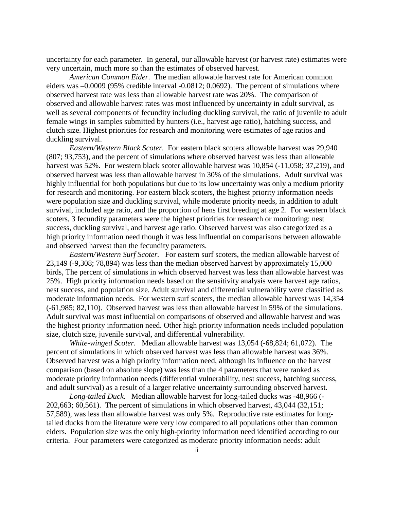uncertainty for each parameter. In general, our allowable harvest (or harvest rate) estimates were very uncertain, much more so than the estimates of observed harvest.

*American Common Eider.*The median allowable harvest rate for American common eiders was –0.0009 (95% credible interval -0.0812; 0.0692). The percent of simulations where observed harvest rate was less than allowable harvest rate was 20%. The comparison of observed and allowable harvest rates was most influenced by uncertainty in adult survival, as well as several components of fecundity including duckling survival, the ratio of juvenile to adult female wings in samples submitted by hunters (i.e., harvest age ratio), hatching success, and clutch size. Highest priorities for research and monitoring were estimates of age ratios and duckling survival.

*Eastern/Western Black Scoter.*For eastern black scoters allowable harvest was 29,940 (807; 93,753), and the percent of simulations where observed harvest was less than allowable harvest was 52%. For western black scoter allowable harvest was 10,854 (-11,058; 37,219), and observed harvest was less than allowable harvest in 30% of the simulations. Adult survival was highly influential for both populations but due to its low uncertainty was only a medium priority for research and monitoring. For eastern black scoters, the highest priority information needs were population size and duckling survival, while moderate priority needs, in addition to adult survival, included age ratio, and the proportion of hens first breeding at age 2. For western black scoters, 3 fecundity parameters were the highest priorities for research or monitoring: nest success, duckling survival, and harvest age ratio. Observed harvest was also categorized as a high priority information need though it was less influential on comparisons between allowable and observed harvest than the fecundity parameters.

*Eastern/Western Surf Scoter.* For eastern surf scoters, the median allowable harvest of 23,149 (-9,308; 78,894) was less than the median observed harvest by approximately 15,000 birds, The percent of simulations in which observed harvest was less than allowable harvest was 25%. High priority information needs based on the sensitivity analysis were harvest age ratios, nest success, and population size. Adult survival and differential vulnerability were classified as moderate information needs. For western surf scoters, the median allowable harvest was 14,354 (-61,985; 82,110). Observed harvest was less than allowable harvest in 59% of the simulations. Adult survival was most influential on comparisons of observed and allowable harvest and was the highest priority information need. Other high priority information needs included population size, clutch size, juvenile survival, and differential vulnerability.

*White-winged Scoter.*Median allowable harvest was 13,054 (-68,824; 61,072). The percent of simulations in which observed harvest was less than allowable harvest was 36%. Observed harvest was a high priority information need, although its influence on the harvest comparison (based on absolute slope) was less than the 4 parameters that were ranked as moderate priority information needs (differential vulnerability, nest success, hatching success, and adult survival) as a result of a larger relative uncertainty surrounding observed harvest.

*Long-tailed Duck.* Median allowable harvest for long-tailed ducks was -48,966 (- 202,663; 60,561). The percent of simulations in which observed harvest, 43,044 (32,151; 57,589), was less than allowable harvest was only 5%. Reproductive rate estimates for longtailed ducks from the literature were very low compared to all populations other than common eiders. Population size was the only high-priority information need identified according to our criteria. Four parameters were categorized as moderate priority information needs: adult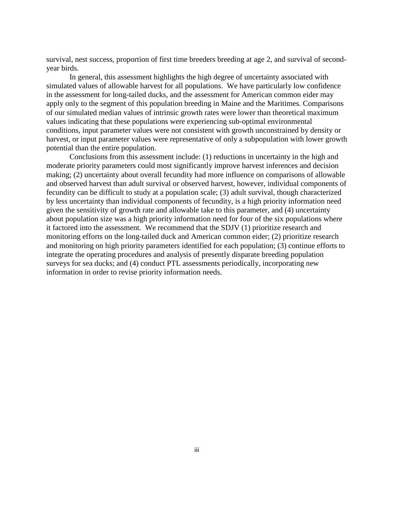survival, nest success, proportion of first time breeders breeding at age 2, and survival of secondyear birds.

In general, this assessment highlights the high degree of uncertainty associated with simulated values of allowable harvest for all populations. We have particularly low confidence in the assessment for long-tailed ducks, and the assessment for American common eider may apply only to the segment of this population breeding in Maine and the Maritimes. Comparisons of our simulated median values of intrinsic growth rates were lower than theoretical maximum values indicating that these populations were experiencing sub-optimal environmental conditions, input parameter values were not consistent with growth unconstrained by density or harvest, or input parameter values were representative of only a subpopulation with lower growth potential than the entire population.

Conclusions from this assessment include: (1) reductions in uncertainty in the high and moderate priority parameters could most significantly improve harvest inferences and decision making; (2) uncertainty about overall fecundity had more influence on comparisons of allowable and observed harvest than adult survival or observed harvest, however, individual components of fecundity can be difficult to study at a population scale; (3) adult survival, though characterized by less uncertainty than individual components of fecundity, is a high priority information need given the sensitivity of growth rate and allowable take to this parameter, and (4) uncertainty about population size was a high priority information need for four of the six populations where it factored into the assessment. We recommend that the SDJV (1) prioritize research and monitoring efforts on the long-tailed duck and American common eider; (2) prioritize research and monitoring on high priority parameters identified for each population; (3) continue efforts to integrate the operating procedures and analysis of presently disparate breeding population surveys for sea ducks; and (4) conduct PTL assessments periodically, incorporating new information in order to revise priority information needs.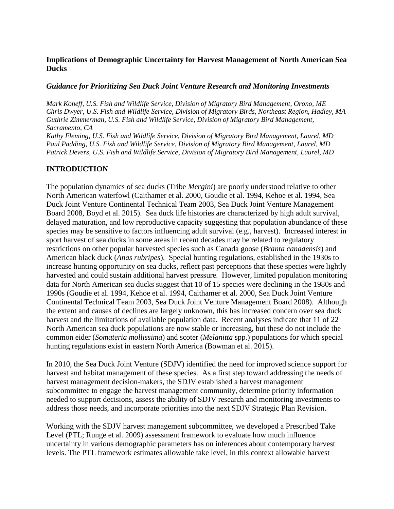## **Implications of Demographic Uncertainty for Harvest Management of North American Sea Ducks**

## *Guidance for Prioritizing Sea Duck Joint Venture Research and Monitoring Investments*

*Mark Koneff, U.S. Fish and Wildlife Service, Division of Migratory Bird Management, Orono, ME Chris Dwyer, U.S. Fish and Wildlife Service, Division of Migratory Birds, Northeast Region, Hadley, MA Guthrie Zimmerman, U.S. Fish and Wildlife Service, Division of Migratory Bird Management, Sacramento, CA*

*Kathy Fleming, U.S. Fish and Wildlife Service, Division of Migratory Bird Management, Laurel, MD Paul Padding, U.S. Fish and Wildlife Service, Division of Migratory Bird Management, Laurel, MD Patrick Devers, U.S. Fish and Wildlife Service, Division of Migratory Bird Management, Laurel, MD*

## **INTRODUCTION**

The population dynamics of sea ducks (Tribe *Mergini*) are poorly understood relative to other North American waterfowl (Caithamer et al. 2000, [Goudie et al. 1994, K](#page-27-0)ehoe et al. 1994, Sea Duck Joint Venture Continental Technical Team 2003, Sea Duck Joint Venture Management Board 2008, Boyd et al. 2015). Sea duck life histories are characterized by high adult survival, delayed maturation, and low reproductive capacity suggesting that population abundance of these species may be sensitive to factors influencing adult survival (e.g., harvest). Increased interest in sport harvest of sea ducks in some areas in recent decades may be related to regulatory restrictions on other popular harvested species such as Canada goose (*Branta canadensis*) and American black duck (*Anas rubripes*). Special hunting regulations, established in the 1930s to increase hunting opportunity on sea ducks, reflect past perceptions that these species were lightly harvested and could sustain additional harvest pressure. However, limited population monitoring data for North American sea ducks suggest that 10 of 15 species were declining in the 1980s and 1990s (Goudie et al. 1994, Kehoe et al. 1994, [Caithamer et al. 2000, S](#page-27-0)ea Duck Joint Venture Continental Technical Team 2003, Sea Duck Joint Venture Management Board 2008). Although the extent and causes of declines are largely unknown, this has increased concern over sea duck harvest and the limitations of available population data. Recent analyses indicate that 11 of 22 North American sea duck populations are now stable or increasing, but these do not include the common eider (*Somateria mollissima*) and scoter (*Melanitta* spp.) populations for which special hunting regulations exist in eastern North America (Bowman et al. 2015).

In 2010, the Sea Duck Joint Venture (SDJV) identified the need for improved science support for harvest and habitat management of these species. As a first step toward addressing the needs of harvest management decision-makers, the SDJV established a harvest management subcommittee to engage the harvest management community, determine priority information needed to support decisions, assess the ability of SDJV research and monitoring investments to address those needs, and incorporate priorities into the next SDJV Strategic Plan Revision.

Working with the SDJV harvest management subcommittee, we developed a Prescribed Take Level (PTL; Runge et al. 2009) assessment framework to evaluate how much influence uncertainty in various demographic parameters has on inferences about contemporary harvest levels. The PTL framework estimates allowable take level, in this context allowable harvest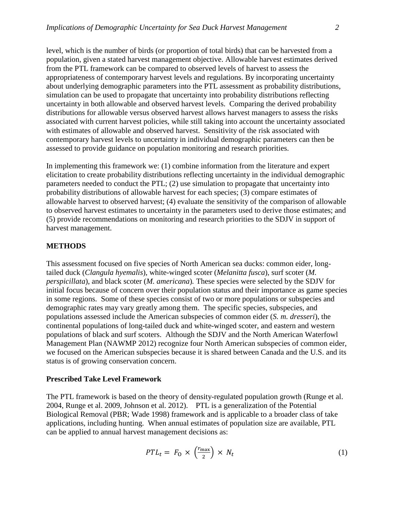level, which is the number of birds (or proportion of total birds) that can be harvested from a population, given a stated harvest management objective. Allowable harvest estimates derived from the PTL framework can be compared to observed levels of harvest to assess the appropriateness of contemporary harvest levels and regulations. By incorporating uncertainty about underlying demographic parameters into the PTL assessment as probability distributions, simulation can be used to propagate that uncertainty into probability distributions reflecting uncertainty in both allowable and observed harvest levels. Comparing the derived probability distributions for allowable versus observed harvest allows harvest managers to assess the risks associated with current harvest policies, while still taking into account the uncertainty associated with estimates of allowable and observed harvest. Sensitivity of the risk associated with contemporary harvest levels to uncertainty in individual demographic parameters can then be assessed to provide guidance on population monitoring and research priorities.

In implementing this framework we: (1) combine information from the literature and expert elicitation to create probability distributions reflecting uncertainty in the individual demographic parameters needed to conduct the PTL; (2) use simulation to propagate that uncertainty into probability distributions of allowable harvest for each species; (3) compare estimates of allowable harvest to observed harvest; (4) evaluate the sensitivity of the comparison of allowable to observed harvest estimates to uncertainty in the parameters used to derive those estimates; and (5) provide recommendations on monitoring and research priorities to the SDJV in support of harvest management.

#### **METHODS**

This assessment focused on five species of North American sea ducks: common eider, longtailed duck (*Clangula hyemalis*), white-winged scoter (*Melanitta fusca*), surf scoter (*M. perspicillata*), and black scoter (*M. americana*)*.* These species were selected by the SDJV for initial focus because of concern over their population status and their importance as game species in some regions. Some of these species consist of two or more populations or subspecies and demographic rates may vary greatly among them. The specific species, subspecies, and populations assessed include the American subspecies of common eider (*S. m. dresseri*), the continental populations of long-tailed duck and white-winged scoter, and eastern and western populations of black and surf scoters. Although the SDJV and the North American Waterfowl Management Plan (NAWMP 2012) recognize four North American subspecies of common eider, we focused on the American subspecies because it is shared between Canada and the U.S. and its status is of growing conservation concern.

## **Prescribed Take Level Framework**

The PTL framework is based on the theory of density-regulated population growth (Runge et al. 2004, Runge et al. 2009, Johnson et al. 2012). PTL is a generalization of the Potential Biological Removal (PBR; Wade 1998) framework and is applicable to a broader class of take applications, including hunting. When annual estimates of population size are available, PTL can be applied to annual harvest management decisions as:

$$
PTL_t = F_0 \times \left(\frac{r_{\text{max}}}{2}\right) \times N_t \tag{1}
$$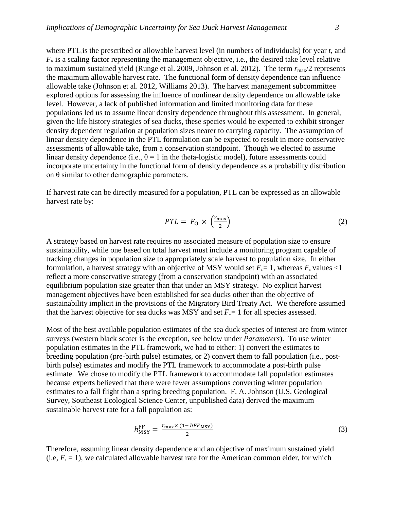where PTL is the prescribed or allowable harvest level (in numbers of individuals) for year *t*, and *F*<sup>o</sup> is a scaling factor representing the management objective, i.e., the desired take level relative to maximum sustained yield (Runge et al. 2009, Johnson et al. 2012). The term  $r_{\text{max}}/2$  represents the maximum allowable harvest rate. The functional form of density dependence can influence allowable take (Johnson et al. 2012, Williams 2013). The harvest management subcommittee explored options for assessing the influence of nonlinear density dependence on allowable take

level. However, a lack of published information and limited monitoring data for these populations led us to assume linear density dependence throughout this assessment. In general, given the life history strategies of sea ducks, these species would be expected to exhibit stronger density dependent regulation at population sizes nearer to carrying capacity. The assumption of linear density dependence in the PTL formulation can be expected to result in more conservative assessments of allowable take, from a conservation standpoint. Though we elected to assume linear density dependence (i.e.,  $\theta = 1$  in the theta-logistic model), future assessments could incorporate uncertainty in the functional form of density dependence as a probability distribution on  $\theta$  similar to other demographic parameters.

If harvest rate can be directly measured for a population, PTL can be expressed as an allowable harvest rate by:

$$
PTL = F_0 \times \left(\frac{r_{\text{max}}}{2}\right) \tag{2}
$$

A strategy based on harvest rate requires no associated measure of population size to ensure sustainability, while one based on total harvest must include a monitoring program capable of tracking changes in population size to appropriately scale harvest to population size. In either formulation, a harvest strategy with an objective of MSY would set  $F_0 = 1$ , whereas  $F_0$  values <1 reflect a more conservative strategy (from a conservation standpoint) with an associated equilibrium population size greater than that under an MSY strategy. No explicit harvest management objectives have been established for sea ducks other than the objective of sustainability implicit in the provisions of the Migratory Bird Treaty Act. We therefore assumed that the harvest objective for sea ducks was MSY and set  $F<sub>o</sub> = 1$  for all species assessed.

Most of the best available population estimates of the sea duck species of interest are from winter surveys (western black scoter is the exception, see below under *Parameters*). To use winter population estimates in the PTL framework, we had to either: 1) convert the estimates to breeding population (pre-birth pulse) estimates, or 2) convert them to fall population (i.e., postbirth pulse) estimates and modify the PTL framework to accommodate a post-birth pulse estimate. We chose to modify the PTL framework to accommodate fall population estimates because experts believed that there were fewer assumptions converting winter population estimates to a fall flight than a spring breeding population. F. A. Johnson (U.S. Geological Survey, Southeast Ecological Science Center, unpublished data) derived the maximum sustainable harvest rate for a fall population as:

$$
h_{\text{MSY}}^{\text{FF}} = \frac{r_{\text{max}} \times (1 - hFF_{\text{MSY}})}{2} \tag{3}
$$

Therefore, assuming linear density dependence and an objective of maximum sustained yield (i.e,  $F_{o} = 1$ ), we calculated allowable harvest rate for the American common eider, for which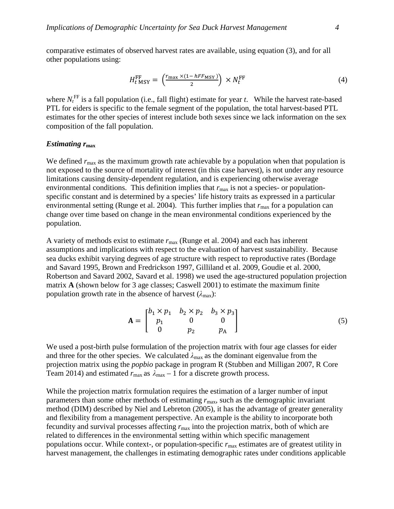comparative estimates of observed harvest rates are available, using equation (3), and for all other populations using:

$$
H_{t\text{ MSY}}^{\text{FF}} = \left(\frac{r_{\text{max}} \times (1 - hFF_{\text{MSY}})}{2}\right) \times N_t^{\text{FF}} \tag{4}
$$

where  $N_t^{\text{FF}}$  is a fall population (i.e., fall flight) estimate for year *t*. While the harvest rate-based PTL for eiders is specific to the female segment of the population, the total harvest-based PTL estimates for the other species of interest include both sexes since we lack information on the sex composition of the fall population.

#### *Estimating r***max**

We defined  $r_{\text{max}}$  as the maximum growth rate achievable by a population when that population is not exposed to the source of mortality of interest (in this case harvest), is not under any resource limitations causing density-dependent regulation, and is experiencing otherwise average environmental conditions. This definition implies that  $r_{\text{max}}$  is not a species- or populationspecific constant and is determined by a species' life history traits as expressed in a particular environmental setting (Runge et al. 2004). This further implies that  $r_{\text{max}}$  for a population can change over time based on change in the mean environmental conditions experienced by the population.

A variety of methods exist to estimate *r*max (Runge et al. 2004) and each has inherent assumptions and implications with respect to the evaluation of harvest sustainability. Because sea ducks exhibit varying degrees of age structure with respect to reproductive rates (Bordage and Savard 1995, Brown and Fredrickson 1997, Gilliland et al. 2009, Goudie et al. 2000, Robertson and Savard 2002, Savard et al. 1998) we used the age-structured population projection matrix **A** (shown below for 3 age classes; Caswell 2001) to estimate the maximum finite population growth rate in the absence of harvest  $(\lambda_{\text{max}})$ :

$$
\mathbf{A} = \begin{bmatrix} b_1 \times p_1 & b_2 \times p_2 & b_3 \times p_3 \\ p_1 & 0 & 0 \\ 0 & p_2 & p_A \end{bmatrix}
$$
 (5)

We used a post-birth pulse formulation of the projection matrix with four age classes for eider and three for the other species. We calculated  $\lambda_{\text{max}}$  as the dominant eigenvalue from the projection matrix using the *popbio* package in program R (Stubben and Milligan 2007, R Core Team 2014) and estimated  $r_{\text{max}}$  as  $\lambda_{\text{max}} - 1$  for a discrete growth process.

While the projection matrix formulation requires the estimation of a larger number of input parameters than some other methods of estimating  $r_{\text{max}}$ , such as the demographic invariant method (DIM) described by Niel and Lebreton (2005), it has the advantage of greater generality and flexibility from a management perspective. An example is the ability to incorporate both fecundity and survival processes affecting  $r_{\text{max}}$  into the projection matrix, both of which are related to differences in the environmental setting within which specific management populations occur. While context-, or population-specific  $r_{\text{max}}$  estimates are of greatest utility in harvest management, the challenges in estimating demographic rates under conditions applicable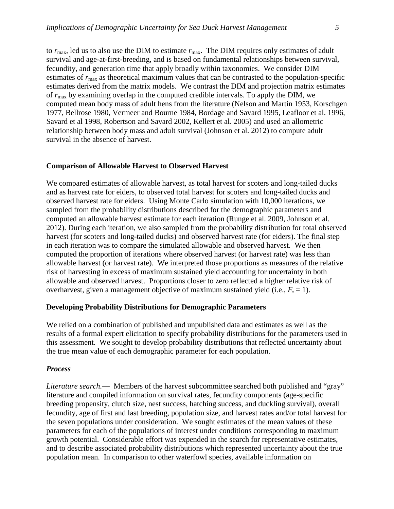to  $r_{\text{max}}$ , led us to also use the DIM to estimate  $r_{\text{max}}$ . The DIM requires only estimates of adult survival and age-at-first-breeding, and is based on fundamental relationships between survival, fecundity, and generation time that apply broadly within taxonomies. We consider DIM estimates of  $r_{\text{max}}$  as theoretical maximum values that can be contrasted to the population-specific estimates derived from the matrix models. We contrast the DIM and projection matrix estimates of  $r_{\text{max}}$  by examining overlap in the computed credible intervals. To apply the DIM, we computed mean body mass of adult hens from the literature (Nelson and Martin 1953, Korschgen 1977, Bellrose 1980, Vermeer and Bourne 1984, Bordage and Savard 1995, Leafloor et al. 1996, Savard et al 1998, Robertson and Savard 2002, Kellert et al. 2005) and used an allometric relationship between body mass and adult survival (Johnson et al. 2012) to compute adult survival in the absence of harvest.

#### **Comparison of Allowable Harvest to Observed Harvest**

We compared estimates of allowable harvest, as total harvest for scoters and long-tailed ducks and as harvest rate for eiders, to observed total harvest for scoters and long-tailed ducks and observed harvest rate for eiders. Using Monte Carlo simulation with 10,000 iterations, we sampled from the probability distributions described for the demographic parameters and computed an allowable harvest estimate for each iteration (Runge et al. 2009, Johnson et al. 2012). During each iteration, we also sampled from the probability distribution for total observed harvest (for scoters and long-tailed ducks) and observed harvest rate (for eiders). The final step in each iteration was to compare the simulated allowable and observed harvest. We then computed the proportion of iterations where observed harvest (or harvest rate) was less than allowable harvest (or harvest rate). We interpreted those proportions as measures of the relative risk of harvesting in excess of maximum sustained yield accounting for uncertainty in both allowable and observed harvest. Proportions closer to zero reflected a higher relative risk of overharvest, given a management objective of maximum sustained yield (i.e.,  $F_0 = 1$ ).

#### **Developing Probability Distributions for Demographic Parameters**

We relied on a combination of published and unpublished data and estimates as well as the results of a formal expert elicitation to specify probability distributions for the parameters used in this assessment. We sought to develop probability distributions that reflected uncertainty about the true mean value of each demographic parameter for each population.

#### *Process*

*Literature search.*— Members of the harvest subcommittee searched both published and "gray" literature and compiled information on survival rates, fecundity components (age-specific breeding propensity, clutch size, nest success, hatching success, and duckling survival), overall fecundity, age of first and last breeding, population size, and harvest rates and/or total harvest for the seven populations under consideration. We sought estimates of the mean values of these parameters for each of the populations of interest under conditions corresponding to maximum growth potential. Considerable effort was expended in the search for representative estimates, and to describe associated probability distributions which represented uncertainty about the true population mean. In comparison to other waterfowl species, available information on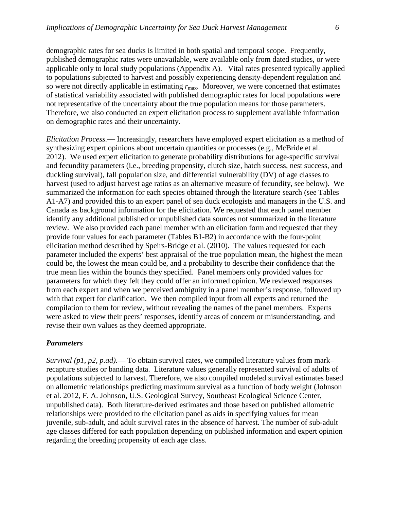demographic rates for sea ducks is limited in both spatial and temporal scope. Frequently, published demographic rates were unavailable, were available only from dated studies, or were applicable only to local study populations (Appendix A). Vital rates presented typically applied to populations subjected to harvest and possibly experiencing density-dependent regulation and so were not directly applicable in estimating  $r_{\text{max}}$ . Moreover, we were concerned that estimates of statistical variability associated with published demographic rates for local populations were not representative of the uncertainty about the true population means for those parameters. Therefore, we also conducted an expert elicitation process to supplement available information on demographic rates and their uncertainty.

*Elicitation Process.—* Increasingly, researchers have employed expert elicitation as a method of synthesizing expert opinions about uncertain quantities or processes (e.g., McBride et al. 2012). We used expert elicitation to generate probability distributions for age-specific survival and fecundity parameters (i.e., breeding propensity, clutch size, hatch success, nest success, and duckling survival), fall population size, and differential vulnerability (DV) of age classes to harvest (used to adjust harvest age ratios as an alternative measure of fecundity, see below). We summarized the information for each species obtained through the literature search (see Tables A1-A7) and provided this to an expert panel of sea duck ecologists and managers in the U.S. and Canada as background information for the elicitation. We requested that each panel member identify any additional published or unpublished data sources not summarized in the literature review. We also provided each panel member with an elicitation form and requested that they provide four values for each parameter (Tables B1-B2) in accordance with the four-point elicitation method described by Speirs-Bridge et al. (2010). The values requested for each parameter included the experts' best appraisal of the true population mean, the highest the mean could be, the lowest the mean could be, and a probability to describe their confidence that the true mean lies within the bounds they specified. Panel members only provided values for parameters for which they felt they could offer an informed opinion. We reviewed responses from each expert and when we perceived ambiguity in a panel member's response, followed up with that expert for clarification. We then compiled input from all experts and returned the compilation to them for review, without revealing the names of the panel members. Experts were asked to view their peers' responses, identify areas of concern or misunderstanding, and revise their own values as they deemed appropriate.

#### *Parameters*

*Survival (p1, p2, p.ad)*.— To obtain survival rates, we compiled literature values from mark– recapture studies or banding data. Literature values generally represented survival of adults of populations subjected to harvest. Therefore, we also compiled modeled survival estimates based on allometric relationships predicting maximum survival as a function of body weight (Johnson et al. 2012, F. A. Johnson, U.S. Geological Survey, Southeast Ecological Science Center, unpublished data). Both literature-derived estimates and those based on published allometric relationships were provided to the elicitation panel as aids in specifying values for mean juvenile, sub-adult, and adult survival rates in the absence of harvest. The number of sub-adult age classes differed for each population depending on published information and expert opinion regarding the breeding propensity of each age class.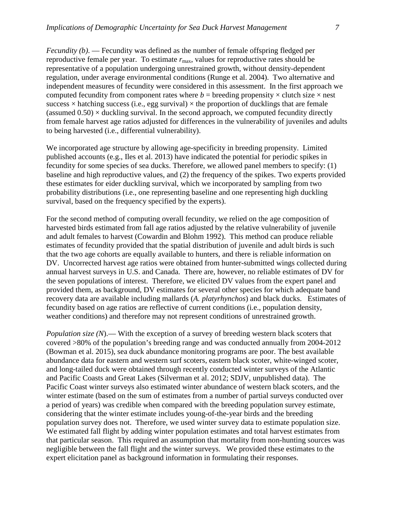*Fecundity (b).* — Fecundity was defined as the number of female offspring fledged per reproductive female per year. To estimate *r*max, values for reproductive rates should be representative of a population undergoing unrestrained growth, without density-dependent regulation, under average environmental conditions (Runge et al. 2004). Two alternative and independent measures of fecundity were considered in this assessment. In the first approach we computed fecundity from component rates where  $b =$  breeding propensity  $\times$  clutch size  $\times$  nest success  $\times$  hatching success (i.e., egg survival)  $\times$  the proportion of ducklings that are female (assumed  $0.50$ )  $\times$  duckling survival. In the second approach, we computed fecundity directly from female harvest age ratios adjusted for differences in the vulnerability of juveniles and adults to being harvested (i.e., differential vulnerability).

We incorporated age structure by allowing age-specificity in breeding propensity. Limited published accounts (e.g., Iles et al. 2013) have indicated the potential for periodic spikes in fecundity for some species of sea ducks. Therefore, we allowed panel members to specify: (1) baseline and high reproductive values, and (2) the frequency of the spikes. Two experts provided these estimates for eider duckling survival, which we incorporated by sampling from two probability distributions (i.e., one representing baseline and one representing high duckling survival, based on the frequency specified by the experts).

For the second method of computing overall fecundity, we relied on the age composition of harvested birds estimated from fall age ratios adjusted by the relative vulnerability of juvenile and adult females to harvest (Cowardin and Blohm 1992). This method can produce reliable estimates of fecundity provided that the spatial distribution of juvenile and adult birds is such that the two age cohorts are equally available to hunters, and there is reliable information on DV. Uncorrected harvest age ratios were obtained from hunter-submitted wings collected during annual harvest surveys in U.S. and Canada. There are, however, no reliable estimates of DV for the seven populations of interest. Therefore, we elicited DV values from the expert panel and provided them, as background, DV estimates for several other species for which adequate band recovery data are available including mallards (*A. platyrhynchos*) and black ducks. Estimates of fecundity based on age ratios are reflective of current conditions (i.e., population density, weather conditions) and therefore may not represent conditions of unrestrained growth.

*Population size (N)*.— With the exception of a survey of breeding western black scoters that covered >80% of the population's breeding range and was conducted annually from 2004-2012 (Bowman et al. 2015), sea duck abundance monitoring programs are poor. The best available abundance data for eastern and western surf scoters, eastern black scoter, white-winged scoter, and long-tailed duck were obtained through recently conducted winter surveys of the Atlantic and Pacific Coasts and Great Lakes (Silverman et al. 2012; SDJV, unpublished data). The Pacific Coast winter surveys also estimated winter abundance of western black scoters, and the winter estimate (based on the sum of estimates from a number of partial surveys conducted over a period of years) was credible when compared with the breeding population survey estimate, considering that the winter estimate includes young-of-the-year birds and the breeding population survey does not. Therefore, we used winter survey data to estimate population size. We estimated fall flight by adding winter population estimates and total harvest estimates from that particular season. This required an assumption that mortality from non-hunting sources was negligible between the fall flight and the winter surveys. We provided these estimates to the expert elicitation panel as background information in formulating their responses.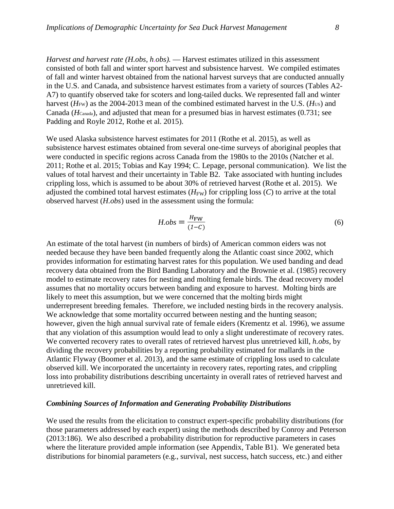*Harvest and harvest rate (H.obs, h.obs).* — Harvest estimates utilized in this assessment consisted of both fall and winter sport harvest and subsistence harvest. We compiled estimates of fall and winter harvest obtained from the national harvest surveys that are conducted annually in the U.S. and Canada, and subsistence harvest estimates from a variety of sources (Tables A2- A7) to quantify observed take for scoters and long-tailed ducks. We represented fall and winter harvest (*H*<sub>FW</sub>) as the 2004-2013 mean of the combined estimated harvest in the U.S. (*H*<sub>US</sub>) and Canada (*H*Canada), and adjusted that mean for a presumed bias in harvest estimates (0.731; see Padding and Royle 2012, Rothe et al. 2015).

We used Alaska subsistence harvest estimates for 2011 (Rothe et al. 2015), as well as subsistence harvest estimates obtained from several one-time surveys of aboriginal peoples that were conducted in specific regions across Canada from the 1980s to the 2010s (Natcher et al. 2011; Rothe et al. 2015; Tobias and Kay 1994; C. Lepage, personal communication). We list the values of total harvest and their uncertainty in Table B2. Take associated with hunting includes crippling loss, which is assumed to be about 30% of retrieved harvest (Rothe et al. 2015). We adjusted the combined total harvest estimates  $(H_{FW})$  for crippling loss  $(C)$  to arrive at the total observed harvest (*H.obs*) used in the assessment using the formula:

$$
H.obs = \frac{H_{\text{FW}}}{(1 - C)}\tag{6}
$$

An estimate of the total harvest (in numbers of birds) of American common eiders was not needed because they have been banded frequently along the Atlantic coast since 2002, which provides information for estimating harvest rates for this population. We used banding and dead recovery data obtained from the Bird Banding Laboratory and the Brownie et al. (1985) recovery model to estimate recovery rates for nesting and molting female birds. The dead recovery model assumes that no mortality occurs between banding and exposure to harvest. Molting birds are likely to meet this assumption, but we were concerned that the molting birds might underrepresent breeding females. Therefore, we included nesting birds in the recovery analysis. We acknowledge that some mortality occurred between nesting and the hunting season; however, given the high annual survival rate of female eiders (Krementz et al. 1996), we assume that any violation of this assumption would lead to only a slight underestimate of recovery rates. We converted recovery rates to overall rates of retrieved harvest plus unretrieved kill, *h.obs,* by dividing the recovery probabilities by a reporting probability estimated for mallards in the Atlantic Flyway (Boomer et al. 2013), and the same estimate of crippling loss used to calculate observed kill. We incorporated the uncertainty in recovery rates, reporting rates, and crippling loss into probability distributions describing uncertainty in overall rates of retrieved harvest and unretrieved kill.

## *Combining Sources of Information and Generating Probability Distributions*

We used the results from the elicitation to construct expert-specific probability distributions (for those parameters addressed by each expert) using the methods described by Conroy and Peterson (2013:186). We also described a probability distribution for reproductive parameters in cases where the literature provided ample information (see Appendix, Table B1). We generated beta distributions for binomial parameters (e.g., survival, nest success, hatch success, etc.) and either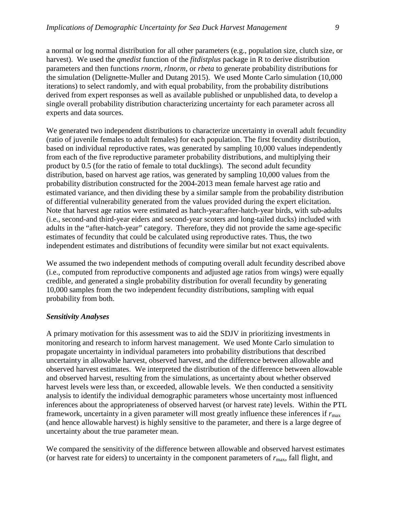a normal or log normal distribution for all other parameters (e.g., population size, clutch size, or harvest). We used the *qmedist* function of the *fitdistplus* package in R to derive distribution parameters and then functions *rnorm*, *rlnorm*, or *rbeta* to generate probability distributions for the simulation (Delignette-Muller and Dutang 2015). We used Monte Carlo simulation (10,000 iterations) to select randomly, and with equal probability, from the probability distributions derived from expert responses as well as available published or unpublished data, to develop a single overall probability distribution characterizing uncertainty for each parameter across all experts and data sources.

We generated two independent distributions to characterize uncertainty in overall adult fecundity (ratio of juvenile females to adult females) for each population. The first fecundity distribution, based on individual reproductive rates, was generated by sampling 10,000 values independently from each of the five reproductive parameter probability distributions, and multiplying their product by 0.5 (for the ratio of female to total ducklings). The second adult fecundity distribution, based on harvest age ratios, was generated by sampling 10,000 values from the probability distribution constructed for the 2004-2013 mean female harvest age ratio and estimated variance, and then dividing these by a similar sample from the probability distribution of differential vulnerability generated from the values provided during the expert elicitation. Note that harvest age ratios were estimated as hatch-year:after-hatch-year birds, with sub-adults (i.e., second-and third-year eiders and second-year scoters and long-tailed ducks) included with adults in the "after-hatch-year" category. Therefore, they did not provide the same age-specific estimates of fecundity that could be calculated using reproductive rates. Thus, the two independent estimates and distributions of fecundity were similar but not exact equivalents.

We assumed the two independent methods of computing overall adult fecundity described above (i.e., computed from reproductive components and adjusted age ratios from wings) were equally credible, and generated a single probability distribution for overall fecundity by generating 10,000 samples from the two independent fecundity distributions, sampling with equal probability from both.

#### *Sensitivity Analyses*

A primary motivation for this assessment was to aid the SDJV in prioritizing investments in monitoring and research to inform harvest management. We used Monte Carlo simulation to propagate uncertainty in individual parameters into probability distributions that described uncertainty in allowable harvest, observed harvest, and the difference between allowable and observed harvest estimates. We interpreted the distribution of the difference between allowable and observed harvest, resulting from the simulations, as uncertainty about whether observed harvest levels were less than, or exceeded, allowable levels. We then conducted a sensitivity analysis to identify the individual demographic parameters whose uncertainty most influenced inferences about the appropriateness of observed harvest (or harvest rate) levels. Within the PTL framework, uncertainty in a given parameter will most greatly influence these inferences if  $r_{\text{max}}$ (and hence allowable harvest) is highly sensitive to the parameter, and there is a large degree of uncertainty about the true parameter mean.

We compared the sensitivity of the difference between allowable and observed harvest estimates (or harvest rate for eiders) to uncertainty in the component parameters of  $r_{\text{max}}$ , fall flight, and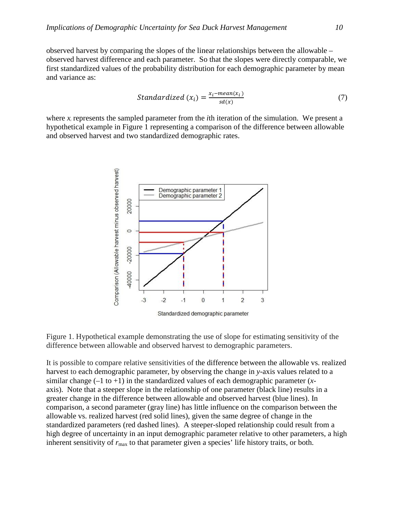observed harvest by comparing the slopes of the linear relationships between the allowable – observed harvest difference and each parameter. So that the slopes were directly comparable, we first standardized values of the probability distribution for each demographic parameter by mean and variance as:

Standardized 
$$
(x_i) = \frac{x_i - mean(x_i)}{sd(x)}
$$
 (7)

where  $x_i$  represents the sampled parameter from the *i*th iteration of the simulation. We present a hypothetical example in Figure 1 representing a comparison of the difference between allowable and observed harvest and two standardized demographic rates.



Figure 1. Hypothetical example demonstrating the use of slope for estimating sensitivity of the difference between allowable and observed harvest to demographic parameters.

It is possible to compare relative sensitivities of the difference between the allowable vs. realized harvest to each demographic parameter, by observing the change in *y*-axis values related to a similar change  $(-1 \text{ to } +1)$  in the standardized values of each demographic parameter  $(x$ axis). Note that a steeper slope in the relationship of one parameter (black line) results in a greater change in the difference between allowable and observed harvest (blue lines). In comparison, a second parameter (gray line) has little influence on the comparison between the allowable vs. realized harvest (red solid lines), given the same degree of change in the standardized parameters (red dashed lines). A steeper-sloped relationship could result from a high degree of uncertainty in an input demographic parameter relative to other parameters, a high inherent sensitivity of  $r_{\text{max}}$  to that parameter given a species' life history traits, or both.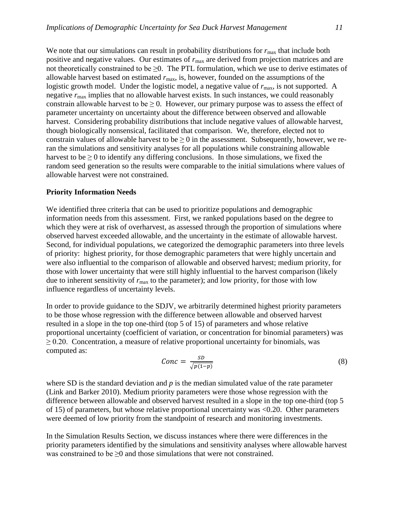We note that our simulations can result in probability distributions for  $r_{\text{max}}$  that include both positive and negative values. Our estimates of  $r_{\text{max}}$  are derived from projection matrices and are not theoretically constrained to be  $\geq 0$ . The PTL formulation, which we use to derive estimates of allowable harvest based on estimated *r*max, is, however, founded on the assumptions of the logistic growth model. Under the logistic model, a negative value of  $r_{\text{max}}$ , is not supported. A negative *r*max implies that no allowable harvest exists. In such instances, we could reasonably constrain allowable harvest to be  $\geq 0$ . However, our primary purpose was to assess the effect of parameter uncertainty on uncertainty about the difference between observed and allowable harvest. Considering probability distributions that include negative values of allowable harvest, though biologically nonsensical, facilitated that comparison. We, therefore, elected not to constrain values of allowable harvest to be  $> 0$  in the assessment. Subsequently, however, we reran the simulations and sensitivity analyses for all populations while constraining allowable harvest to be  $\geq 0$  to identify any differing conclusions. In those simulations, we fixed the random seed generation so the results were comparable to the initial simulations where values of allowable harvest were not constrained.

#### **Priority Information Needs**

We identified three criteria that can be used to prioritize populations and demographic information needs from this assessment. First, we ranked populations based on the degree to which they were at risk of overharvest, as assessed through the proportion of simulations where observed harvest exceeded allowable, and the uncertainty in the estimate of allowable harvest. Second, for individual populations, we categorized the demographic parameters into three levels of priority: highest priority, for those demographic parameters that were highly uncertain and were also influential to the comparison of allowable and observed harvest; medium priority, for those with lower uncertainty that were still highly influential to the harvest comparison (likely due to inherent sensitivity of  $r_{\text{max}}$  to the parameter); and low priority, for those with low influence regardless of uncertainty levels.

In order to provide guidance to the SDJV, we arbitrarily determined highest priority parameters to be those whose regression with the difference between allowable and observed harvest resulted in a slope in the top one-third (top 5 of 15) of parameters and whose relative proportional uncertainty (coefficient of variation, or concentration for binomial parameters) was  $\geq$  0.20. Concentration, a measure of relative proportional uncertainty for binomials, was computed as:

$$
Conc = \frac{SD}{\sqrt{p(1-p)}}\tag{8}
$$

where SD is the standard deviation and *p* is the median simulated value of the rate parameter (Link and Barker 2010). Medium priority parameters were those whose regression with the difference between allowable and observed harvest resulted in a slope in the top one-third (top 5 of 15) of parameters, but whose relative proportional uncertainty was <0.20. Other parameters were deemed of low priority from the standpoint of research and monitoring investments.

In the Simulation Results Section, we discuss instances where there were differences in the priority parameters identified by the simulations and sensitivity analyses where allowable harvest was constrained to be  $\geq 0$  and those simulations that were not constrained.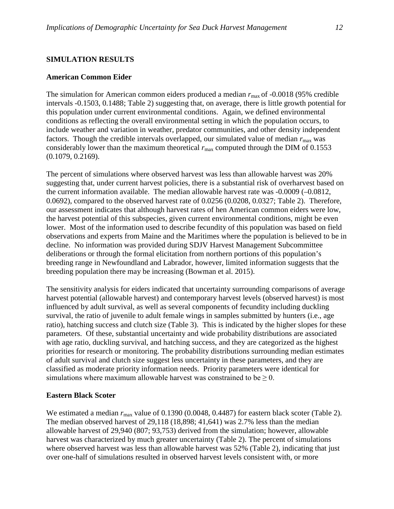## **SIMULATION RESULTS**

#### **American Common Eider**

The simulation for American common eiders produced a median  $r_{\text{max}}$  of -0.0018 (95% credible intervals -0.1503, 0.1488; Table 2) suggesting that, on average, there is little growth potential for this population under current environmental conditions. Again, we defined environmental conditions as reflecting the overall environmental setting in which the population occurs, to include weather and variation in weather, predator communities, and other density independent factors. Though the credible intervals overlapped, our simulated value of median  $r_{\text{max}}$  was considerably lower than the maximum theoretical  $r_{\text{max}}$  computed through the DIM of 0.1553 (0.1079, 0.2169).

The percent of simulations where observed harvest was less than allowable harvest was 20% suggesting that, under current harvest policies, there is a substantial risk of overharvest based on the current information available. The median allowable harvest rate was -0.0009 (–0.0812, 0.0692), compared to the observed harvest rate of 0.0256 (0.0208, 0.0327; Table 2). Therefore, our assessment indicates that although harvest rates of hen American common eiders were low, the harvest potential of this subspecies, given current environmental conditions, might be even lower. Most of the information used to describe fecundity of this population was based on field observations and experts from Maine and the Maritimes where the population is believed to be in decline. No information was provided during SDJV Harvest Management Subcommittee deliberations or through the formal elicitation from northern portions of this population's breeding range in Newfoundland and Labrador, however, limited information suggests that the breeding population there may be increasing (Bowman et al. 2015).

The sensitivity analysis for eiders indicated that uncertainty surrounding comparisons of average harvest potential (allowable harvest) and contemporary harvest levels (observed harvest) is most influenced by adult survival, as well as several components of fecundity including duckling survival, the ratio of juvenile to adult female wings in samples submitted by hunters (i.e., age ratio), hatching success and clutch size (Table 3). This is indicated by the higher slopes for these parameters. Of these, substantial uncertainty and wide probability distributions are associated with age ratio, duckling survival, and hatching success, and they are categorized as the highest priorities for research or monitoring. The probability distributions surrounding median estimates of adult survival and clutch size suggest less uncertainty in these parameters, and they are classified as moderate priority information needs. Priority parameters were identical for simulations where maximum allowable harvest was constrained to be  $\geq 0$ .

#### **Eastern Black Scoter**

We estimated a median  $r_{\text{max}}$  value of 0.1390 (0.0048, 0.4487) for eastern black scoter (Table 2). The median observed harvest of 29,118 (18,898; 41,641) was 2.7% less than the median allowable harvest of 29,940 (807; 93,753) derived from the simulation; however, allowable harvest was characterized by much greater uncertainty (Table 2). The percent of simulations where observed harvest was less than allowable harvest was 52% (Table 2), indicating that just over one-half of simulations resulted in observed harvest levels consistent with, or more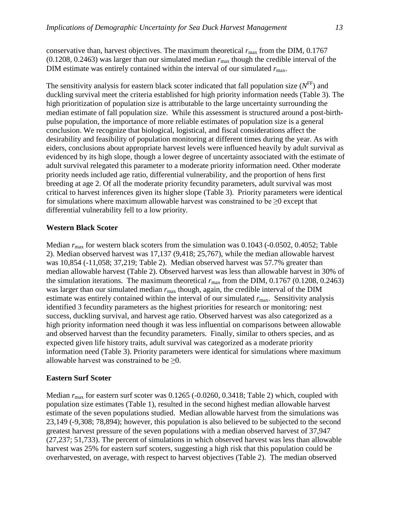conservative than, harvest objectives. The maximum theoretical  $r_{\text{max}}$  from the DIM, 0.1767  $(0.1208, 0.2463)$  was larger than our simulated median  $r_{\text{max}}$  though the credible interval of the DIM estimate was entirely contained within the interval of our simulated  $r_{\text{max}}$ .

The sensitivity analysis for eastern black scoter indicated that fall population size  $(N<sup>FF</sup>)$  and duckling survival meet the criteria established for high priority information needs (Table 3). The high prioritization of population size is attributable to the large uncertainty surrounding the median estimate of fall population size. While this assessment is structured around a post-birthpulse population, the importance of more reliable estimates of population size is a general conclusion. We recognize that biological, logistical, and fiscal considerations affect the desirability and feasibility of population monitoring at different times during the year. As with eiders, conclusions about appropriate harvest levels were influenced heavily by adult survival as evidenced by its high slope, though a lower degree of uncertainty associated with the estimate of adult survival relegated this parameter to a moderate priority information need. Other moderate priority needs included age ratio, differential vulnerability, and the proportion of hens first breeding at age 2. Of all the moderate priority fecundity parameters, adult survival was most critical to harvest inferences given its higher slope (Table 3). Priority parameters were identical for simulations where maximum allowable harvest was constrained to be  $\geq 0$  except that differential vulnerability fell to a low priority.

#### **Western Black Scoter**

Median  $r_{\text{max}}$  for western black scoters from the simulation was 0.1043 (-0.0502, 0.4052; Table 2). Median observed harvest was 17,137 (9,418; 25,767), while the median allowable harvest was 10,854 (-11,058; 37,219; Table 2). Median observed harvest was 57.7% greater than median allowable harvest (Table 2). Observed harvest was less than allowable harvest in 30% of the simulation iterations. The maximum theoretical  $r_{\text{max}}$  from the DIM, 0.1767 (0.1208, 0.2463) was larger than our simulated median  $r_{\text{max}}$  though, again, the credible interval of the DIM estimate was entirely contained within the interval of our simulated  $r_{\text{max}}$ . Sensitivity analysis identified 3 fecundity parameters as the highest priorities for research or monitoring: nest success, duckling survival, and harvest age ratio. Observed harvest was also categorized as a high priority information need though it was less influential on comparisons between allowable and observed harvest than the fecundity parameters. Finally, similar to others species, and as expected given life history traits, adult survival was categorized as a moderate priority information need (Table 3). Priority parameters were identical for simulations where maximum allowable harvest was constrained to be  $\geq 0$ .

## **Eastern Surf Scoter**

Median  $r_{\text{max}}$  for eastern surf scoter was 0.1265 (-0.0260, 0.3418; Table 2) which, coupled with population size estimates (Table 1), resulted in the second highest median allowable harvest estimate of the seven populations studied. Median allowable harvest from the simulations was 23,149 (-9,308; 78,894); however, this population is also believed to be subjected to the second greatest harvest pressure of the seven populations with a median observed harvest of 37,947 (27,237; 51,733). The percent of simulations in which observed harvest was less than allowable harvest was 25% for eastern surf scoters, suggesting a high risk that this population could be overharvested, on average, with respect to harvest objectives (Table 2). The median observed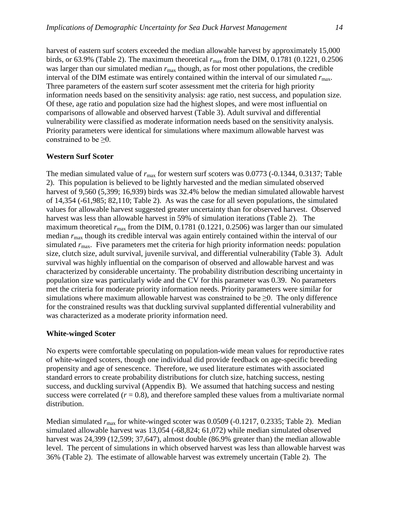harvest of eastern surf scoters exceeded the median allowable harvest by approximately 15,000 birds, or 63.9% (Table 2). The maximum theoretical *r*max from the DIM, 0.1781 (0.1221, 0.2506 was larger than our simulated median  $r_{\text{max}}$  though, as for most other populations, the credible interval of the DIM estimate was entirely contained within the interval of our simulated *r*max. Three parameters of the eastern surf scoter assessment met the criteria for high priority information needs based on the sensitivity analysis: age ratio, nest success, and population size. Of these, age ratio and population size had the highest slopes, and were most influential on comparisons of allowable and observed harvest (Table 3). Adult survival and differential vulnerability were classified as moderate information needs based on the sensitivity analysis. Priority parameters were identical for simulations where maximum allowable harvest was constrained to be ≥0.

#### **Western Surf Scoter**

The median simulated value of  $r_{\text{max}}$  for western surf scoters was 0.0773 (-0.1344, 0.3137; Table 2). This population is believed to be lightly harvested and the median simulated observed harvest of 9,560 (5,399; 16,939) birds was 32.4% below the median simulated allowable harvest of 14,354 (-61,985; 82,110; Table 2). As was the case for all seven populations, the simulated values for allowable harvest suggested greater uncertainty than for observed harvest. Observed harvest was less than allowable harvest in 59% of simulation iterations (Table 2). The maximum theoretical  $r_{\text{max}}$  from the DIM, 0.1781 (0.1221, 0.2506) was larger than our simulated median  $r_{\text{max}}$  though its credible interval was again entirely contained within the interval of our simulated  $r_{\text{max}}$ . Five parameters met the criteria for high priority information needs: population size, clutch size, adult survival, juvenile survival, and differential vulnerability (Table 3). Adult survival was highly influential on the comparison of observed and allowable harvest and was characterized by considerable uncertainty. The probability distribution describing uncertainty in population size was particularly wide and the CV for this parameter was 0.39. No parameters met the criteria for moderate priority information needs. Priority parameters were similar for simulations where maximum allowable harvest was constrained to be  $\geq 0$ . The only difference for the constrained results was that duckling survival supplanted differential vulnerability and was characterized as a moderate priority information need.

#### **White-winged Scoter**

No experts were comfortable speculating on population-wide mean values for reproductive rates of white-winged scoters, though one individual did provide feedback on age-specific breeding propensity and age of senescence. Therefore, we used literature estimates with associated standard errors to create probability distributions for clutch size, hatching success, nesting success, and duckling survival (Appendix B). We assumed that hatching success and nesting success were correlated  $(r = 0.8)$ , and therefore sampled these values from a multivariate normal distribution.

Median simulated  $r_{\text{max}}$  for white-winged scoter was 0.0509 (-0.1217, 0.2335; Table 2). Median simulated allowable harvest was 13,054 (-68,824; 61,072) while median simulated observed harvest was 24,399 (12,599; 37,647), almost double (86.9% greater than) the median allowable level. The percent of simulations in which observed harvest was less than allowable harvest was 36% (Table 2). The estimate of allowable harvest was extremely uncertain (Table 2). The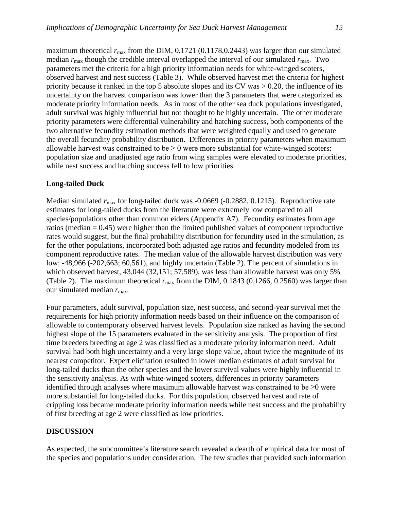maximum theoretical  $r_{\text{max}}$  from the DIM, 0.1721 (0.1178, 0.2443) was larger than our simulated median  $r_{\text{max}}$  though the credible interval overlapped the interval of our simulated  $r_{\text{max}}$ . Two parameters met the criteria for a high priority information needs for white-winged scoters, observed harvest and nest success (Table 3). While observed harvest met the criteria for highest priority because it ranked in the top 5 absolute slopes and its CV was > 0.20, the influence of its uncertainty on the harvest comparison was lower than the 3 parameters that were categorized as moderate priority information needs. As in most of the other sea duck populations investigated, adult survival was highly influential but not thought to be highly uncertain. The other moderate priority parameters were differential vulnerability and hatching success, both components of the two alternative fecundity estimation methods that were weighted equally and used to generate the overall fecundity probability distribution. Differences in priority parameters when maximum allowable harvest was constrained to be  $\geq 0$  were more substantial for white-winged scoters: population size and unadjusted age ratio from wing samples were elevated to moderate priorities, while nest success and hatching success fell to low priorities.

#### **Long-tailed Duck**

Median simulated  $r_{\text{max}}$  for long-tailed duck was -0.0669 (-0.2882, 0.1215). Reproductive rate estimates for long-tailed ducks from the literature were extremely low compared to all species/populations other than common eiders (Appendix A7). Fecundity estimates from age ratios (median  $= 0.45$ ) were higher than the limited published values of component reproductive rates would suggest, but the final probability distribution for fecundity used in the simulation, as for the other populations, incorporated both adjusted age ratios and fecundity modeled from its component reproductive rates. The median value of the allowable harvest distribution was very low: -48,966 (-202,663; 60,561), and highly uncertain (Table 2). The percent of simulations in which observed harvest, 43,044 (32,151; 57,589), was less than allowable harvest was only 5% (Table 2). The maximum theoretical  $r_{\text{max}}$  from the DIM, 0.1843 (0.1266, 0.2560) was larger than our simulated median  $r_{\text{max}}$ .

Four parameters, adult survival, population size, nest success, and second-year survival met the requirements for high priority information needs based on their influence on the comparison of allowable to contemporary observed harvest levels. Population size ranked as having the second highest slope of the 15 parameters evaluated in the sensitivity analysis. The proportion of first time breeders breeding at age 2 was classified as a moderate priority information need. Adult survival had both high uncertainty and a very large slope value, about twice the magnitude of its nearest competitor. Expert elicitation resulted in lower median estimates of adult survival for long-tailed ducks than the other species and the lower survival values were highly influential in the sensitivity analysis. As with white-winged scoters, differences in priority parameters identified through analyses where maximum allowable harvest was constrained to be  $\geq 0$  were more substantial for long-tailed ducks. For this population, observed harvest and rate of crippling loss became moderate priority information needs while nest success and the probability of first breeding at age 2 were classified as low priorities.

## **DISCUSSION**

As expected, the subcommittee's literature search revealed a dearth of empirical data for most of the species and populations under consideration. The few studies that provided such information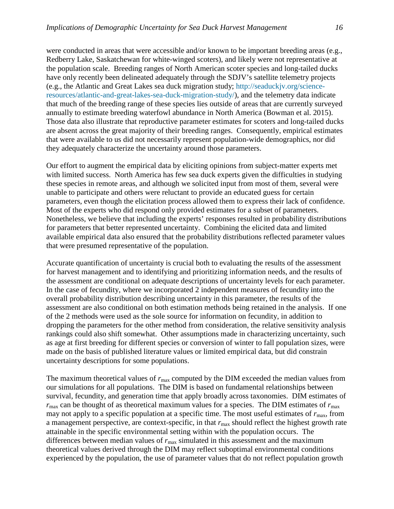were conducted in areas that were accessible and/or known to be important breeding areas (e.g., Redberry Lake, Saskatchewan for white-winged scoters), and likely were not representative at the population scale. Breeding ranges of North American scoter species and long-tailed ducks have only recently been delineated adequately through the SDJV's satellite telemetry projects (e.g., the Atlantic and Great Lakes sea duck migration study; [http://seaduckjv.org/science](http://seaduckjv.org/science-resources/atlantic-and-great-lakes-sea-duck-migration-study/)[resources/atlantic-and-great-lakes-sea-duck-migration-study/\)](http://seaduckjv.org/science-resources/atlantic-and-great-lakes-sea-duck-migration-study/), and the telemetry data indicate that much of the breeding range of these species lies outside of areas that are currently surveyed annually to estimate breeding waterfowl abundance in North America (Bowman et al. 2015). Those data also illustrate that reproductive parameter estimates for scoters and long-tailed ducks are absent across the great majority of their breeding ranges. Consequently, empirical estimates that were available to us did not necessarily represent population-wide demographics, nor did they adequately characterize the uncertainty around those parameters.

Our effort to augment the empirical data by eliciting opinions from subject-matter experts met with limited success. North America has few sea duck experts given the difficulties in studying these species in remote areas, and although we solicited input from most of them, several were unable to participate and others were reluctant to provide an educated guess for certain parameters, even though the elicitation process allowed them to express their lack of confidence. Most of the experts who did respond only provided estimates for a subset of parameters. Nonetheless, we believe that including the experts' responses resulted in probability distributions for parameters that better represented uncertainty. Combining the elicited data and limited available empirical data also ensured that the probability distributions reflected parameter values that were presumed representative of the population.

Accurate quantification of uncertainty is crucial both to evaluating the results of the assessment for harvest management and to identifying and prioritizing information needs, and the results of the assessment are conditional on adequate descriptions of uncertainty levels for each parameter. In the case of fecundity, where we incorporated 2 independent measures of fecundity into the overall probability distribution describing uncertainty in this parameter, the results of the assessment are also conditional on both estimation methods being retained in the analysis. If one of the 2 methods were used as the sole source for information on fecundity, in addition to dropping the parameters for the other method from consideration, the relative sensitivity analysis rankings could also shift somewhat. Other assumptions made in characterizing uncertainty, such as age at first breeding for different species or conversion of winter to fall population sizes, were made on the basis of published literature values or limited empirical data, but did constrain uncertainty descriptions for some populations.

The maximum theoretical values of  $r_{\text{max}}$  computed by the DIM exceeded the median values from our simulations for all populations. The DIM is based on fundamental relationships between survival, fecundity, and generation time that apply broadly across taxonomies. DIM estimates of  $r_{\text{max}}$  can be thought of as theoretical maximum values for a species. The DIM estimates of  $r_{\text{max}}$ may not apply to a specific population at a specific time. The most useful estimates of  $r_{\text{max}}$ , from a management perspective, are context-specific, in that  $r_{\text{max}}$  should reflect the highest growth rate attainable in the specific environmental setting within with the population occurs. The differences between median values of  $r_{\text{max}}$  simulated in this assessment and the maximum theoretical values derived through the DIM may reflect suboptimal environmental conditions experienced by the population, the use of parameter values that do not reflect population growth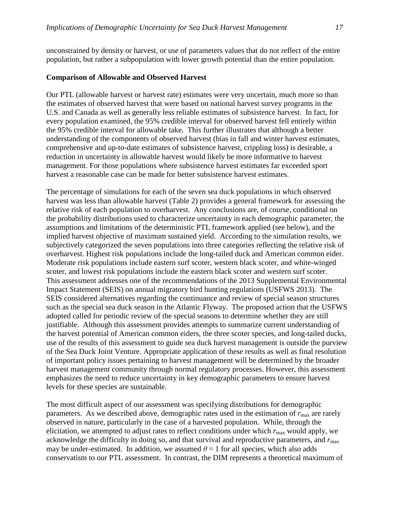unconstrained by density or harvest, or use of parameters values that do not reflect of the entire population, but rather a subpopulation with lower growth potential than the entire population.

#### **Comparison of Allowable and Observed Harvest**

Our PTL (allowable harvest or harvest rate) estimates were very uncertain, much more so than the estimates of observed harvest that were based on national harvest survey programs in the U.S. and Canada as well as generally less reliable estimates of subsistence harvest. In fact, for every population examined, the 95% credible interval for observed harvest fell entirely within the 95% credible interval for allowable take. This further illustrates that although a better understanding of the components of observed harvest (bias in fall and winter harvest estimates, comprehensive and up-to-date estimates of subsistence harvest, crippling loss) is desirable, a reduction in uncertainty in allowable harvest would likely be more informative to harvest management. For those populations where subsistence harvest estimates far exceeded sport harvest a reasonable case can be made for better subsistence harvest estimates.

The percentage of simulations for each of the seven sea duck populations in which observed harvest was less than allowable harvest (Table 2) provides a general framework for assessing the relative risk of each population to overharvest. Any conclusions are, of course, conditional on the probability distributions used to characterize uncertainty in each demographic parameter, the assumptions and limitations of the deterministic PTL framework applied (see below), and the implied harvest objective of maximum sustained yield. According to the simulation results, we subjectively categorized the seven populations into three categories reflecting the relative risk of overharvest. Highest risk populations include the long-tailed duck and American common eider. Moderate risk populations include eastern surf scoter, western black scoter, and white-winged scoter, and lowest risk populations include the eastern black scoter and western surf scoter. This assessment addresses one of the recommendations of the 2013 Supplemental Environmental Impact Statement (SEIS) on annual migratory bird hunting regulations (USFWS 2013). The SEIS considered alternatives regarding the continuance and review of special season structures such as the special sea duck season in the Atlantic Flyway. The proposed action that the USFWS adopted called for periodic review of the special seasons to determine whether they are still justifiable. Although this assessment provides attempts to summarize current understanding of the harvest potential of American common eiders, the three scoter species, and long-tailed ducks, use of the results of this assessment to guide sea duck harvest management is outside the purview of the Sea Duck Joint Venture. Appropriate application of these results as well as final resolution of important policy issues pertaining to harvest management will be determined by the broader harvest management community through normal regulatory processes. However, this assessment emphasizes the need to reduce uncertainty in key demographic parameters to ensure harvest levels for these species are sustainable.

The most difficult aspect of our assessment was specifying distributions for demographic parameters. As we described above, demographic rates used in the estimation of  $r_{\text{max}}$  are rarely observed in nature, particularly in the case of a harvested population. While, through the elicitation, we attempted to adjust rates to reflect conditions under which  $r_{\text{max}}$  would apply, we acknowledge the difficulty in doing so, and that survival and reproductive parameters, and  $r_{\text{max}}$ may be under-estimated. In addition, we assumed  $\theta = 1$  for all species, which also adds conservatism to our PTL assessment. In contrast, the DIM represents a theoretical maximum of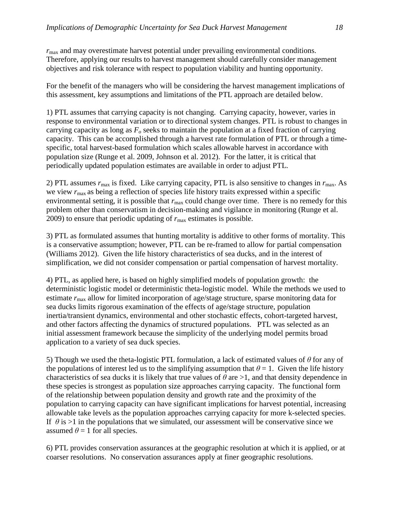$r_{\text{max}}$  and may overestimate harvest potential under prevailing environmental conditions. Therefore, applying our results to harvest management should carefully consider management objectives and risk tolerance with respect to population viability and hunting opportunity.

For the benefit of the managers who will be considering the harvest management implications of this assessment, key assumptions and limitations of the PTL approach are detailed below.

1) PTL assumes that carrying capacity is not changing. Carrying capacity, however, varies in response to environmental variation or to directional system changes. PTL is robust to changes in carrying capacity as long as  $F<sub>o</sub>$  seeks to maintain the population at a fixed fraction of carrying capacity. This can be accomplished through a harvest rate formulation of PTL or through a timespecific, total harvest-based formulation which scales allowable harvest in accordance with population size (Runge et al. 2009, Johnson et al. 2012). For the latter, it is critical that periodically updated population estimates are available in order to adjust PTL.

2) PTL assumes *r*max is fixed. Like carrying capacity, PTL is also sensitive to changes in *r*max. As we view  $r_{\text{max}}$  as being a reflection of species life history traits expressed within a specific environmental setting, it is possible that  $r_{\text{max}}$  could change over time. There is no remedy for this problem other than conservatism in decision-making and vigilance in monitoring (Runge et al. 2009) to ensure that periodic updating of  $r_{\text{max}}$  estimates is possible.

3) PTL as formulated assumes that hunting mortality is additive to other forms of mortality. This is a conservative assumption; however, PTL can be re-framed to allow for partial compensation (Williams 2012). Given the life history characteristics of sea ducks, and in the interest of simplification, we did not consider compensation or partial compensation of harvest mortality.

4) PTL, as applied here, is based on highly simplified models of population growth: the deterministic logistic model or deterministic theta-logistic model. While the methods we used to estimate  $r_{\text{max}}$  allow for limited incorporation of age/stage structure, sparse monitoring data for sea ducks limits rigorous examination of the effects of age/stage structure, population inertia/transient dynamics, environmental and other stochastic effects, cohort-targeted harvest, and other factors affecting the dynamics of structured populations. PTL was selected as an initial assessment framework because the simplicity of the underlying model permits broad application to a variety of sea duck species.

5) Though we used the theta-logistic PTL formulation, a lack of estimated values of *θ* for any of the populations of interest led us to the simplifying assumption that  $\theta = 1$ . Given the life history characteristics of sea ducks it is likely that true values of  $\theta$  are  $>1$ , and that density dependence in these species is strongest as population size approaches carrying capacity. The functional form of the relationship between population density and growth rate and the proximity of the population to carrying capacity can have significant implications for harvest potential, increasing allowable take levels as the population approaches carrying capacity for more k-selected species. If  $\theta$  is  $>1$  in the populations that we simulated, our assessment will be conservative since we assumed  $\theta = 1$  for all species.

6) PTL provides conservation assurances at the geographic resolution at which it is applied, or at coarser resolutions. No conservation assurances apply at finer geographic resolutions.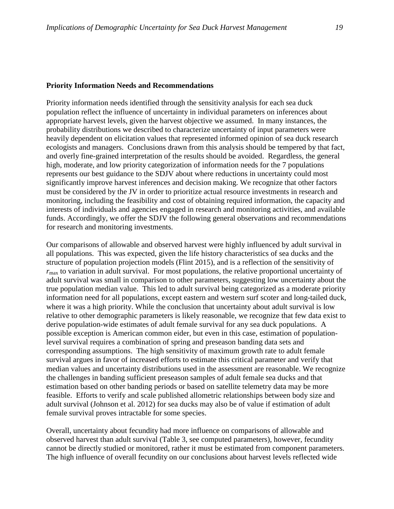#### **Priority Information Needs and Recommendations**

Priority information needs identified through the sensitivity analysis for each sea duck population reflect the influence of uncertainty in individual parameters on inferences about appropriate harvest levels, given the harvest objective we assumed. In many instances, the probability distributions we described to characterize uncertainty of input parameters were heavily dependent on elicitation values that represented informed opinion of sea duck research ecologists and managers. Conclusions drawn from this analysis should be tempered by that fact, and overly fine-grained interpretation of the results should be avoided. Regardless, the general high, moderate, and low priority categorization of information needs for the 7 populations represents our best guidance to the SDJV about where reductions in uncertainty could most significantly improve harvest inferences and decision making. We recognize that other factors must be considered by the JV in order to prioritize actual resource investments in research and monitoring, including the feasibility and cost of obtaining required information, the capacity and interests of individuals and agencies engaged in research and monitoring activities, and available funds. Accordingly, we offer the SDJV the following general observations and recommendations for research and monitoring investments.

Our comparisons of allowable and observed harvest were highly influenced by adult survival in all populations. This was expected, given the life history characteristics of sea ducks and the structure of population projection models (Flint 2015), and is a reflection of the sensitivity of *r*max to variation in adult survival. For most populations, the relative proportional uncertainty of adult survival was small in comparison to other parameters, suggesting low uncertainty about the true population median value. This led to adult survival being categorized as a moderate priority information need for all populations, except eastern and western surf scoter and long-tailed duck, where it was a high priority. While the conclusion that uncertainty about adult survival is low relative to other demographic parameters is likely reasonable, we recognize that few data exist to derive population-wide estimates of adult female survival for any sea duck populations. A possible exception is American common eider, but even in this case, estimation of populationlevel survival requires a combination of spring and preseason banding data sets and corresponding assumptions. The high sensitivity of maximum growth rate to adult female survival argues in favor of increased efforts to estimate this critical parameter and verify that median values and uncertainty distributions used in the assessment are reasonable. We recognize the challenges in banding sufficient preseason samples of adult female sea ducks and that estimation based on other banding periods or based on satellite telemetry data may be more feasible. Efforts to verify and scale published allometric relationships between body size and adult survival (Johnson et al. 2012) for sea ducks may also be of value if estimation of adult female survival proves intractable for some species.

Overall, uncertainty about fecundity had more influence on comparisons of allowable and observed harvest than adult survival (Table 3, see computed parameters), however, fecundity cannot be directly studied or monitored, rather it must be estimated from component parameters. The high influence of overall fecundity on our conclusions about harvest levels reflected wide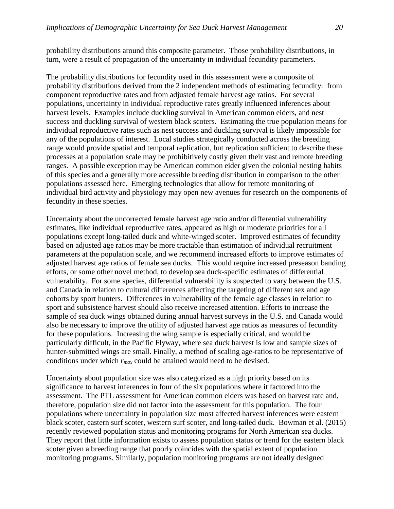probability distributions around this composite parameter. Those probability distributions, in turn, were a result of propagation of the uncertainty in individual fecundity parameters.

The probability distributions for fecundity used in this assessment were a composite of probability distributions derived from the 2 independent methods of estimating fecundity: from component reproductive rates and from adjusted female harvest age ratios. For several populations, uncertainty in individual reproductive rates greatly influenced inferences about harvest levels. Examples include duckling survival in American common eiders, and nest success and duckling survival of western black scoters. Estimating the true population means for individual reproductive rates such as nest success and duckling survival is likely impossible for any of the populations of interest. Local studies strategically conducted across the breeding range would provide spatial and temporal replication, but replication sufficient to describe these processes at a population scale may be prohibitively costly given their vast and remote breeding ranges. A possible exception may be American common eider given the colonial nesting habits of this species and a generally more accessible breeding distribution in comparison to the other populations assessed here. Emerging technologies that allow for remote monitoring of individual bird activity and physiology may open new avenues for research on the components of fecundity in these species.

Uncertainty about the uncorrected female harvest age ratio and/or differential vulnerability estimates, like individual reproductive rates, appeared as high or moderate priorities for all populations except long-tailed duck and white-winged scoter. Improved estimates of fecundity based on adjusted age ratios may be more tractable than estimation of individual recruitment parameters at the population scale, and we recommend increased efforts to improve estimates of adjusted harvest age ratios of female sea ducks. This would require increased preseason banding efforts, or some other novel method, to develop sea duck-specific estimates of differential vulnerability. For some species, differential vulnerability is suspected to vary between the U.S. and Canada in relation to cultural differences affecting the targeting of different sex and age cohorts by sport hunters. Differences in vulnerability of the female age classes in relation to sport and subsistence harvest should also receive increased attention. Efforts to increase the sample of sea duck wings obtained during annual harvest surveys in the U.S. and Canada would also be necessary to improve the utility of adjusted harvest age ratios as measures of fecundity for these populations. Increasing the wing sample is especially critical, and would be particularly difficult, in the Pacific Flyway, where sea duck harvest is low and sample sizes of hunter-submitted wings are small. Finally, a method of scaling age-ratios to be representative of conditions under which *rmax* could be attained would need to be devised.

Uncertainty about population size was also categorized as a high priority based on its significance to harvest inferences in four of the six populations where it factored into the assessment. The PTL assessment for American common eiders was based on harvest rate and, therefore, population size did not factor into the assessment for this population. The four populations where uncertainty in population size most affected harvest inferences were eastern black scoter, eastern surf scoter, western surf scoter, and long-tailed duck. Bowman et al. (2015) recently reviewed population status and monitoring programs for North American sea ducks. They report that little information exists to assess population status or trend for the eastern black scoter given a breeding range that poorly coincides with the spatial extent of population monitoring programs. Similarly, population monitoring programs are not ideally designed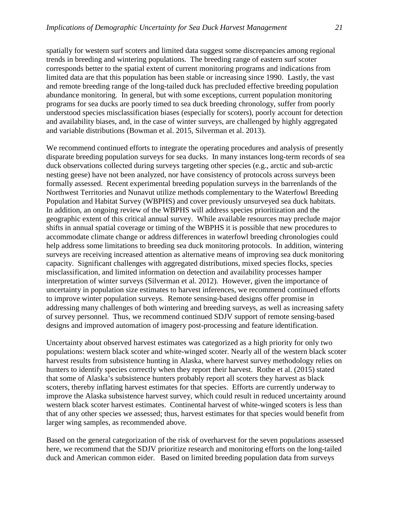spatially for western surf scoters and limited data suggest some discrepancies among regional trends in breeding and wintering populations. The breeding range of eastern surf scoter corresponds better to the spatial extent of current monitoring programs and indications from limited data are that this population has been stable or increasing since 1990. Lastly, the vast and remote breeding range of the long-tailed duck has precluded effective breeding population abundance monitoring. In general, but with some exceptions, current population monitoring programs for sea ducks are poorly timed to sea duck breeding chronology, suffer from poorly understood species misclassification biases (especially for scoters), poorly account for detection and availability biases, and, in the case of winter surveys, are challenged by highly aggregated and variable distributions (Bowman et al. 2015, Silverman et al. 2013).

We recommend continued efforts to integrate the operating procedures and analysis of presently disparate breeding population surveys for sea ducks. In many instances long-term records of sea duck observations collected during surveys targeting other species (e.g., arctic and sub-arctic nesting geese) have not been analyzed, nor have consistency of protocols across surveys been formally assessed. Recent experimental breeding population surveys in the barrenlands of the Northwest Territories and Nunavut utilize methods complementary to the Waterfowl Breeding Population and Habitat Survey (WBPHS) and cover previously unsurveyed sea duck habitats. In addition, an ongoing review of the WBPHS will address species prioritization and the geographic extent of this critical annual survey. While available resources may preclude major shifts in annual spatial coverage or timing of the WBPHS it is possible that new procedures to accommodate climate change or address differences in waterfowl breeding chronologies could help address some limitations to breeding sea duck monitoring protocols. In addition, wintering surveys are receiving increased attention as alternative means of improving sea duck monitoring capacity. Significant challenges with aggregated distributions, mixed species flocks, species misclassification, and limited information on detection and availability processes hamper interpretation of winter surveys (Silverman et al. 2012). However, given the importance of uncertainty in population size estimates to harvest inferences, we recommend continued efforts to improve winter population surveys. Remote sensing-based designs offer promise in addressing many challenges of both wintering and breeding surveys, as well as increasing safety of survey personnel. Thus, we recommend continued SDJV support of remote sensing-based designs and improved automation of imagery post-processing and feature identification.

Uncertainty about observed harvest estimates was categorized as a high priority for only two populations: western black scoter and white-winged scoter. Nearly all of the western black scoter harvest results from subsistence hunting in Alaska, where harvest survey methodology relies on hunters to identify species correctly when they report their harvest. Rothe et al. (2015) stated that some of Alaska's subsistence hunters probably report all scoters they harvest as black scoters, thereby inflating harvest estimates for that species. Efforts are currently underway to improve the Alaska subsistence harvest survey, which could result in reduced uncertainty around western black scoter harvest estimates. Continental harvest of white-winged scoters is less than that of any other species we assessed; thus, harvest estimates for that species would benefit from larger wing samples, as recommended above.

Based on the general categorization of the risk of overharvest for the seven populations assessed here, we recommend that the SDJV prioritize research and monitoring efforts on the long-tailed duck and American common eider. Based on limited breeding population data from surveys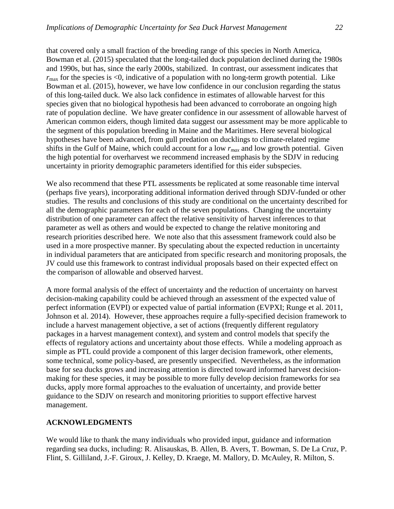that covered only a small fraction of the breeding range of this species in North America, Bowman et al. (2015) speculated that the long-tailed duck population declined during the 1980s and 1990s, but has, since the early 2000s, stabilized. In contrast, our assessment indicates that  $r_{\text{max}}$  for the species is <0, indicative of a population with no long-term growth potential. Like Bowman et al. (2015), however, we have low confidence in our conclusion regarding the status of this long-tailed duck. We also lack confidence in estimates of allowable harvest for this species given that no biological hypothesis had been advanced to corroborate an ongoing high rate of population decline. We have greater confidence in our assessment of allowable harvest of American common eiders, though limited data suggest our assessment may be more applicable to the segment of this population breeding in Maine and the Maritimes. Here several biological hypotheses have been advanced, from gull predation on ducklings to climate-related regime shifts in the Gulf of Maine, which could account for a low *rmax* and low growth potential. Given the high potential for overharvest we recommend increased emphasis by the SDJV in reducing uncertainty in priority demographic parameters identified for this eider subspecies.

We also recommend that these PTL assessments be replicated at some reasonable time interval (perhaps five years), incorporating additional information derived through SDJV-funded or other studies. The results and conclusions of this study are conditional on the uncertainty described for all the demographic parameters for each of the seven populations. Changing the uncertainty distribution of one parameter can affect the relative sensitivity of harvest inferences to that parameter as well as others and would be expected to change the relative monitoring and research priorities described here. We note also that this assessment framework could also be used in a more prospective manner. By speculating about the expected reduction in uncertainty in individual parameters that are anticipated from specific research and monitoring proposals, the JV could use this framework to contrast individual proposals based on their expected effect on the comparison of allowable and observed harvest.

A more formal analysis of the effect of uncertainty and the reduction of uncertainty on harvest decision-making capability could be achieved through an assessment of the expected value of perfect information (EVPI) or expected value of partial information (EVPXI; Runge et al. 2011, Johnson et al. 2014). However, these approaches require a fully-specified decision framework to include a harvest management objective, a set of actions (frequently different regulatory packages in a harvest management context), and system and control models that specify the effects of regulatory actions and uncertainty about those effects. While a modeling approach as simple as PTL could provide a component of this larger decision framework, other elements, some technical, some policy-based, are presently unspecified. Nevertheless, as the information base for sea ducks grows and increasing attention is directed toward informed harvest decisionmaking for these species, it may be possible to more fully develop decision frameworks for sea ducks, apply more formal approaches to the evaluation of uncertainty, and provide better guidance to the SDJV on research and monitoring priorities to support effective harvest management.

#### **ACKNOWLEDGMENTS**

We would like to thank the many individuals who provided input, guidance and information regarding sea ducks, including: R. Alisauskas, B. Allen, B. Avers, T. Bowman, S. De La Cruz, P. Flint, S. Gilliland, J.-F. Giroux, J. Kelley, D. Kraege, M. Mallory, D. McAuley, R. Milton, S.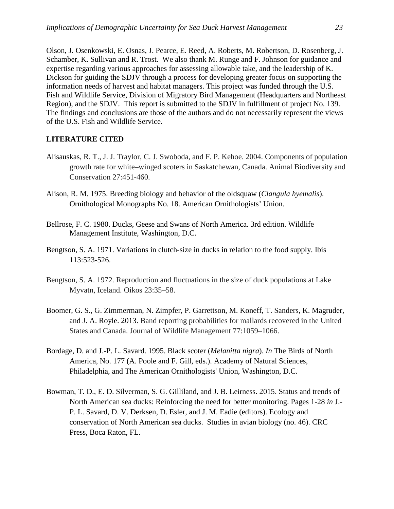Olson, J. Osenkowski, E. Osnas, J. Pearce, E. Reed, A. Roberts, M. Robertson, D. Rosenberg, J. Schamber, K. Sullivan and R. Trost. We also thank M. Runge and F. Johnson for guidance and expertise regarding various approaches for assessing allowable take, and the leadership of K. Dickson for guiding the SDJV through a process for developing greater focus on supporting the information needs of harvest and habitat managers. This project was funded through the U.S. Fish and Wildlife Service, Division of Migratory Bird Management (Headquarters and Northeast Region), and the SDJV. This report is submitted to the SDJV in fulfillment of project No. 139. The findings and conclusions are those of the authors and do not necessarily represent the views of the U.S. Fish and Wildlife Service.

### **LITERATURE CITED**

- Alisauskas, R. T., J. J. Traylor, C. J. Swoboda, and F. P. Kehoe. 2004. Components of population growth rate for white–winged scoters in Saskatchewan, Canada. Animal Biodiversity and Conservation 27:451-460.
- Alison, R. M. 1975. Breeding biology and behavior of the oldsquaw (*Clangula hyemalis*). Ornithological Monographs No. 18. American Ornithologists' Union.
- Bellrose, F. C. 1980. Ducks, Geese and Swans of North America. 3rd edition. Wildlife Management Institute, Washington, D.C.
- Bengtson, S. A. 1971. Variations in clutch-size in ducks in relation to the food supply. Ibis 113:523-526.
- Bengtson, S. A. 1972. Reproduction and fluctuations in the size of duck populations at Lake Myvatn, Iceland. Oikos 23:35–58.
- Boomer, G. S., G. Zimmerman, N. Zimpfer, P. Garrettson, M. Koneff, T. Sanders, K. Magruder, and J. A. Royle. 2013. Band reporting probabilities for mallards recovered in the United States and Canada. Journal of Wildlife Management 77:1059–1066.
- Bordage, D. and J.-P. L. Savard. 1995. Black scoter (*Melanitta nigra*). *In* The Birds of North America, No. 177 (A. Poole and F. Gill, eds.). Academy of Natural Sciences, Philadelphia, and The American Ornithologists' Union, Washington, D.C.
- Bowman, T. D., E. D. Silverman, S. G. Gilliland, and J. B. Leirness. 2015. Status and trends of North American sea ducks: Reinforcing the need for better monitoring. Pages 1-28 *in* J.- P. L. Savard, D. V. Derksen, D. Esler, and J. M. Eadie (editors). Ecology and conservation of North American sea ducks. Studies in avian biology (no. 46). CRC Press, Boca Raton, FL.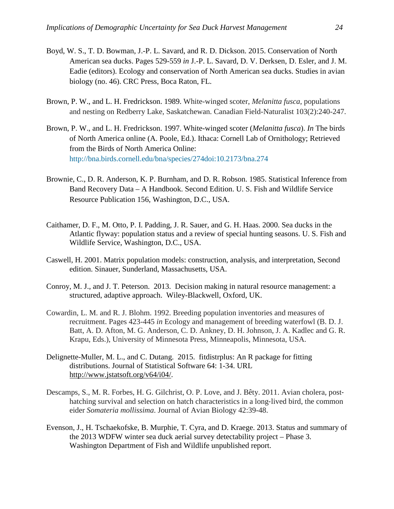- Boyd, W. S., T. D. Bowman, J.-P. L. Savard, and R. D. Dickson. 2015. Conservation of North American sea ducks. Pages 529-559 *in* J.-P. L. Savard, D. V. Derksen, D. Esler, and J. M. Eadie (editors). Ecology and conservation of North American sea ducks. Studies in avian biology (no. 46). CRC Press, Boca Raton, FL.
- Brown, P. W., and L. H. Fredrickson. 1989. White-winged scoter, *Melanitta fusca*, populations and nesting on Redberry Lake, Saskatchewan. Canadian Field-Naturalist 103(2):240-247.
- Brown, P. W., and L. H. Fredrickson. 1997. White-winged scoter (*Melanitta fusca*). *In* The birds of North America online (A. Poole, Ed.). Ithaca: Cornell Lab of Ornithology; Retrieved from the Birds of North America Online: [http://bna.birds.cornell.edu/bna/species/274doi:10.2173/bna.274](http://h)
- <span id="page-27-0"></span>Brownie, C., D. R. Anderson, K. P. Burnham, and D. R. Robson. 1985. Statistical Inference from Band Recovery Data – A Handbook. Second Edition. U. S. Fish and Wildlife Service Resource Publication 156, Washington, D.C., USA.
- Caithamer, D. F., M. Otto, P. I. Padding, J. R. Sauer, and G. H. Haas. 2000. Sea ducks in the Atlantic flyway: population status and a review of special hunting seasons. U. S. Fish and Wildlife Service, Washington, D.C., USA.
- Caswell, H. 2001. Matrix population models: construction, analysis, and interpretation, Second edition. Sinauer, Sunderland, Massachusetts, USA.
- Conroy, M. J., and J. T. Peterson. 2013. Decision making in natural resource management: a structured, adaptive approach. Wiley-Blackwell, Oxford, UK.
- Cowardin, L. M. and R. J. Blohm. 1992. Breeding population inventories and measures of recruitment. Pages 423-445 *in* Ecology and management of breeding waterfowl (B. D. J. Batt, A. D. Afton, M. G. Anderson, C. D. Ankney, D. H. Johnson, J. A. Kadlec and G. R. Krapu, Eds.), University of Minnesota Press, Minneapolis, Minnesota, USA.
- Delignette-Muller, M. L., and C. Dutang. 2015. fitdistrplus: An R package for fitting distributions. Journal of Statistical Software 64: 1-34. URL [http://www.jstatsoft.org/v64/i04/.](http://www.jstatsoft.org/v64/i04/)
- Descamps, S., M. R. Forbes, H. G. Gilchrist, O. P. Love, and J. Bêty. 2011. Avian cholera, posthatching survival and selection on hatch characteristics in a long‐lived bird, the common eider *Somateria mollissima*. Journal of Avian Biology 42:39-48.
- Evenson, J., H. Tschaekofske, B. Murphie, T. Cyra, and D. Kraege. 2013. Status and summary of the 2013 WDFW winter sea duck aerial survey detectability project – Phase 3. Washington Department of Fish and Wildlife unpublished report.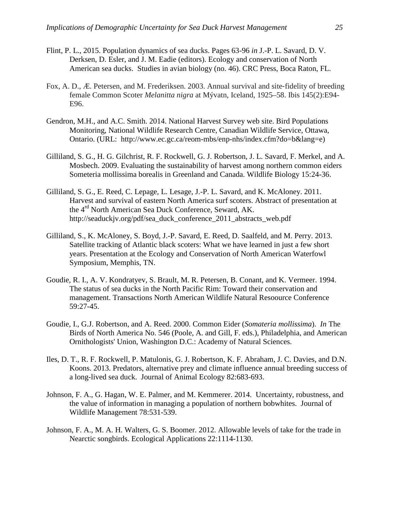- Flint, P. L., 2015. Population dynamics of sea ducks. Pages 63-96 *in* J.-P. L. Savard, D. V. Derksen, D. Esler, and J. M. Eadie (editors). Ecology and conservation of North American sea ducks. Studies in avian biology (no. 46). CRC Press, Boca Raton, FL.
- Fox, A. D., Æ. Petersen, and M. Frederiksen. 2003. Annual survival and site‐fidelity of breeding female Common Scoter *Melanitta nigra* at Mývatn, Iceland, 1925–58. Ibis 145(2):E94- E96.
- Gendron, M.H., and A.C. Smith. 2014. National Harvest Survey web site. Bird Populations Monitoring, National Wildlife Research Centre, Canadian Wildlife Service, Ottawa, Ontario. (URL: http://www.ec.gc.ca/reom-mbs/enp-nhs/index.cfm?do=b&lang=e)
- Gilliland, S. G., H. G. Gilchrist, R. F. Rockwell, G. J. Robertson, J. L. Savard, F. Merkel, and A. Mosbech. 2009. Evaluating the sustainability of harvest among northern common eiders Someteria mollissima borealis in Greenland and Canada. Wildlife Biology 15:24-36.
- Gilliland, S. G., E. Reed, C. Lepage, L. Lesage, J.-P. L. Savard, and K. McAloney. 2011. Harvest and survival of eastern North America surf scoters. Abstract of presentation at the 4<sup>rd</sup> North American Sea Duck Conference, Seward, AK. http://seaduckjv.org/pdf/sea\_duck\_conference\_2011\_abstracts\_web.pdf
- Gilliland, S., K. McAloney, S. Boyd, J.-P. Savard, E. Reed, D. Saalfeld, and M. Perry. 2013. Satellite tracking of Atlantic black scoters: What we have learned in just a few short years. Presentation at the Ecology and Conservation of North American Waterfowl Symposium, Memphis, TN.
- Goudie, R. I., A. V. Kondratyev, S. Brault, M. R. Petersen, B. Conant, and K. Vermeer. 1994. The status of sea ducks in the North Pacific Rim: Toward their conservation and management. Transactions North American Wildlife Natural Resoource Conference 59:27-45.
- Goudie, I., G.J. Robertson, and A. Reed. 2000. Common Eider (*Somateria mollissima*). *In* The Birds of North America No. 546 (Poole, A. and Gill, F. eds.), Philadelphia, and American Ornithologists' Union, Washington D.C.: Academy of Natural Sciences.
- Iles, D. T., R. F. Rockwell, P. Matulonis, G. J. Robertson, K. F. Abraham, J. C. Davies, and D.N. Koons. 2013. Predators, alternative prey and climate influence annual breeding success of a long-lived sea duck. Journal of Animal Ecology 82:683-693.
- Johnson, F. A., G. Hagan, W. E. Palmer, and M. Kemmerer. 2014. Uncertainty, robustness, and the value of information in managing a population of northern bobwhites. Journal of Wildlife Management 78:531-539.
- Johnson, F. A., M. A. H. Walters, G. S. Boomer. 2012. Allowable levels of take for the trade in Nearctic songbirds. Ecological Applications 22:1114-1130.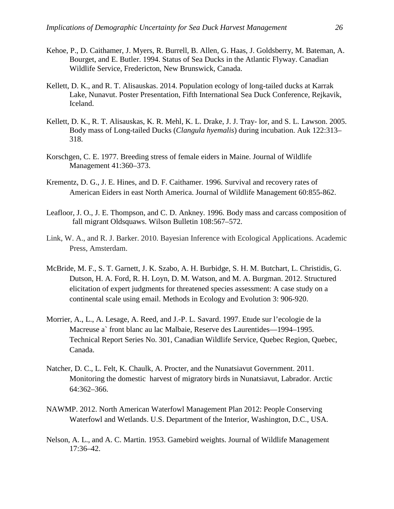- Kehoe, P., D. Caithamer, J. Myers, R. Burrell, B. Allen, G. Haas, J. Goldsberry, M. Bateman, A. Bourget, and E. Butler. 1994. Status of Sea Ducks in the Atlantic Flyway. Canadian Wildlife Service, Fredericton, New Brunswick, Canada.
- Kellett, D. K., and R. T. Alisauskas. 2014. Population ecology of long-tailed ducks at Karrak Lake, Nunavut. Poster Presentation, Fifth International Sea Duck Conference, Rejkavik, Iceland.
- Kellett, D. K., R. T. Alisauskas, K. R. Mehl, K. L. Drake, J. J. Tray- lor, and S. L. Lawson. 2005. Body mass of Long-tailed Ducks (*Clangula hyemalis*) during incubation. Auk 122:313– 318.
- Korschgen, C. E. 1977. Breeding stress of female eiders in Maine. Journal of Wildlife Management 41:360–373.
- Krementz, D. G., J. E. Hines, and D. F. Caithamer. 1996. Survival and recovery rates of American Eiders in east North America. Journal of Wildlife Management 60:855-862.
- Leafloor, J. O., J. E. Thompson, and C. D. Ankney. 1996. Body mass and carcass composition of fall migrant Oldsquaws. Wilson Bulletin 108:567–572.
- Link, W. A., and R. J. Barker. 2010. Bayesian Inference with Ecological Applications. Academic Press, Amsterdam.
- McBride, M. F., S. T. Garnett, J. K. Szabo, A. H. Burbidge, S. H. M. Butchart, L. Christidis, G. Dutson, H. A. Ford, R. H. Loyn, D. M. Watson, and M. A. Burgman. 2012. Structured elicitation of expert judgments for threatened species assessment: A case study on a continental scale using email. Methods in Ecology and Evolution 3: 906-920.
- Morrier, A., L., A. Lesage, A. Reed, and J.-P. L. Savard. 1997. Etude sur l'ecologie de la Macreuse a` front blanc au lac Malbaie, Reserve des Laurentides—1994–1995. Technical Report Series No. 301, Canadian Wildlife Service, Quebec Region, Quebec, Canada.
- Natcher, D. C., L. Felt, K. Chaulk, A. Procter, and the Nunatsiavut Government. 2011. Monitoring the domestic harvest of migratory birds in Nunatsiavut, Labrador. Arctic 64:362–366.
- NAWMP. 2012. North American Waterfowl Management Plan 2012: People Conserving Waterfowl and Wetlands. U.S. Department of the Interior, Washington, D.C., USA.
- Nelson, A. L., and A. C. Martin. 1953. Gamebird weights. Journal of Wildlife Management 17:36–42.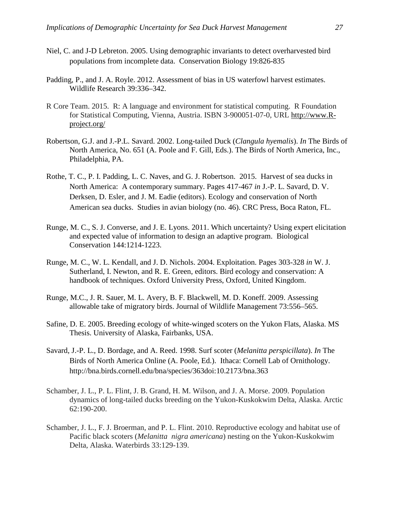- Niel, C. and J-D Lebreton. 2005. Using demographic invariants to detect overharvested bird populations from incomplete data. Conservation Biology 19:826-835
- Padding, P., and J. A. Royle. 2012. Assessment of bias in US waterfowl harvest estimates. Wildlife Research 39:336–342.
- R Core Team. 2015. R: A language and environment for statistical computing. R Foundation for Statistical Computing, Vienna, Austria. ISBN 3-900051-07-0, URL [http://www.R](http://www.r-project.org/)[project.org/](http://www.r-project.org/)
- Robertson, G.J. and J.-P.L. Savard. 2002. Long-tailed Duck (*Clangula hyemalis*). *In* The Birds of North America, No. 651 (A. Poole and F. Gill, Eds.). The Birds of North America, Inc., Philadelphia, PA.
- Rothe, T. C., P. I. Padding, L. C. Naves, and G. J. Robertson. 2015. Harvest of sea ducks in North America: A contemporary summary. Pages 417-467 *in* J.-P. L. Savard, D. V. Derksen, D. Esler, and J. M. Eadie (editors). Ecology and conservation of North American sea ducks. Studies in avian biology (no. 46). CRC Press, Boca Raton, FL.
- Runge, M. C., S. J. Converse, and J. E. Lyons. 2011. Which uncertainty? Using expert elicitation and expected value of information to design an adaptive program. Biological Conservation 144:1214-1223.
- Runge, M. C., W. L. Kendall, and J. D. Nichols. 2004. Exploitation. Pages 303-328 *in* W. J. Sutherland, I. Newton, and R. E. Green, editors. Bird ecology and conservation: A handbook of techniques. Oxford University Press, Oxford, United Kingdom.
- Runge, M.C., J. R. Sauer, M. L. Avery, B. F. Blackwell, M. D. Koneff. 2009. Assessing allowable take of migratory birds. Journal of Wildlife Management 73:556–565.
- Safine, D. E. 2005. Breeding ecology of white-winged scoters on the Yukon Flats, Alaska. MS Thesis. University of Alaska, Fairbanks, USA.
- Savard, J.-P. L., D. Bordage, and A. Reed. 1998. Surf scoter (*Melanitta perspicillata*). *In* The Birds of North America Online (A. Poole, Ed.). Ithaca: Cornell Lab of Ornithology. http://bna.birds.cornell.edu/bna/species/363doi:10.2173/bna.363
- Schamber, J. L., P. L. Flint, J. B. Grand, H. M. Wilson, and J. A. Morse. 2009. Population dynamics of long-tailed ducks breeding on the Yukon-Kuskokwim Delta, Alaska. Arctic 62:190-200.
- Schamber, J. L., F. J. Broerman, and P. L. Flint. 2010. Reproductive ecology and habitat use of Pacific black scoters (*Melanitta nigra americana*) nesting on the Yukon-Kuskokwim Delta, Alaska. Waterbirds 33:129-139.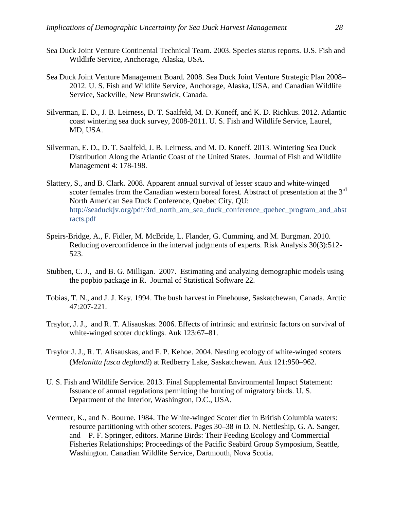- Sea Duck Joint Venture Continental Technical Team. 2003. Species status reports. U.S. Fish and Wildlife Service, Anchorage, Alaska, USA.
- Sea Duck Joint Venture Management Board. 2008. Sea Duck Joint Venture Strategic Plan 2008– 2012. U. S. Fish and Wildlife Service, Anchorage, Alaska, USA, and Canadian Wildlife Service, Sackville, New Brunswick, Canada.
- Silverman, E. D., J. B. Leirness, D. T. Saalfeld, M. D. Koneff, and K. D. Richkus. 2012. Atlantic coast wintering sea duck survey, 2008-2011. U. S. Fish and Wildlife Service, Laurel, MD, USA.
- Silverman, E. D., D. T. Saalfeld, J. B. Leirness, and M. D. Koneff. 2013. Wintering Sea Duck Distribution Along the Atlantic Coast of the United States. Journal of Fish and Wildlife Management 4: 178-198.
- Slattery, S., and B. Clark. 2008. Apparent annual survival of lesser scaup and white-winged scoter females from the Canadian western boreal forest. Abstract of presentation at the 3<sup>rd</sup> North American Sea Duck Conference, Quebec City, QU: [http://seaduckjv.org/pdf/3rd\\_north\\_am\\_sea\\_duck\\_conference\\_quebec\\_program\\_and\\_abst](http://seaduckjv.org/pdf/3rd_north_am_sea_duck_conference_quebec_program_and_abstracts.pdf) [racts.pdf](http://seaduckjv.org/pdf/3rd_north_am_sea_duck_conference_quebec_program_and_abstracts.pdf)
- Speirs-Bridge, A., F. Fidler, M. McBride, L. Flander, G. Cumming, and M. Burgman. 2010. Reducing overconfidence in the interval judgments of experts. Risk Analysis 30(3):512- 523.
- Stubben, C. J., and B. G. Milligan. 2007. Estimating and analyzing demographic models using the popbio package in R. Journal of Statistical Software 22.
- Tobias, T. N., and J. J. Kay. 1994. The bush harvest in Pinehouse, Saskatchewan, Canada. Arctic 47:207-221.
- Traylor, J. J., and R. T. Alisauskas. 2006. Effects of intrinsic and extrinsic factors on survival of white-winged scoter ducklings. Auk 123:67–81.
- Traylor J. J., R. T. Alisauskas, and F. P. Kehoe. 2004. Nesting ecology of white-winged scoters (*Melanitta fusca deglandi*) at Redberry Lake, Saskatchewan. Auk 121:950–962.
- U. S. Fish and Wildlife Service. 2013. Final Supplemental Environmental Impact Statement: Issuance of annual regulations permitting the hunting of migratory birds. U. S. Department of the Interior, Washington, D.C., USA.
- Vermeer, K., and N. Bourne. 1984. The White-winged Scoter diet in British Columbia waters: resource partitioning with other scoters. Pages 30–38 *in* D. N. Nettleship, G. A. Sanger, and P. F. Springer, editors. Marine Birds: Their Feeding Ecology and Commercial Fisheries Relationships; Proceedings of the Pacific Seabird Group Symposium, Seattle, Washington. Canadian Wildlife Service, Dartmouth, Nova Scotia.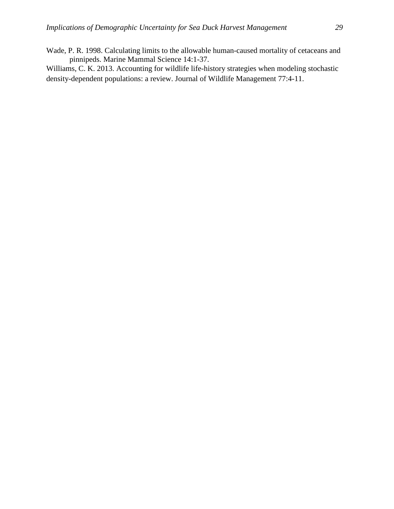Wade, P. R. 1998. Calculating limits to the allowable human-caused mortality of cetaceans and pinnipeds. Marine Mammal Science 14:1-37.

Williams, C. K. 2013. Accounting for wildlife life-history strategies when modeling stochastic density-dependent populations: a review. Journal of Wildlife Management 77:4-11.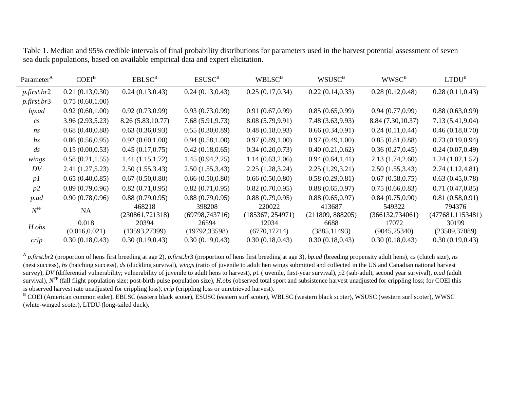| Parameter <sup>A</sup> | $COEI^B$         | EBLSC <sup>B</sup> | ESUSC <sup>B</sup> | WBLSC <sup>B</sup> | <b>WSUSC</b> <sup>B</sup> | WWSC <sup>B</sup>  | $LTDU^B$          |  |
|------------------------|------------------|--------------------|--------------------|--------------------|---------------------------|--------------------|-------------------|--|
| $p$ .first.br2         | 0.21(0.13, 0.30) | 0.24(0.13, 0.43)   | 0.24(0.13, 0.43)   | 0.25(0.17, 0.34)   | 0.22(0.14, 0.33)          | 0.28(0.12, 0.48)   | 0.28(0.11, 0.43)  |  |
| $p$ .first.br $3$      | 0.75(0.60, 1.00) |                    |                    |                    |                           |                    |                   |  |
| bp.ad                  | 0.92(0.60, 1.00) | 0.92(0.73, 0.99)   | 0.93(0.73, 0.99)   | 0.91(0.67,0.99)    | 0.85(0.65, 0.99)          | 0.94(0.77,0.99)    | 0.88(0.63, 0.99)  |  |
| cs                     | 3.96(2.93,5.23)  | 8.26 (5.83, 10.77) | 7.68(5.91, 9.73)   | 8.08 (5.79,9.91)   | 7.48 (3.63,9.93)          | 8.84 (7.30, 10.37) | 7.13(5.41, 9.04)  |  |
| ns                     | 0.68(0.40, 0.88) | 0.63(0.36, 0.93)   | 0.55(0.30, 0.89)   | 0.48(0.18, 0.93)   | 0.66(0.34, 0.91)          | 0.24(0.11, 0.44)   | 0.46(0.18, 0.70)  |  |
| $\mathfrak{h}$ s       | 0.86(0.56, 0.95) | 0.92(0.60, 1.00)   | 0.94(0.58,1.00)    | 0.97(0.89, 1.00)   | 0.97(0.49,1.00)           | 0.85(0.81, 0.88)   | 0.73(0.19, 0.94)  |  |
| $\frac{ds}{\sqrt{2}}$  | 0.15(0.00, 0.53) | 0.45(0.17, 0.75)   | 0.42(0.18, 0.65)   | 0.34(0.20, 0.73)   | 0.40(0.21, 0.62)          | 0.36(0.27, 0.45)   | 0.24(0.07, 0.49)  |  |
| wings                  | 0.58(0.21, 1.55) | 1.41(1.15, 1.72)   | 1.45(0.94, 2.25)   | 1.14(0.63, 2.06)   | 0.94(0.64, 1.41)          | 2.13(1.74, 2.60)   | 1.24(1.02, 1.52)  |  |
| DV                     | 2.41(1.27, 5.23) | 2.50(1.55, 3.43)   | 2.50(1.55, 3.43)   | 2.25(1.28, 3.24)   | 2.25(1.29, 3.21)          | 2.50(1.55, 3.43)   | 2.74(1.12, 4.81)  |  |
| p1                     | 0.65(0.40, 0.85) | 0.67(0.50, 0.80)   | 0.66(0.50, 0.80)   | 0.66(0.50, 0.80)   | 0.58(0.29, 0.81)          | 0.67(0.58, 0.75)   | 0.63(0.45, 0.78)  |  |
| p2                     | 0.89(0.79, 0.96) | 0.82(0.71, 0.95)   | 0.82(0.71, 0.95)   | 0.82(0.70, 0.95)   | 0.88(0.65, 0.97)          | 0.75(0.66, 0.83)   | 0.71(0.47, 0.85)  |  |
| p.ad                   | 0.90(0.78,0.96)  | 0.88(0.79, 0.95)   | 0.88(0.79, 0.95)   | 0.88(0.79, 0.95)   | 0.88(0.65, 0.97)          | 0.84(0.75, 0.90)   | 0.81(0.58, 0.91)  |  |
| $N^{\rm FF}$           | NA               | 468218             | 398208             | 220022             | 413687                    | 549322             | 794376            |  |
|                        |                  | (230861,721318)    | (69798,743716)     | (185367, 254971)   | (211809, 888205)          | (366132,734061)    | (477681, 1153481) |  |
| H.obs                  | 0.018            | 20394              | 26594              | 12034              | 6688                      | 17072              | 30199             |  |
|                        | (0.016, 0.021)   | (13593, 27399)     | (19792, 33598)     | (6770, 17214)      | (3885, 11493)             | (9045, 25340)      | (23509,37089)     |  |
| crip                   | 0.30(0.18, 0.43) | 0.30(0.19, 0.43)   | 0.30(0.19, 0.43)   | 0.30(0.18, 0.43)   | 0.30(0.18, 0.43)          | 0.30(0.18, 0.43)   | 0.30(0.19, 0.43)  |  |

Table 1. Median and 95% credible intervals of final probability distributions for parameters used in the harvest potential assessment of seven sea duck populations, based on available empirical data and expert elicitation.

<sup>A</sup> *p.first.br*2 (proportion of hens first breeding at age 2), *p.first.br*3 (proportion of hens first breeding at age 3), *bp.ad* (breeding propensity adult hens), *cs* (clutch size), *ns* (nest success), *hs* (hatching success), *ds* (duckling survival), *wings* (ratio of juvenile to adult hen wings submitted and collected in the US and Canadian national harvest survey), *DV* (differential vulnerability; vulnerability of juvenile to adult hens to harvest), *p1* (juvenile, first-year survival), *p2* (sub-adult, second year survival), *p.ad* (adult survival),  $N<sup>FF</sup>$  (fall flight population size; post-birth pulse population size), *H.obs* (observed total sport and subsistence harvest unadjusted for crippling loss; for COEI this is observed harvest rate unadjusted for crippling loss), *crip* (crippling loss or unretrieved harvest).

B COEI (American common eider), EBLSC (eastern black scoter), ESUSC (eastern surf scoter), WBLSC (western black scoter), WSUSC (western surf scoter), WWSC (white-winged scoter), LTDU (long-tailed duck).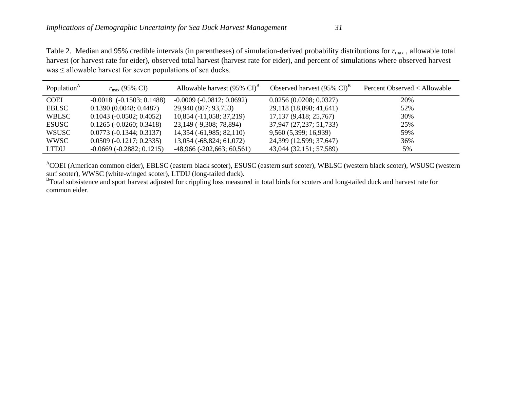Table 2. Median and 95% credible intervals (in parentheses) of simulation-derived probability distributions for  $r_{\text{max}}$ , allowable total harvest (or harvest rate for eider), observed total harvest (harvest rate for eider), and percent of simulations where observed harvest  $was \leq$  allowable harvest for seven populations of sea ducks.

| Population <sup>A</sup> | $r_{\rm max}$ (95% CI)            | Allowable harvest $(95\% \text{ CI})^B$ | Observed harvest $(95\% \text{ Cl})^B$ | Percent Observed < Allowable |
|-------------------------|-----------------------------------|-----------------------------------------|----------------------------------------|------------------------------|
| <b>COEI</b>             | $-0.0018$ $(-0.1503; 0.1488)$     | $-0.0009(-0.0812; 0.0692)$              | 0.0256(0.0208; 0.0327)                 | 20%                          |
| <b>EBLSC</b>            | 0.1390(0.0048; 0.4487)            | 29,940 (807; 93,753)                    | 29,118 (18,898; 41,641)                | 52%                          |
| <b>WBLSC</b>            | $0.1043$ (-0.0502; 0.4052)        | 10,854 (-11,058; 37,219)                | 17,137 (9,418; 25,767)                 | 30%                          |
| <b>ESUSC</b>            | $0.1265$ ( $-0.0260$ ; $0.3418$ ) | 23, 149 (-9, 308; 78, 894)              | 37,947 (27,237; 51,733)                | 25%                          |
| WSUSC                   | $0.0773(-0.1344; 0.3137)$         | 14,354 (-61,985; 82,110)                | 9,560 (5,399; 16,939)                  | 59%                          |
| WWSC                    | $0.0509 (-0.1217; 0.2335)$        | 13,054 (-68,824; 61,072)                | 24,399 (12,599; 37,647)                | 36%                          |
| <b>LTDU</b>             | $-0.0669(-0.2882; 0.1215)$        | $-48,966$ $(-202,663; 60,561)$          | 43,044 (32,151; 57,589)                | 5%                           |

ACOEI (American common eider), EBLSC (eastern black scoter), ESUSC (eastern surf scoter), WBLSC (western black scoter), WSUSC (western surf scoter), WWSC (white-winged scoter), LTDU (long-tailed duck).

<sup>B</sup>Total subsistence and sport harvest adjusted for crippling loss measured in total birds for scoters and long-tailed duck and harvest rate for common eider.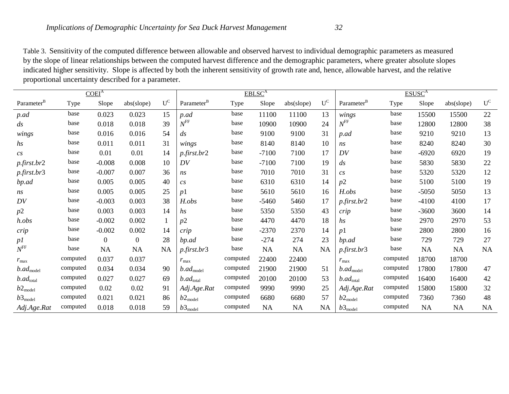Table 3. Sensitivity of the computed difference between allowable and observed harvest to individual demographic parameters as measured by the slope of linear relationships between the computed harvest difference and the demographic parameters, where greater absolute slopes indicated higher sensitivity. Slope is affected by both the inherent sensitivity of growth rate and, hence, allowable harvest, and the relative proportional uncertainty described for a parameter.

| COEI <sup>A</sup>        |          |              |                  |           | EBLSC <sup>A</sup>       |          |           |            | ESUSC <sup>A</sup>      |                          |          |           |            |                         |
|--------------------------|----------|--------------|------------------|-----------|--------------------------|----------|-----------|------------|-------------------------|--------------------------|----------|-----------|------------|-------------------------|
| Parameter <sup>B</sup>   | Type     | Slope        | abs(slope)       | $U^C$     | Parameter <sup>B</sup>   | Type     | Slope     | abs(slope) | $\mathbf{U}^\mathrm{C}$ | Parameter <sup>B</sup>   | Type     | Slope     | abs(slope) | $\mathbf{U}^\mathrm{C}$ |
| p.ad                     | base     | 0.023        | 0.023            | 15        | p.ad                     | base     | 11100     | 11100      | 13                      | wings                    | base     | 15500     | 15500      | 22                      |
| $\frac{ds}{\sqrt{2}}$    | base     | 0.018        | 0.018            | 39        | $N^{\rm FF}$             | base     | 10900     | 10900      | 24                      | $N^{\rm FF}$             | base     | 12800     | 12800      | 38                      |
| wings                    | base     | 0.016        | 0.016            | 54        | $\mathfrak{ds}$          | base     | 9100      | 9100       | 31                      | p.ad                     | base     | 9210      | 9210       | 13                      |
| $\hbar s$                | base     | 0.011        | 0.011            | 31        | wings                    | base     | 8140      | 8140       | 10                      | ns                       | base     | 8240      | 8240       | 30                      |
| $\mathfrak{c}$ s         | base     | 0.01         | 0.01             | 14        | $p$ .first.br2           | base     | $-7100$   | 7100       | 17                      | DV                       | base     | $-6920$   | 6920       | 19                      |
| $p$ .first.br2           | base     | $-0.008$     | 0.008            | 10        | DV                       | base     | $-7100$   | 7100       | 19                      | $\frac{ds}{\sqrt{2}}$    | base     | 5830      | 5830       | 22                      |
| p.first.br3              | base     | $-0.007$     | 0.007            | 36        | ns                       | base     | 7010      | 7010       | 31                      | $\mathfrak{c}_S$         | base     | 5320      | 5320       | 12                      |
| bp.ad                    | base     | 0.005        | 0.005            | 40        | cs                       | base     | 6310      | 6310       | 14                      | p2                       | base     | 5100      | 5100       | 19                      |
| ns                       | base     | 0.005        | 0.005            | 25        | p1                       | base     | 5610      | 5610       | 16                      | H.obs                    | base     | $-5050$   | 5050       | 13                      |
| DV                       | base     | $-0.003$     | 0.003            | 38        | H.obs                    | base     | $-5460$   | 5460       | 17                      | $p$ . first. $br2$       | base     | $-4100$   | 4100       | 17                      |
| p2                       | base     | 0.003        | 0.003            | 14        | $\mathfrak{h}$ s         | base     | 5350      | 5350       | 43                      | crip                     | base     | $-3600$   | 3600       | 14                      |
| h.obs                    | base     | $-0.002$     | 0.002            |           | p2                       | base     | 4470      | 4470       | 18                      | hs                       | base     | 2970      | 2970       | 53                      |
| crip                     | base     | $-0.002$     | 0.002            | 14        | crip                     | base     | $-2370$   | 2370       | 14                      | p1                       | base     | 2800      | 2800       | 16                      |
| p1                       | base     | $\mathbf{0}$ | $\boldsymbol{0}$ | 28        | bp.ad                    | base     | $-274$    | 274        | 23                      | bp.ad                    | base     | 729       | 729        | 27                      |
| $N^{\rm FF}$             | base     | <b>NA</b>    | NA               | <b>NA</b> | <i>p.first.br3</i>       | base     | NA        | <b>NA</b>  | NA                      | <i>p.first.br3</i>       | base     | NA        | NA         | NA                      |
| $r_{\rm max}$            | computed | 0.037        | 0.037            |           | $r_{\text{max}}$         | computed | 22400     | 22400      |                         | $r_{\rm max}$            | computed | 18700     | 18700      |                         |
| $b$ .ad <sub>model</sub> | computed | 0.034        | 0.034            | 90        | $b$ .ad <sub>model</sub> | computed | 21900     | 21900      | 51                      | $b$ .ad <sub>model</sub> | computed | 17800     | 17800      | 47                      |
| $b$ .ad <sub>total</sub> | computed | 0.027        | 0.027            | 69        | $b$ .ad <sub>total</sub> | computed | 20100     | 20100      | 53                      | $b$ .ad <sub>total</sub> | computed | 16400     | 16400      | 42                      |
| $b2_{\text{model}}$      | computed | 0.02         | 0.02             | 91        | Adj.Age.Rat              | computed | 9990      | 9990       | 25                      | Adj.Age.Rat              | computed | 15800     | 15800      | 32                      |
| $b3_{\text{model}}$      | computed | 0.021        | 0.021            | 86        | $b2_{\text{model}}$      | computed | 6680      | 6680       | 57                      | $b2_{\rm model}$         | computed | 7360      | 7360       | 48                      |
| Adj.Age.Rat              | computed | 0.018        | 0.018            | 59        | $b3_{\rm model}$         | computed | <b>NA</b> | <b>NA</b>  | NA                      | $b3_{\rm model}$         | computed | <b>NA</b> | NA         | <b>NA</b>               |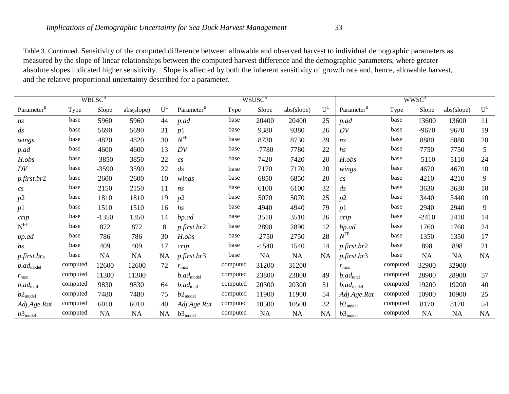Table 3. Continued. Sensitivity of the computed difference between allowable and observed harvest to individual demographic parameters as measured by the slope of linear relationships between the computed harvest difference and the demographic parameters, where greater absolute slopes indicated higher sensitivity. Slope is affected by both the inherent sensitivity of growth rate and, hence, allowable harvest, and the relative proportional uncertainty described for a parameter.

|                            |          | WBLSC <sup>A</sup> |            |       |                          |          | WSUSC <sup>A</sup> |            | <b>WWSC<sup>A</sup></b> |                              |          |           |            |           |
|----------------------------|----------|--------------------|------------|-------|--------------------------|----------|--------------------|------------|-------------------------|------------------------------|----------|-----------|------------|-----------|
| Parameter <sup>B</sup>     | Type     | Slope              | abs(slope) | $U^C$ | Parameter <sup>B</sup>   | Type     | Slope              | abs(slope) | $\mathbf{U}^\mathrm{C}$ | Parameter <sup>B</sup>       | Type     | Slope     | abs(slope) | $U^C$     |
| ns                         | base     | 5960               | 5960       | 44    | p.ad                     | base     | 20400              | 20400      | 25                      | p.ad                         | base     | 13600     | 13600      | 11        |
| $\mathfrak{ds}$            | base     | 5690               | 5690       | 31    | p1                       | base     | 9380               | 9380       | 26                      | DV                           | base     | $-9670$   | 9670       | 19        |
| wings                      | base     | 4820               | 4820       | 30    | $N^{\rm FF}$             | base     | 8730               | 8730       | 39                      | ns                           | base     | 8880      | 8880       | 20        |
| p.ad                       | base     | 4600               | 4600       | 13    | DV                       | base     | $-7780$            | 7780       | 22                      | $\mathfrak{h} \mathfrak{s}$  | base     | 7750      | 7750       | 5         |
| H.obs                      | base     | $-3850$            | 3850       | 22    | cs                       | base     | 7420               | 7420       | 20                      | H.obs                        | base     | $-5110$   | 5110       | 24        |
| DV                         | base     | $-3590$            | 3590       | 22    | $\frac{ds}{\sqrt{2}}$    | base     | 7170               | 7170       | 20                      | wings                        | base     | 4670      | 4670       | 10        |
| $p$ .first.br2             | base     | 2600               | 2600       | 10    | wings                    | base     | 6850               | 6850       | 20                      | cs                           | base     | 4210      | 4210       | 9         |
| cs                         | base     | 2150               | 2150       | 11    | ns                       | base     | 6100               | 6100       | 32                      | $\frac{ds}{g}$               | base     | 3630      | 3630       | 10        |
| p2                         | base     | 1810               | 1810       | 19    | p2                       | base     | 5070               | 5070       | 25                      | p2                           | base     | 3440      | 3440       | 10        |
| p1                         | base     | 1510               | 1510       | 16    | <i>hs</i>                | base     | 4940               | 4940       | 79                      | p1                           | base     | 2940      | 2940       | 9         |
| crip                       | base     | $-1350$            | 1350       | 14    | bp.ad                    | base     | 3510               | 3510       | 26                      | crip                         | base     | $-2410$   | 2410       | 14        |
| $\mathbf{N}^{\text{FF}}$   | base     | 872                | 872        | 8     | $p$ .first.br2           | base     | 2890               | 2890       | 12                      | bp.ad                        | base     | 1760      | 1760       | 24        |
| bp.ad                      | base     | 786                | 786        | 30    | H.obs                    | base     | $-2750$            | 2750       | 28                      | $N^{\rm FF}$                 | base     | 1350      | 1350       | 17        |
| hs                         | base     | 409                | 409        | 17    | crip                     | base     | $-1540$            | 1540       | 14                      | $p$ .first.br2               | base     | 898       | 898        | 21        |
| $p$ .first.br <sub>3</sub> | base     | NA                 | <b>NA</b>  | NA    | p.first.br3              | base     | <b>NA</b>          | <b>NA</b>  | NA                      | $p$ .first.br $\overline{3}$ | base     | <b>NA</b> | <b>NA</b>  | <b>NA</b> |
| $b$ .ad <sub>model</sub>   | computed | 12600              | 12600      | 72    | $r_{\text{max}}$         | computed | 31200              | 31200      |                         | $r_{\text{max}}$             | computed | 32900     | 32900      |           |
| $r_{\rm max}$              | computed | 11300              | 11300      |       | $b$ .ad <sub>model</sub> | computed | 23800              | 23800      | 49                      | $b$ .ad <sub>total</sub>     | computed | 28900     | 28900      | 57        |
| $b$ .ad <sub>total</sub>   | computed | 9830               | 9830       | 64    | $b$ .ad <sub>total</sub> | computed | 20300              | 20300      | 51                      | $b$ .ad <sub>model</sub>     | computed | 19200     | 19200      | 40        |
| $b2_{\text{model}}$        | computed | 7480               | 7480       | 75    | $b2_{\text{model}}$      | computed | 11900              | 11900      | 54                      | Adj.Age.Rat                  | computed | 10900     | 10900      | 25        |
| Adj.Age.Rat                | computed | 6010               | 6010       | 40    | Adj.Age.Rat              | computed | 10500              | 10500      | 32                      | $b2_{\text{model}}$          | computed | 8170      | 8170       | 54        |
| $b3_{\text{model}}$        | computed | NA                 | <b>NA</b>  | NA    | $b3_{model}$             | computed | <b>NA</b>          | <b>NA</b>  | NA                      | $b3_{\text{model}}$          | computed | <b>NA</b> | NA         | <b>NA</b> |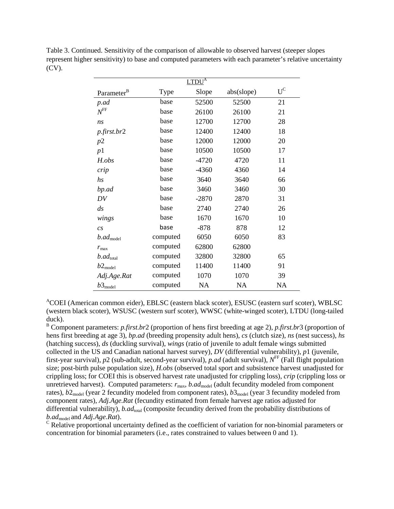Table 3. Continued. Sensitivity of the comparison of allowable to observed harvest (steeper slopes represent higher sensitivity) to base and computed parameters with each parameter's relative uncertainty (CV).

|                          |          | LTDU <sup>A</sup> |            |           |
|--------------------------|----------|-------------------|------------|-----------|
| Parameter <sup>B</sup>   | Type     | Slope             | abs(slope) | $U^C$     |
| p.ad                     | base     | 52500             | 52500      | 21        |
| $N^{\rm FF}$             | base     | 26100             | 26100      | 21        |
| ns                       | base     | 12700             | 12700      | 28        |
| p.first.br2              | base     | 12400             | 12400      | 18        |
| p2                       | base     | 12000             | 12000      | 20        |
| p1                       | base     | 10500             | 10500      | 17        |
| H.obs                    | base     | $-4720$           | 4720       | 11        |
| crip                     | base     | $-4360$           | 4360       | 14        |
| hs                       | base     | 3640              | 3640       | 66        |
| bp.ad                    | base     | 3460              | 3460       | 30        |
| DV                       | base     | $-2870$           | 2870       | 31        |
| $\mathfrak{ds}$          | base     | 2740              | 2740       | 26        |
| wings                    | base     | 1670              | 1670       | 10        |
| $\overline{c}s$          | base     | $-878$            | 878        | 12        |
| $b$ . $ad_{model}$       | computed | 6050              | 6050       | 83        |
| $r_{\rm max}$            | computed | 62800             | 62800      |           |
| $b$ .ad <sub>total</sub> | computed | 32800             | 32800      | 65        |
| $b2_{\text{model}}$      | computed | 11400             | 11400      | 91        |
| Adj.Age.Rat              | computed | 1070              | 1070       | 39        |
| $b3_{\text{model}}$      | computed | <b>NA</b>         | <b>NA</b>  | <b>NA</b> |

A COEI (American common eider), EBLSC (eastern black scoter), ESUSC (eastern surf scoter), WBLSC (western black scoter), WSUSC (western surf scoter), WWSC (white-winged scoter), LTDU (long-tailed duck).

<sup>B</sup> Component parameters: *p.first.br*2 (proportion of hens first breeding at age 2), *p.first.br*3 (proportion of hens first breeding at age 3), *bp.ad* (breeding propensity adult hens), *cs* (clutch size), *ns* (nest success), *hs* (hatching success), *ds* (duckling survival), *wings* (ratio of juvenile to adult female wings submitted collected in the US and Canadian national harvest survey), *DV* (differential vulnerability), *p*1 (juvenile, first-year survival), *p*2 (sub-adult, second-year survival), *p.ad* (adult survival),  $N^{\text{FF}}$  (Fall flight population size; post-birth pulse population size), *H.obs* (observed total sport and subsistence harvest unadjusted for crippling loss; for COEI this is observed harvest rate unadjusted for crippling loss), *crip* (crippling loss or unretrieved harvest). Computed parameters:  $r_{\text{max}}$ , *b.ad*<sub>model</sub> (adult fecundity modeled from component rates),  $b2_{\text{model}}$  (year 2 fecundity modeled from component rates),  $b3_{\text{model}}$  (year 3 fecundity modeled from component rates), *Adj.Age.Rat* (fecundity estimated from female harvest age ratios adjusted for differential vulnerability), *b.ad*<sub>total</sub> (composite fecundity derived from the probability distributions of *b.ad*model and *Adj.Age.Rat*).

 $\sigma$  Relative proportional uncertainty defined as the coefficient of variation for non-binomial parameters or concentration for binomial parameters (i.e., rates constrained to values between 0 and 1).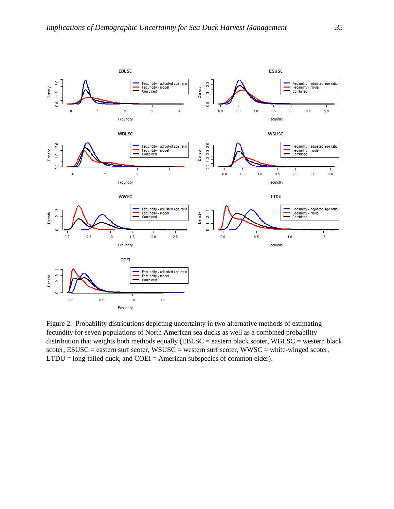

Figure 2. Probability distributions depicting uncertainty in two alternative methods of estimating fecundity for seven populations of North American sea ducks as well as a combined probability distribution that weights both methods equally ( $EBLSC =$  eastern black scoter,  $WBLSC =$  western black scoter, ESUSC = eastern surf scoter, WSUSC = western surf scoter, WWSC = white-winged scoter, LTDU = long-tailed duck, and COEI = American subspecies of common eider).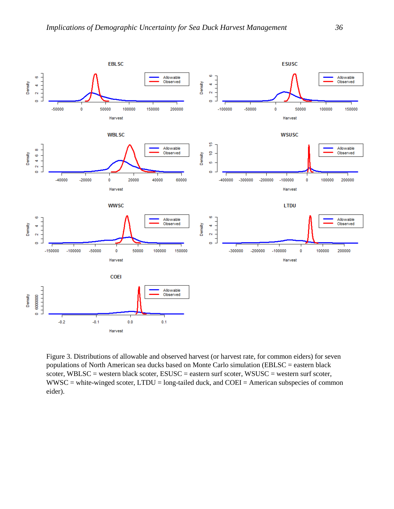

Figure 3. Distributions of allowable and observed harvest (or harvest rate, for common eiders) for seven populations of North American sea ducks based on Monte Carlo simulation (EBLSC = eastern black scoter, WBLSC = western black scoter, ESUSC = eastern surf scoter, WSUSC = western surf scoter, WWSC = white-winged scoter, LTDU = long-tailed duck, and COEI = American subspecies of common eider).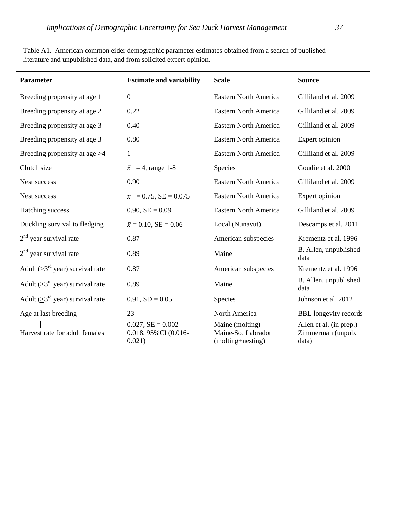| Parameter                                 | <b>Estimate and variability</b>                           | <b>Scale</b>                                               | <b>Source</b>                                         |
|-------------------------------------------|-----------------------------------------------------------|------------------------------------------------------------|-------------------------------------------------------|
| Breeding propensity at age 1              | $\boldsymbol{0}$                                          | <b>Eastern North America</b>                               | Gilliland et al. 2009                                 |
| Breeding propensity at age 2              | 0.22                                                      | Eastern North America                                      | Gilliland et al. 2009                                 |
| Breeding propensity at age 3              | 0.40                                                      | Eastern North America                                      | Gilliland et al. 2009                                 |
| Breeding propensity at age 3              | 0.80                                                      | Eastern North America                                      | Expert opinion                                        |
| Breeding propensity at age $\geq$ 4       | $\mathbf{1}$                                              | Eastern North America                                      | Gilliland et al. 2009                                 |
| Clutch size                               | $\bar{x}$ = 4, range 1-8                                  | Species                                                    | Goudie et al. 2000                                    |
| Nest success                              | 0.90                                                      | <b>Eastern North America</b>                               | Gilliland et al. 2009                                 |
| Nest success                              | $\bar{x} = 0.75$ , SE = 0.075                             | Eastern North America                                      | Expert opinion                                        |
| Hatching success                          | $0.90, SE = 0.09$                                         | <b>Eastern North America</b>                               | Gilliland et al. 2009                                 |
| Duckling survival to fledging             | $\bar{x} = 0.10$ , SE = 0.06                              | Local (Nunavut)                                            | Descamps et al. 2011                                  |
| $2nd$ year survival rate                  | 0.87                                                      | American subspecies                                        | Krementz et al. 1996                                  |
| $2nd$ year survival rate                  | 0.89                                                      | Maine                                                      | B. Allen, unpublished<br>data                         |
| Adult $( \geq 3^{rd}$ year) survival rate | 0.87                                                      | American subspecies                                        | Krementz et al. 1996                                  |
| Adult ( $\geq 3^{rd}$ year) survival rate | 0.89                                                      | Maine                                                      | B. Allen, unpublished<br>data                         |
| Adult ( $\geq 3^{rd}$ year) survival rate | $0.91, SD = 0.05$                                         | Species                                                    | Johnson et al. 2012                                   |
| Age at last breeding                      | 23                                                        | North America                                              | <b>BBL</b> longevity records                          |
| Harvest rate for adult females            | $0.027$ , $SE = 0.002$<br>0.018, 95% CI (0.016-<br>0.021) | Maine (molting)<br>Maine-So. Labrador<br>(molting+nesting) | Allen et al. (in prep.)<br>Zimmerman (unpub.<br>data) |

Table A1. American common eider demographic parameter estimates obtained from a search of published literature and unpublished data, and from solicited expert opinion.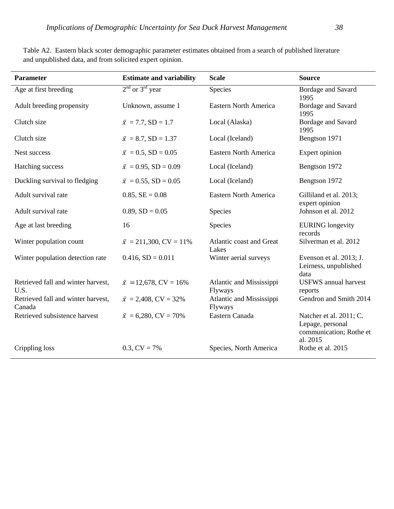| <b>Parameter</b>                             | <b>Estimate and variability</b> | <b>Scale</b>                        | <b>Source</b>                                                                      |  |  |
|----------------------------------------------|---------------------------------|-------------------------------------|------------------------------------------------------------------------------------|--|--|
| Age at first breeding                        | $2nd$ or $3rd$ year             | Species                             | Bordage and Savard<br>1995                                                         |  |  |
| Adult breeding propensity                    | Unknown, assume 1               | <b>Eastern North America</b>        | Bordage and Savard<br>1995                                                         |  |  |
| Clutch size                                  | $\bar{x}$ = 7.7, SD = 1.7       | Local (Alaska)                      | Bordage and Savard<br>1995                                                         |  |  |
| Clutch size                                  | $\bar{x}$ = 8.7, SD = 1.37      | Local (Iceland)                     | Bengtson 1971                                                                      |  |  |
| Nest success                                 | $\bar{x} = 0.5$ , SD = 0.05     | <b>Eastern North America</b>        | Expert opinion                                                                     |  |  |
| Hatching success                             | $\bar{x} = 0.95$ , SD = 0.09    | Local (Iceland)                     | Bengtson 1972                                                                      |  |  |
| Duckling survival to fledging                | $\bar{x} = 0.55$ , SD = 0.05    | Local (Iceland)                     | Bengtson 1972                                                                      |  |  |
| Adult survival rate                          | $0.85, SE = 0.08$               | Eastern North America               | Gilliland et al. 2013;<br>expert opinion                                           |  |  |
| Adult survival rate                          | $0.89, SD = 0.05$               | Species                             | Johnson et al. 2012                                                                |  |  |
| Age at last breeding                         | 16                              | Species                             | <b>EURING</b> longevity<br>records                                                 |  |  |
| Winter population count                      | $\bar{x} = 211,300, CV = 11\%$  | Atlantic coast and Great<br>Lakes   | Silverman et al. 2012                                                              |  |  |
| Winter population detection rate             | $0.416$ , $SD = 0.011$          | Winter aerial surveys               | Evenson et al. 2013; J.<br>Leirness, unpublished<br>data                           |  |  |
| Retrieved fall and winter harvest,<br>U.S.   | $\bar{x}$ = 12,678, CV = 16%    | Atlantic and Mississippi<br>Flyways | <b>USFWS</b> annual harvest<br>reports                                             |  |  |
| Retrieved fall and winter harvest,<br>Canada | $\bar{x}$ = 2,408, CV = 32%     | Atlantic and Mississippi<br>Flyways | Gendron and Smith 2014                                                             |  |  |
| Retrieved subsistence harvest                | $\bar{x}$ = 6,280, CV = 70%     | Eastern Canada                      | Natcher et al. 2011; C.<br>Lepage, personal<br>communication; Rothe et<br>al. 2015 |  |  |
| Crippling loss                               | $0.3$ , $CV = 7\%$              | Species, North America              | Rothe et al. 2015                                                                  |  |  |

Table A2. Eastern black scoter demographic parameter estimates obtained from a search of published literature and unpublished data, and from solicited expert opinion.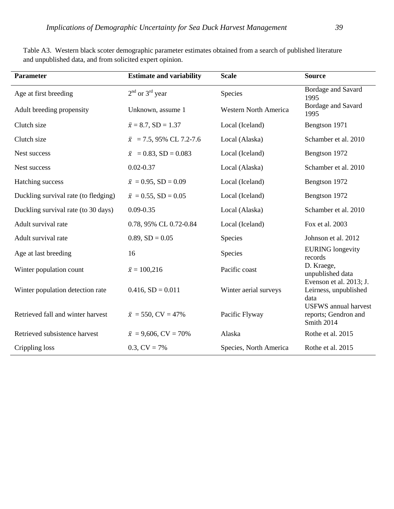| <b>Parameter</b>                     | <b>Estimate and variability</b> | <b>Scale</b>                 | <b>Source</b>                                                     |
|--------------------------------------|---------------------------------|------------------------------|-------------------------------------------------------------------|
| Age at first breeding                | $2nd$ or $3rd$ year             | Species                      | Bordage and Savard<br>1995                                        |
| Adult breeding propensity            | Unknown, assume 1               | <b>Western North America</b> | Bordage and Savard<br>1995                                        |
| Clutch size                          | $\bar{x} = 8.7$ , SD = 1.37     | Local (Iceland)              | Bengtson 1971                                                     |
| Clutch size                          | $\bar{x}$ = 7.5, 95% CL 7.2-7.6 | Local (Alaska)               | Schamber et al. 2010                                              |
| Nest success                         | $\bar{x}$ = 0.83, SD = 0.083    | Local (Iceland)              | Bengtson 1972                                                     |
| Nest success                         | $0.02 - 0.37$                   | Local (Alaska)               | Schamber et al. 2010                                              |
| Hatching success                     | $\bar{x} = 0.95$ , SD = 0.09    | Local (Iceland)              | Bengtson 1972                                                     |
| Duckling survival rate (to fledging) | $\bar{x} = 0.55$ , SD = 0.05    | Local (Iceland)              | Bengtson 1972                                                     |
| Duckling survival rate (to 30 days)  | $0.09 - 0.35$                   | Local (Alaska)               | Schamber et al. 2010                                              |
| Adult survival rate                  | 0.78, 95% CL 0.72-0.84          | Local (Iceland)              | Fox et al. 2003                                                   |
| Adult survival rate                  | $0.89, SD = 0.05$               | <b>Species</b>               | Johnson et al. 2012                                               |
| Age at last breeding                 | 16                              | Species                      | <b>EURING</b> longevity<br>records                                |
| Winter population count              | $\bar{x} = 100,216$             | Pacific coast                | D. Kraege,<br>unpublished data                                    |
| Winter population detection rate     | $0.416$ , $SD = 0.011$          | Winter aerial surveys        | Evenson et al. 2013; J.<br>Leirness, unpublished<br>data          |
| Retrieved fall and winter harvest    | $\bar{x}$ = 550, CV = 47%       | Pacific Flyway               | <b>USFWS</b> annual harvest<br>reports; Gendron and<br>Smith 2014 |
| Retrieved subsistence harvest        | $\bar{x} = 9,606$ , CV = 70%    | Alaska                       | Rothe et al. 2015                                                 |
| Crippling loss                       | $0.3$ , $CV = 7\%$              | Species, North America       | Rothe et al. 2015                                                 |

Table A3. Western black scoter demographic parameter estimates obtained from a search of published literature and unpublished data, and from solicited expert opinion.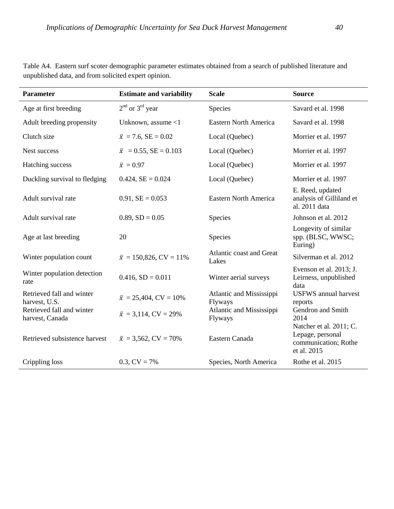| Parameter                                    | <b>Estimate and variability</b> | <b>Scale</b>                        | <b>Source</b>                                                                      |
|----------------------------------------------|---------------------------------|-------------------------------------|------------------------------------------------------------------------------------|
| Age at first breeding                        | $2nd$ or $3rd$ year             | Species                             | Savard et al. 1998                                                                 |
| Adult breeding propensity                    | Unknown, assume $<$ 1           | <b>Eastern North America</b>        | Savard et al. 1998                                                                 |
| Clutch size                                  | $\bar{x}$ = 7.6, SE = 0.02      | Local (Quebec)                      | Morrier et al. 1997                                                                |
| Nest success                                 | $\bar{x}$ = 0.55, SE = 0.103    | Local (Quebec)                      | Morrier et al. 1997                                                                |
| Hatching success                             | $\bar{x} = 0.97$                | Local (Quebec)                      | Morrier et al. 1997                                                                |
| Duckling survival to fledging                | $0.424, SE = 0.024$             | Local (Quebec)                      | Morrier et al. 1997                                                                |
| Adult survival rate                          | $0.91$ , $SE = 0.053$           | <b>Eastern North America</b>        | E. Reed, updated<br>analysis of Gilliland et<br>al. 2011 data                      |
| Adult survival rate                          | $0.89, SD = 0.05$               | <b>Species</b>                      | Johnson et al. 2012                                                                |
| Age at last breeding                         | 20                              | Species                             | Longevity of similar<br>spp. (BLSC, WWSC;<br>Euring)                               |
| Winter population count                      | $\bar{x} = 150,826$ , CV = 11%  | Atlantic coast and Great<br>Lakes   | Silverman et al. 2012                                                              |
| Winter population detection<br>rate          | $0.416$ , $SD = 0.011$          | Winter aerial surveys               | Evenson et al. 2013; J.<br>Leirness, unpublished<br>data                           |
| Retrieved fall and winter<br>harvest, U.S.   | $\bar{x} = 25,404$ , CV = 10%   | Atlantic and Mississippi<br>Flyways | <b>USFWS</b> annual harvest<br>reports                                             |
| Retrieved fall and winter<br>harvest, Canada | $\bar{x}$ = 3,114, CV = 29%     | Atlantic and Mississippi<br>Flyways | Gendron and Smith<br>2014                                                          |
| Retrieved subsistence harvest                | $\bar{x}$ = 3,562, CV = 70%     | Eastern Canada                      | Natcher et al. 2011; C.<br>Lepage, personal<br>communication; Rothe<br>et al. 2015 |
| Crippling loss                               | $0.3, CV = 7\%$                 | Species, North America              | Rothe et al. 2015                                                                  |

Table A4. Eastern surf scoter demographic parameter estimates obtained from a search of published literature and unpublished data, and from solicited expert opinion.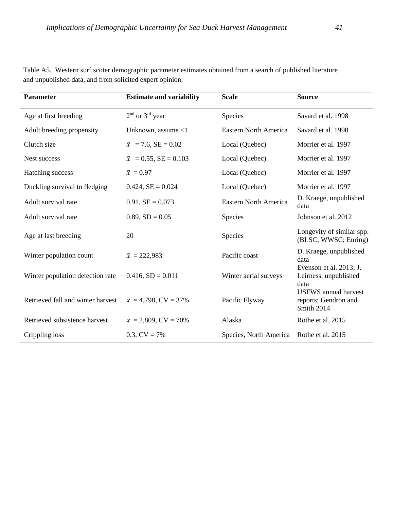| <b>Parameter</b>                  | <b>Estimate and variability</b> | <b>Scale</b>                 | <b>Source</b>                                                     |
|-----------------------------------|---------------------------------|------------------------------|-------------------------------------------------------------------|
| Age at first breeding             | $2nd$ or $3rd$ year             | Species                      | Savard et al. 1998                                                |
| Adult breeding propensity         | Unknown, assume $<$ 1           | Eastern North America        | Savard et al. 1998                                                |
| Clutch size                       | $\bar{x}$ = 7.6, SE = 0.02      | Local (Quebec)               | Morrier et al. 1997                                               |
| Nest success                      | $\bar{x}$ = 0.55, SE = 0.103    | Local (Quebec)               | Morrier et al. 1997                                               |
| Hatching success                  | $\bar{x} = 0.97$                | Local (Quebec)               | Morrier et al. 1997                                               |
| Duckling survival to fledging     | $0.424$ , $SE = 0.024$          | Local (Quebec)               | Morrier et al. 1997                                               |
| Adult survival rate               | $0.91$ , $SE = 0.073$           | <b>Eastern North America</b> | D. Kraege, unpublished<br>data                                    |
| Adult survival rate               | $0.89, SD = 0.05$               | Species                      | Johnson et al. 2012                                               |
| Age at last breeding              | 20                              | <b>Species</b>               | Longevity of similar spp.<br>(BLSC, WWSC; Euring)                 |
| Winter population count           | $\bar{x} = 222,983$             | Pacific coast                | D. Kraege, unpublished<br>data                                    |
| Winter population detection rate  | $0.416$ , $SD = 0.011$          | Winter aerial surveys        | Evenson et al. 2013; J.<br>Leirness, unpublished<br>data          |
| Retrieved fall and winter harvest | $\bar{x}$ = 4,798, CV = 37%     | Pacific Flyway               | <b>USFWS</b> annual harvest<br>reports; Gendron and<br>Smith 2014 |
| Retrieved subsistence harvest     | $\bar{x} = 2,809$ , CV = 70%    | Alaska                       | Rothe et al. 2015                                                 |
| Crippling loss                    | 0.3, $CV = 7\%$                 | Species, North America       | Rothe et al. 2015                                                 |

Table A5. Western surf scoter demographic parameter estimates obtained from a search of published literature and unpublished data, and from solicited expert opinion.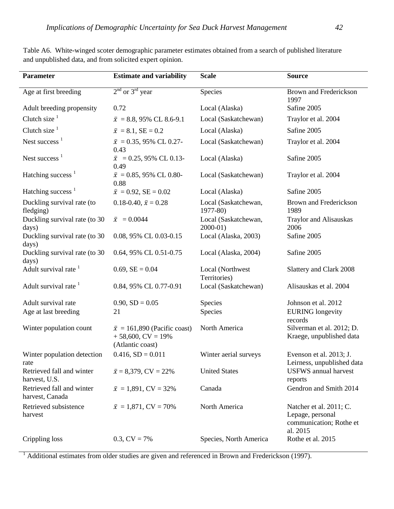| <b>Parameter</b>                             | <b>Estimate and variability</b>                                                 | <b>Scale</b>                        | <b>Source</b>                                                                      |
|----------------------------------------------|---------------------------------------------------------------------------------|-------------------------------------|------------------------------------------------------------------------------------|
| Age at first breeding                        | $2nd$ or $3rd$ year                                                             | Species                             | Brown and Frederickson<br>1997                                                     |
| Adult breeding propensity                    | 0.72                                                                            | Local (Alaska)                      | Safine 2005                                                                        |
| Clutch size $1$                              | $\bar{x}$ = 8.8, 95% CL 8.6-9.1                                                 | Local (Saskatchewan)                | Traylor et al. 2004                                                                |
| Clutch size $1$                              | $\bar{x} = 8.1$ , SE = 0.2                                                      | Local (Alaska)                      | Safine 2005                                                                        |
| Nest success $1$                             | $\bar{x}$ = 0.35, 95% CL 0.27-<br>0.43                                          | Local (Saskatchewan)                | Traylor et al. 2004                                                                |
| Nest success $1$                             | $\bar{x}$ = 0.25, 95% CL 0.13-<br>0.49                                          | Local (Alaska)                      | Safine 2005                                                                        |
| Hatching success <sup>1</sup>                | $\bar{x} = 0.85, 95\% \text{ CL } 0.80$ -<br>0.88                               | Local (Saskatchewan)                | Traylor et al. 2004                                                                |
| Hatching success $1$                         | $\bar{x} = 0.92$ , SE = 0.02                                                    | Local (Alaska)                      | Safine 2005                                                                        |
| Duckling survival rate (to<br>fledging)      | 0.18-0.40, $\bar{x} = 0.28$                                                     | Local (Saskatchewan,<br>$1977 - 80$ | Brown and Frederickson<br>1989                                                     |
| Duckling survival rate (to 30<br>days)       | $\bar{x} = 0.0044$                                                              | Local (Saskatchewan,<br>$2000-01$ ) | Traylor and Alisauskas<br>2006                                                     |
| Duckling survival rate (to 30<br>days)       | 0.08, 95% CL 0.03-0.15                                                          | Local (Alaska, 2003)                | Safine 2005                                                                        |
| Duckling survival rate (to 30<br>days)       | 0.64, 95% CL 0.51-0.75                                                          | Local (Alaska, 2004)                | Safine 2005                                                                        |
| Adult survival rate <sup>1</sup>             | $0.69$ , $SE = 0.04$                                                            | Local (Northwest<br>Territories)    | Slattery and Clark 2008                                                            |
| Adult survival rate <sup>1</sup>             | 0.84, 95% CL 0.77-0.91                                                          | Local (Saskatchewan)                | Alisauskas et al. 2004                                                             |
| Adult survival rate                          | $0.90, SD = 0.05$                                                               | Species                             | Johnson et al. 2012                                                                |
| Age at last breeding                         | 21                                                                              | Species                             | <b>EURING</b> longevity<br>records                                                 |
| Winter population count                      | $\bar{x}$ = 161,890 (Pacific coast)<br>$+58,600$ , CV = 19%<br>(Atlantic coast) | North America                       | Silverman et al. 2012; D.<br>Kraege, unpublished data                              |
| Winter population detection<br>rate          | $0.416$ , $SD = 0.011$                                                          | Winter aerial surveys               | Evenson et al. 2013; J.<br>Leirness, unpublished data                              |
| Retrieved fall and winter<br>harvest, U.S.   | $\bar{x} = 8,379$ , CV = 22%                                                    | <b>United States</b>                | <b>USFWS</b> annual harvest<br>reports                                             |
| Retrieved fall and winter<br>harvest, Canada | $\bar{x} = 1,891$ , CV = 32%                                                    | Canada                              | Gendron and Smith 2014                                                             |
| Retrieved subsistence<br>harvest             | $\bar{x} = 1,871$ , CV = 70%                                                    | North America                       | Natcher et al. 2011; C.<br>Lepage, personal<br>communication; Rothe et<br>al. 2015 |
| Crippling loss                               | $0.3, CV = 7\%$                                                                 | Species, North America              | Rothe et al. 2015                                                                  |

Table A6. White-winged scoter demographic parameter estimates obtained from a search of published literature and unpublished data, and from solicited expert opinion.

<sup>1</sup> Additional estimates from older studies are given and referenced in Brown and Frederickson (1997).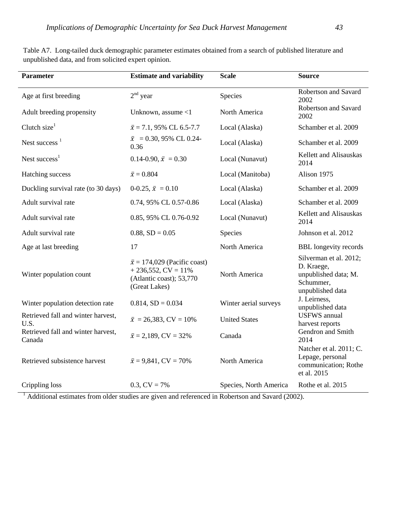| <b>Parameter</b>                             | <b>Estimate and variability</b>                                                                           | <b>Scale</b>           | <b>Source</b>                                                                                 |
|----------------------------------------------|-----------------------------------------------------------------------------------------------------------|------------------------|-----------------------------------------------------------------------------------------------|
| Age at first breeding                        | $2nd$ year                                                                                                | Species                | Robertson and Savard<br>2002                                                                  |
| Adult breeding propensity                    | Unknown, assume <1                                                                                        | North America          | Robertson and Savard<br>2002                                                                  |
| Clutch size $1$                              | $\bar{x}$ = 7.1, 95% CL 6.5-7.7                                                                           | Local (Alaska)         | Schamber et al. 2009                                                                          |
| Nest success $1$                             | $\bar{x}$ = 0.30, 95% CL 0.24-<br>0.36                                                                    | Local (Alaska)         | Schamber et al. 2009                                                                          |
| Nest success $1$                             | 0.14-0.90, $\bar{x} = 0.30$                                                                               | Local (Nunavut)        | Kellett and Alisauskas<br>2014                                                                |
| Hatching success                             | $\bar{x}=0.804$                                                                                           | Local (Manitoba)       | Alison 1975                                                                                   |
| Duckling survival rate (to 30 days)          | 0-0.25, $\bar{x} = 0.10$                                                                                  | Local (Alaska)         | Schamber et al. 2009                                                                          |
| Adult survival rate                          | 0.74, 95% CL 0.57-0.86                                                                                    | Local (Alaska)         | Schamber et al. 2009                                                                          |
| Adult survival rate                          | 0.85, 95% CL 0.76-0.92                                                                                    | Local (Nunavut)        | Kellett and Alisauskas<br>2014                                                                |
| Adult survival rate                          | $0.88, SD = 0.05$                                                                                         | Species                | Johnson et al. 2012                                                                           |
| Age at last breeding                         | 17                                                                                                        | North America          | <b>BBL</b> longevity records                                                                  |
| Winter population count                      | $\bar{x}$ = 174,029 (Pacific coast)<br>$+236,552, CV = 11\%$<br>(Atlantic coast); 53,770<br>(Great Lakes) | North America          | Silverman et al. 2012;<br>D. Kraege,<br>unpublished data; M.<br>Schummer,<br>unpublished data |
| Winter population detection rate             | $0.814$ , $SD = 0.034$                                                                                    | Winter aerial surveys  | J. Leirness,<br>unpublished data                                                              |
| Retrieved fall and winter harvest,<br>U.S.   | $\bar{x} = 26,383, CV = 10\%$                                                                             | <b>United States</b>   | <b>USFWS</b> annual<br>harvest reports                                                        |
| Retrieved fall and winter harvest,<br>Canada | $\bar{x} = 2,189$ , CV = 32%                                                                              | Canada                 | Gendron and Smith<br>2014                                                                     |
| Retrieved subsistence harvest                | $\bar{x} = 9,841$ , CV = 70%                                                                              | North America          | Natcher et al. 2011; C.<br>Lepage, personal<br>communication; Rothe<br>et al. 2015            |
| Crippling loss                               | $0.3$ , $CV = 7\%$                                                                                        | Species, North America | Rothe et al. 2015                                                                             |

Table A7. Long-tailed duck demographic parameter estimates obtained from a search of published literature and unpublished data, and from solicited expert opinion.

<sup>1</sup> Additional estimates from older studies are given and referenced in Robertson and Savard (2002).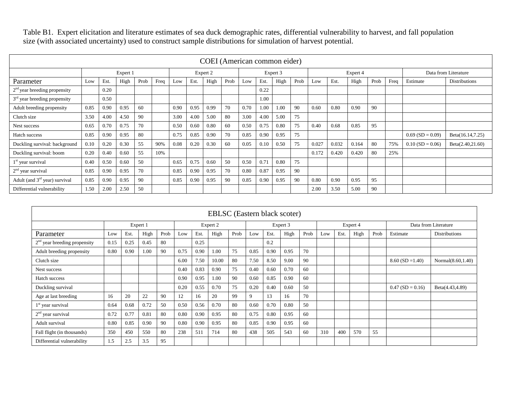|                                 | COEI (American common eider) |      |          |      |      |          |      |      |      |          |      |      |      |          |       |       |      |      |                      |                      |
|---------------------------------|------------------------------|------|----------|------|------|----------|------|------|------|----------|------|------|------|----------|-------|-------|------|------|----------------------|----------------------|
|                                 |                              |      | Expert 1 |      |      | Expert 2 |      |      |      | Expert 3 |      |      |      | Expert 4 |       |       |      |      | Data from Literature |                      |
| Parameter                       | Low                          | Est. | High     | Prob | Freq | Low      | Est. | High | Prob | Low      | Est. | High | Prob | Low      | Est.  | High  | Prob | Freq | Estimate             | <b>Distributions</b> |
| $2nd$ year breeding propensity  |                              | 0.20 |          |      |      |          |      |      |      |          | 0.22 |      |      |          |       |       |      |      |                      |                      |
| $3rd$ year breeding propensity  |                              | 0.50 |          |      |      |          |      |      |      |          | 1.00 |      |      |          |       |       |      |      |                      |                      |
| Adult breeding propensity       | 0.85                         | 0.90 | 0.95     | 60   |      | 0.90     | 0.95 | 0.99 | 70   | 0.70     | 1.00 | 1.00 | -90  | 0.60     | 0.80  | 0.90  | 90   |      |                      |                      |
| Clutch size                     | 3.50                         | 4.00 | 4.50     | 90   |      | 3.00     | 4.00 | 5.00 | 80   | 3.00     | 4.00 | 5.00 | 75   |          |       |       |      |      |                      |                      |
| Nest success                    | 0.65                         | 0.70 | 0.75     | 70   |      | 0.50     | 0.60 | 0.80 | 60   | 0.50     | 0.75 | 0.80 | 75   | 0.40     | 0.68  | 0.85  | 95   |      |                      |                      |
| Hatch success                   | 0.85                         | 0.90 | 0.95     | 80   |      | 0.75     | 0.85 | 0.90 | 70   | 0.85     | 0.90 | 0.95 | 75   |          |       |       |      |      | $0.69$ (SD = 0.09)   | Beta(16.14,7.25)     |
| Duckling survival: background   | 0.10                         | 0.20 | 0.30     | 55   | 90%  | 0.08     | 0.20 | 0.30 | 60   | 0.05     | 0.10 | 0.50 | 75   | 0.027    | 0.032 | 0.164 | 80   | 75%  | $0.10$ (SD = 0.06)   | Beta(2.40,21.60)     |
| Duckling survival: boom         | 0.20                         | 0.40 | 0.60     | 55   | 10%  |          |      |      |      |          |      |      |      | 0.172    | 0.420 | 0.420 | 80   | 25%  |                      |                      |
| $1st$ year survival             | 0.40                         | 0.50 | 0.60     | 50   |      | 0.65     | 0.75 | 0.60 | 50   | 0.50     | 0.71 | 0.80 | 75   |          |       |       |      |      |                      |                      |
| $2nd$ year survival             | 0.85                         | 0.90 | 0.95     | 70   |      | 0.85     | 0.90 | 0.95 | 70   | 0.80     | 0.87 | 0.95 | -90  |          |       |       |      |      |                      |                      |
| Adult (and $3rd$ year) survival | 0.85                         | 0.90 | 0.95     | 90   |      | 0.85     | 0.90 | 0.95 | 90   | 0.85     | 0.90 | 0.95 | 90   | 0.80     | 0.90  | 0.95  | 95   |      |                      |                      |
| Differential vulnerability      | 1.50                         | 2.00 | 2.50     | 50   |      |          |      |      |      |          |      |      |      | 2.00     | 3.50  | 5.00  | 90   |      |                      |                      |

| <b>EBLSC</b> (Eastern black scoter) |      |      |          |      |          |      |       |      |          |      |      |      |          |      |      |      |                      |                   |
|-------------------------------------|------|------|----------|------|----------|------|-------|------|----------|------|------|------|----------|------|------|------|----------------------|-------------------|
|                                     |      |      | Expert 1 |      | Expert 2 |      |       |      | Expert 3 |      |      |      | Expert 4 |      |      |      | Data from Literature |                   |
| Parameter                           | Low  | Est. | High     | Prob | Low      | Est. | High  | Prob | Low      | Est. | High | Prob | Low      | Est. | High | Prob | Estimate             | Distributions     |
| $2nd$ year breeding propensity      | 0.15 | 0.25 | 0.45     | 80   |          | 0.25 |       |      |          | 0.2  |      |      |          |      |      |      |                      |                   |
| Adult breeding propensity           | 0.80 | 0.90 | 1.00     | 90   | 0.75     | 0.90 | 1.00  | 75   | 0.85     | 0.90 | 0.95 | 70   |          |      |      |      |                      |                   |
| Clutch size                         |      |      |          |      | 6.00     | 7.50 | 10.00 | 80   | 7.50     | 8.50 | 9.00 | 90   |          |      |      |      | $8.60$ (SD = 1.40)   | Normal(8.60,1.40) |
| Nest success                        |      |      |          |      | 0.40     | 0.83 | 0.90  | 75   | 0.40     | 0.60 | 0.70 | 60   |          |      |      |      |                      |                   |
| <b>Hatch success</b>                |      |      |          |      | 0.90     | 0.95 | 1.00  | 90   | 0.60     | 0.85 | 0.90 | 60   |          |      |      |      |                      |                   |
| Duckling survival                   |      |      |          |      | 0.20     | 0.55 | 0.70  | 75   | 0.20     | 0.40 | 0.60 | 50   |          |      |      |      | $0.47$ (SD = 0.16)   | Beta(4.43,4.89)   |
| Age at last breeding                | 16   | 20   | 22       | 90   | 12       | 16   | 20    | 99   | 9        | 13   | 16.  | 70   |          |      |      |      |                      |                   |
| $1st$ year survival                 | 0.64 | 0.68 | 0.72     | 50   | 0.50     | 0.56 | 0.70  | 80   | 0.60     | 0.70 | 0.80 | 50   |          |      |      |      |                      |                   |
| $2nd$ year survival                 | 0.72 | 0.77 | 0.81     | 80   | 0.80     | 0.90 | 0.95  | 80   | 0.75     | 0.80 | 0.95 | 60   |          |      |      |      |                      |                   |
| Adult survival                      | 0.80 | 0.85 | 0.90     | 90   | 0.80     | 0.90 | 0.95  | 80   | 0.85     | 0.90 | 0.95 | 60   |          |      |      |      |                      |                   |
| Fall flight (in thousands)          | 350  | 450  | 550      | 80   | 238      | 511  | 714   | 80   | 438      | 505  | 543  | 60   | 310      | 400  | 570  | 55   |                      |                   |
| Differential vulnerability          | 1.5  | 2.5  | 3.5      | 95   |          |      |       |      |          |      |      |      |          |      |      |      |                      |                   |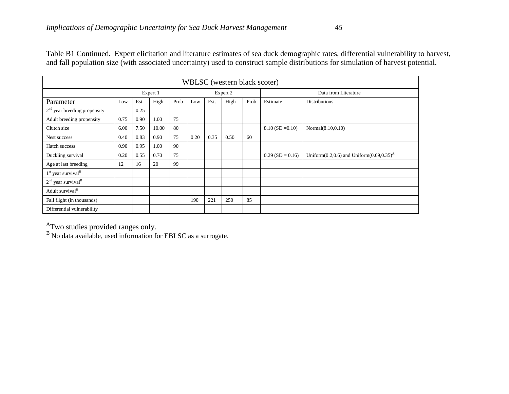|                                  | WBLSC (western black scoter) |      |          |      |      |      |          |                      |                    |                                                     |  |  |  |  |  |
|----------------------------------|------------------------------|------|----------|------|------|------|----------|----------------------|--------------------|-----------------------------------------------------|--|--|--|--|--|
|                                  |                              |      | Expert 1 |      |      |      | Expert 2 | Data from Literature |                    |                                                     |  |  |  |  |  |
| Parameter                        | Low                          | Est. | High     | Prob | Low  | Est. | High     | Prob                 | Estimate           | <b>Distributions</b>                                |  |  |  |  |  |
| $2nd$ year breeding propensity   |                              | 0.25 |          |      |      |      |          |                      |                    |                                                     |  |  |  |  |  |
| Adult breeding propensity        | 0.75                         | 0.90 | 1.00     | 75   |      |      |          |                      |                    |                                                     |  |  |  |  |  |
| Clutch size                      | 6.00                         | 7.50 | 10.00    | 80   |      |      |          |                      | $8.10$ (SD = 0.10) | Normal(8.10,0.10)                                   |  |  |  |  |  |
| Nest success                     | 0.40                         | 0.83 | 0.90     | 75   | 0.20 | 0.35 | 0.50     | 60                   |                    |                                                     |  |  |  |  |  |
| Hatch success                    | 0.90                         | 0.95 | 1.00     | 90   |      |      |          |                      |                    |                                                     |  |  |  |  |  |
| Duckling survival                | 0.20                         | 0.55 | 0.70     | 75   |      |      |          |                      | $0.29$ (SD = 0.16) | Uniform $(0.2, 0.6)$ and Uniform $(0.09, 0.35)^{A}$ |  |  |  |  |  |
| Age at last breeding             | 12                           | 16   | 20       | 99   |      |      |          |                      |                    |                                                     |  |  |  |  |  |
| $1st$ year survival <sup>B</sup> |                              |      |          |      |      |      |          |                      |                    |                                                     |  |  |  |  |  |
| $2nd$ year survival <sup>B</sup> |                              |      |          |      |      |      |          |                      |                    |                                                     |  |  |  |  |  |
| Adult survival <sup>B</sup>      |                              |      |          |      |      |      |          |                      |                    |                                                     |  |  |  |  |  |
| Fall flight (in thousands)       |                              |      |          |      | 190  | 221  | 250      | 85                   |                    |                                                     |  |  |  |  |  |
| Differential vulnerability       |                              |      |          |      |      |      |          |                      |                    |                                                     |  |  |  |  |  |

 $A$ Two studies provided ranges only.<br>B No data available, used information for EBLSC as a surrogate.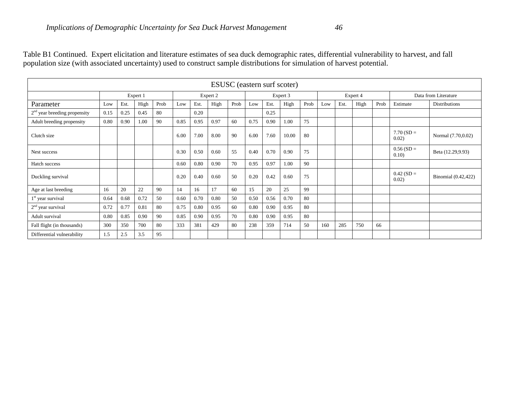|                                |                      |      |      |      |      |          |      |      |      |          | ESUSC (eastern surf scoter) |      |     |                      |      |      |                       |                      |
|--------------------------------|----------------------|------|------|------|------|----------|------|------|------|----------|-----------------------------|------|-----|----------------------|------|------|-----------------------|----------------------|
|                                | Expert 1<br>Expert 2 |      |      |      |      | Expert 3 |      |      |      | Expert 4 |                             |      |     | Data from Literature |      |      |                       |                      |
| Parameter                      | Low                  | Est. | High | Prob | Low  | Est.     | High | Prob | Low  | Est.     | High                        | Prob | Low | Est.                 | High | Prob | Estimate              | <b>Distributions</b> |
| $2nd$ year breeding propensity | 0.15                 | 0.25 | 0.45 | 80   |      | 0.20     |      |      |      | 0.25     |                             |      |     |                      |      |      |                       |                      |
| Adult breeding propensity      | 0.80                 | 0.90 | 1.00 | 90   | 0.85 | 0.95     | 0.97 | 60   | 0.75 | 0.90     | 1.00                        | 75   |     |                      |      |      |                       |                      |
| Clutch size                    |                      |      |      |      | 6.00 | 7.00     | 8.00 | 90   | 6.00 | 7.60     | 10.00                       | 80   |     |                      |      |      | $7.70(SD =$<br>0.02)  | Normal (7.70,0.02)   |
| Nest success                   |                      |      |      |      | 0.30 | 0.50     | 0.60 | 55   | 0.40 | 0.70     | 0.90                        | 75   |     |                      |      |      | $0.56(SD =$<br>0.10)  | Beta (12.29,9.93)    |
| Hatch success                  |                      |      |      |      | 0.60 | 0.80     | 0.90 | 70   | 0.95 | 0.97     | 1.00                        | 90   |     |                      |      |      |                       |                      |
| Duckling survival              |                      |      |      |      | 0.20 | 0.40     | 0.60 | 50   | 0.20 | 0.42     | 0.60                        | 75   |     |                      |      |      | $0.42$ (SD =<br>0.02) | Binomial (0.42,422)  |
| Age at last breeding           | 16                   | 20   | 22   | 90   | 14   | 16       | 17   | 60   | 15   | 20       | 25                          | 99   |     |                      |      |      |                       |                      |
| $1st$ year survival            | 0.64                 | 0.68 | 0.72 | 50   | 0.60 | 0.70     | 0.80 | 50   | 0.50 | 0.56     | 0.70                        | 80   |     |                      |      |      |                       |                      |
| $2nd$ year survival            | 0.72                 | 0.77 | 0.81 | 80   | 0.75 | 0.80     | 0.95 | 60   | 0.80 | 0.90     | 0.95                        | 80   |     |                      |      |      |                       |                      |
| Adult survival                 | 0.80                 | 0.85 | 0.90 | 90   | 0.85 | 0.90     | 0.95 | 70   | 0.80 | 0.90     | 0.95                        | 80   |     |                      |      |      |                       |                      |
| Fall flight (in thousands)     | 300                  | 350  | 700  | 80   | 333  | 381      | 429  | 80   | 238  | 359      | 714                         | 50   | 160 | 285                  | 750  | 66   |                       |                      |
| Differential vulnerability     | 1.5                  | 2.5  | 3.5  | 95   |      |          |      |      |      |          |                             |      |     |                      |      |      |                       |                      |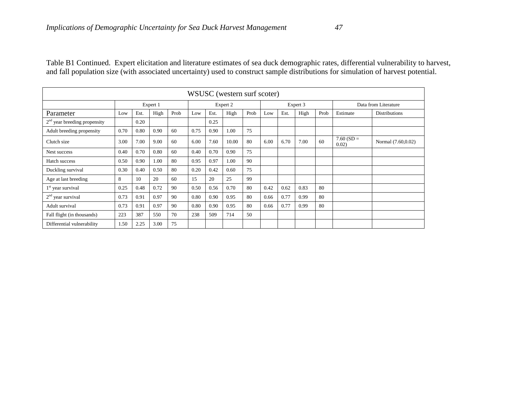| WSUSC (western surf scoter)    |          |      |      |          |      |      |       |      |      |          |      |                      |                      |                      |
|--------------------------------|----------|------|------|----------|------|------|-------|------|------|----------|------|----------------------|----------------------|----------------------|
|                                | Expert 1 |      |      | Expert 2 |      |      |       |      |      | Expert 3 |      | Data from Literature |                      |                      |
| Parameter                      | Low      | Est. | High | Prob     | Low  | Est. | High  | Prob | Low  | Est.     | High | Prob                 | Estimate             | <b>Distributions</b> |
| $2nd$ year breeding propensity |          | 0.20 |      |          |      | 0.25 |       |      |      |          |      |                      |                      |                      |
| Adult breeding propensity      | 0.70     | 0.80 | 0.90 | 60       | 0.75 | 0.90 | 1.00  | 75   |      |          |      |                      |                      |                      |
| Clutch size                    | 3.00     | 7.00 | 9.00 | 60       | 6.00 | 7.60 | 10.00 | 80   | 6.00 | 6.70     | 7.00 | 60                   | $7.60(SD =$<br>0.02) | Normal (7.60,0.02)   |
| Nest success                   | 0.40     | 0.70 | 0.80 | 60       | 0.40 | 0.70 | 0.90  | 75   |      |          |      |                      |                      |                      |
| Hatch success                  | 0.50     | 0.90 | 1.00 | 80       | 0.95 | 0.97 | 1.00  | 90   |      |          |      |                      |                      |                      |
| Duckling survival              | 0.30     | 0.40 | 0.50 | 80       | 0.20 | 0.42 | 0.60  | 75   |      |          |      |                      |                      |                      |
| Age at last breeding           | 8        | 10   | 20   | 60       | 15   | 20   | 25    | 99   |      |          |      |                      |                      |                      |
| $1st$ year survival            | 0.25     | 0.48 | 0.72 | 90       | 0.50 | 0.56 | 0.70  | 80   | 0.42 | 0.62     | 0.83 | 80                   |                      |                      |
| $2nd$ year survival            | 0.73     | 0.91 | 0.97 | 90       | 0.80 | 0.90 | 0.95  | 80   | 0.66 | 0.77     | 0.99 | 80                   |                      |                      |
| Adult survival                 | 0.73     | 0.91 | 0.97 | 90       | 0.80 | 0.90 | 0.95  | 80   | 0.66 | 0.77     | 0.99 | 80                   |                      |                      |
| Fall flight (in thousands)     | 223      | 387  | 550  | 70       | 238  | 509  | 714   | 50   |      |          |      |                      |                      |                      |
| Differential vulnerability     | 1.50     | 2.25 | 3.00 | 75       |      |      |       |      |      |          |      |                      |                      |                      |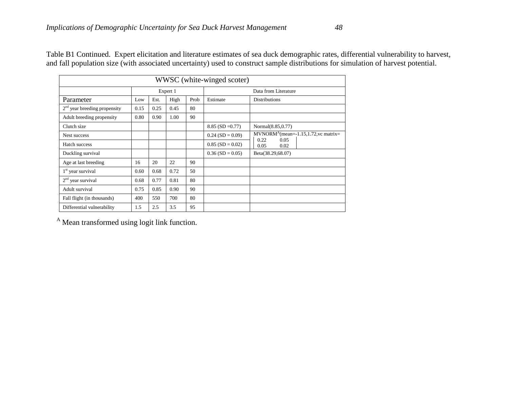| WWSC (white-winged scoter)     |      |      |              |    |                      |                                                        |  |  |  |  |  |
|--------------------------------|------|------|--------------|----|----------------------|--------------------------------------------------------|--|--|--|--|--|
|                                |      |      | Expert 1     |    | Data from Literature |                                                        |  |  |  |  |  |
| Parameter                      | Low  | Est. | High<br>Prob |    | Estimate             | <b>Distributions</b>                                   |  |  |  |  |  |
| $2nd$ year breeding propensity | 0.15 | 0.25 | 0.45         | 80 |                      |                                                        |  |  |  |  |  |
| Adult breeding propensity      | 0.80 | 0.90 | 1.00         | 90 |                      |                                                        |  |  |  |  |  |
| Clutch size                    |      |      |              |    | $8.85$ (SD =0.77)    | Normal(8.85,0.77)                                      |  |  |  |  |  |
| Nest success                   |      |      |              |    | $0.24$ (SD = 0.09)   | $MVNORM^A(mean=1.15, 1.72, vc matrix=$<br>0.22<br>0.05 |  |  |  |  |  |
| Hatch success                  |      |      |              |    | $0.85$ (SD = 0.02)   | 0.05<br>0.02                                           |  |  |  |  |  |
| Duckling survival              |      |      |              |    | $0.36$ (SD = 0.05)   | Beta(38.29,68.07)                                      |  |  |  |  |  |
| Age at last breeding           | 16   | 20   | 22           | 90 |                      |                                                        |  |  |  |  |  |
| $1st$ year survival            | 0.60 | 0.68 | 0.72         | 50 |                      |                                                        |  |  |  |  |  |
| $2nd$ year survival            | 0.68 | 0.77 | 0.81         | 80 |                      |                                                        |  |  |  |  |  |
| Adult survival                 | 0.75 | 0.85 | 0.90         | 90 |                      |                                                        |  |  |  |  |  |
| Fall flight (in thousands)     | 400  | 550  | 700          | 80 |                      |                                                        |  |  |  |  |  |
| Differential vulnerability     | 1.5  | 2.5  | 3.5          | 95 |                      |                                                        |  |  |  |  |  |

<sup>A</sup> Mean transformed using logit link function.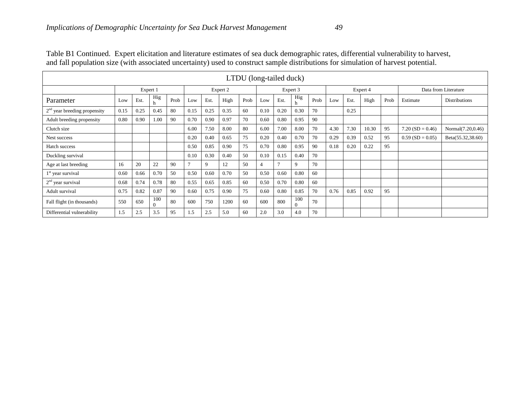| LTDU (long-tailed duck)        |          |      |          |      |                |      |      |      |          |      |          |      |          |      |       |      |                      |                      |
|--------------------------------|----------|------|----------|------|----------------|------|------|------|----------|------|----------|------|----------|------|-------|------|----------------------|----------------------|
|                                | Expert 1 |      |          |      | Expert 2       |      |      |      | Expert 3 |      |          |      | Expert 4 |      |       |      | Data from Literature |                      |
| Parameter                      | Low      | Est. | Hig      | Prob | Low            | Est. | High | Prob | Low      | Est. | Hig<br>h | Prob | Low      | Est. | High  | Prob | Estimate             | <b>Distributions</b> |
| $2nd$ year breeding propensity | 0.15     | 0.25 | 0.45     | 80   | 0.15           | 0.25 | 0.35 | 60   | 0.10     | 0.20 | 0.30     | 70   |          | 0.25 |       |      |                      |                      |
| Adult breeding propensity      | 0.80     | 0.90 | 1.00     | 90   | 0.70           | 0.90 | 0.97 | 70   | 0.60     | 0.80 | 0.95     | 90   |          |      |       |      |                      |                      |
| Clutch size                    |          |      |          |      | 6.00           | 7.50 | 8.00 | 80   | 6.00     | 7.00 | 8.00     | 70   | 4.30     | 7.30 | 10.30 | 95   | $7.20(SD = 0.46)$    | Normal(7.20,0.46)    |
| Nest success                   |          |      |          |      | 0.20           | 0.40 | 0.65 | 75   | 0.20     | 0.40 | 0.70     | 70   | 0.29     | 0.39 | 0.52  | 95   | $0.59$ (SD = 0.05)   | Beta(55.32,38.60)    |
| Hatch success                  |          |      |          |      | 0.50           | 0.85 | 0.90 | 75   | 0.70     | 0.80 | 0.95     | 90   | 0.18     | 0.20 | 0.22  | 95   |                      |                      |
| Duckling survival              |          |      |          |      | 0.10           | 0.30 | 0.40 | 50   | 0.10     | 0.15 | 0.40     | 70   |          |      |       |      |                      |                      |
| Age at last breeding           | 16       | 20   | 22       | 90   | $\overline{7}$ | 9    | 12   | 50   | 4        |      | 9        | 70   |          |      |       |      |                      |                      |
| $1st$ year survival            | 0.60     | 0.66 | 0.70     | 50   | 0.50           | 0.60 | 0.70 | 50   | 0.50     | 0.60 | 0.80     | 60   |          |      |       |      |                      |                      |
| $2nd$ year survival            | 0.68     | 0.74 | 0.78     | 80   | 0.55           | 0.65 | 0.85 | 60   | 0.50     | 0.70 | 0.80     | 60   |          |      |       |      |                      |                      |
| Adult survival                 | 0.75     | 0.82 | 0.87     | 90   | 0.60           | 0.75 | 0.90 | 75   | 0.60     | 0.80 | 0.85     | 70   | 0.76     | 0.85 | 0.92  | 95   |                      |                      |
| Fall flight (in thousands)     | 550      | 650  | 100<br>0 | 80   | 600            | 750  | 1200 | 60   | 600      | 800  | 100      | 70   |          |      |       |      |                      |                      |
| Differential vulnerability     | 1.5      | 2.5  | 3.5      | 95   | 1.5            | 2.5  | 5.0  | 60   | 2.0      | 3.0  | 4.0      | 70   |          |      |       |      |                      |                      |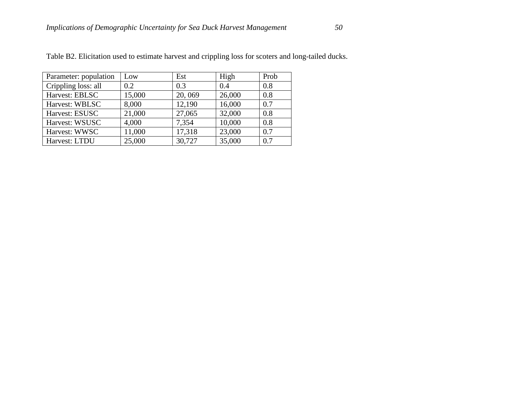| Parameter: population | Low    | Est    | High   | Prob |
|-----------------------|--------|--------|--------|------|
| Crippling loss: all   | 0.2    | 0.3    | 0.4    | 0.8  |
| Harvest: EBLSC        | 15,000 | 20,069 | 26,000 | 0.8  |
| Harvest: WBLSC        | 8,000  | 12,190 | 16,000 | 0.7  |
| Harvest: ESUSC        | 21,000 | 27,065 | 32,000 | 0.8  |
| Harvest: WSUSC        | 4,000  | 7,354  | 10,000 | 0.8  |
| Harvest: WWSC         | 11,000 | 17,318 | 23,000 | 0.7  |

Harvest: WWSC 11,000 17,318 23,000 0.7<br>
Harvest: LTDU 25,000 30,727 35,000 0.7

Harvest: LTDU 25,000 30,727 35,000

Table B2. Elicitation used to estimate harvest and crippling loss for scoters and long-tailed ducks.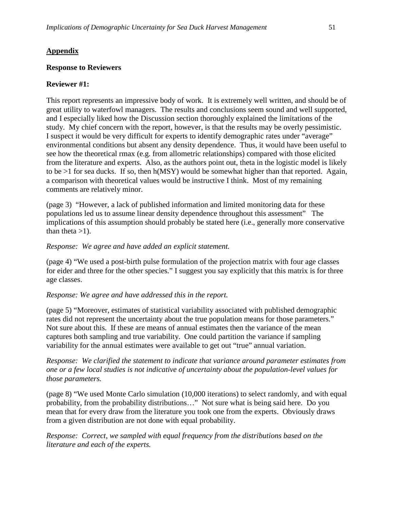## **Appendix**

## **Response to Reviewers**

## **Reviewer #1:**

This report represents an impressive body of work. It is extremely well written, and should be of great utility to waterfowl managers. The results and conclusions seem sound and well supported, and I especially liked how the Discussion section thoroughly explained the limitations of the study. My chief concern with the report, however, is that the results may be overly pessimistic. I suspect it would be very difficult for experts to identify demographic rates under "average" environmental conditions but absent any density dependence. Thus, it would have been useful to see how the theoretical rmax (e.g. from allometric relationships) compared with those elicited from the literature and experts. Also, as the authors point out, theta in the logistic model is likely to be >1 for sea ducks. If so, then h(MSY) would be somewhat higher than that reported. Again, a comparison with theoretical values would be instructive I think. Most of my remaining comments are relatively minor.

(page 3) "However, a lack of published information and limited monitoring data for these populations led us to assume linear density dependence throughout this assessment" The implications of this assumption should probably be stated here (i.e., generally more conservative than theta  $>1$ ).

### *Response: We agree and have added an explicit statement.*

(page 4) "We used a post-birth pulse formulation of the projection matrix with four age classes for eider and three for the other species." I suggest you say explicitly that this matrix is for three age classes.

### *Response: We agree and have addressed this in the report.*

(page 5) "Moreover, estimates of statistical variability associated with published demographic rates did not represent the uncertainty about the true population means for those parameters." Not sure about this. If these are means of annual estimates then the variance of the mean captures both sampling and true variability. One could partition the variance if sampling variability for the annual estimates were available to get out "true" annual variation.

*Response: We clarified the statement to indicate that variance around parameter estimates from one or a few local studies is not indicative of uncertainty about the population-level values for those parameters.*

(page 8) "We used Monte Carlo simulation (10,000 iterations) to select randomly, and with equal probability, from the probability distributions…" Not sure what is being said here. Do you mean that for every draw from the literature you took one from the experts. Obviously draws from a given distribution are not done with equal probability.

*Response: Correct, we sampled with equal frequency from the distributions based on the literature and each of the experts.*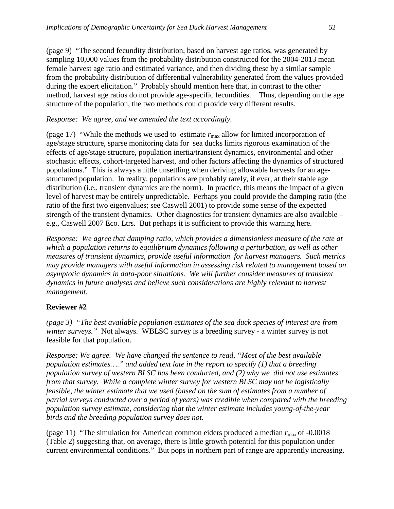(page 9) "The second fecundity distribution, based on harvest age ratios, was generated by sampling 10,000 values from the probability distribution constructed for the 2004-2013 mean female harvest age ratio and estimated variance, and then dividing these by a similar sample from the probability distribution of differential vulnerability generated from the values provided during the expert elicitation." Probably should mention here that, in contrast to the other method, harvest age ratios do not provide age-specific fecundities. Thus, depending on the age structure of the population, the two methods could provide very different results.

## *Response: We agree, and we amended the text accordingly.*

(page 17) "While the methods we used to estimate  $r_{\text{max}}$  allow for limited incorporation of age/stage structure, sparse monitoring data for sea ducks limits rigorous examination of the effects of age/stage structure, population inertia/transient dynamics, environmental and other stochastic effects, cohort-targeted harvest, and other factors affecting the dynamics of structured populations."This is always a little unsettling when deriving allowable harvests for an agestructured population. In reality, populations are probably rarely, if ever, at their stable age distribution (i.e., transient dynamics are the norm). In practice, this means the impact of a given level of harvest may be entirely unpredictable. Perhaps you could provide the damping ratio (the ratio of the first two eigenvalues; see Caswell 2001) to provide some sense of the expected strength of the transient dynamics. Other diagnostics for transient dynamics are also available – e.g., Caswell 2007 Eco. Ltrs. But perhaps it is sufficient to provide this warning here.

*Response: We agree that damping ratio, which provides a dimensionless measure of the rate at which a population returns to equilibrium dynamics following a perturbation, as well as other measures of transient dynamics, provide useful information for harvest managers. Such metrics may provide managers with useful information in assessing risk related to management based on asymptotic dynamics in data-poor situations. We will further consider measures of transient dynamics in future analyses and believe such considerations are highly relevant to harvest management.*

## **Reviewer #2**

*(page 3) "The best available population estimates of the sea duck species of interest are from winter surveys."* Not always. WBLSC survey is a breeding survey - a winter survey is not feasible for that population.

*Response: We agree. We have changed the sentence to read, "Most of the best available population estimates…." and added text late in the report to specify (1) that a breeding population survey of western BLSC has been conducted, and (2) why we did not use estimates from that survey. While a complete winter survey for western BLSC may not be logistically feasible, the winter estimate that we used (based on the sum of estimates from a number of partial surveys conducted over a period of years) was credible when compared with the breeding population survey estimate, considering that the winter estimate includes young-of-the-year birds and the breeding population survey does not.* 

(page 11) "The simulation for American common eiders produced a median  $r_{\text{max}}$  of -0.0018 (Table 2) suggesting that, on average, there is little growth potential for this population under current environmental conditions." But pops in northern part of range are apparently increasing.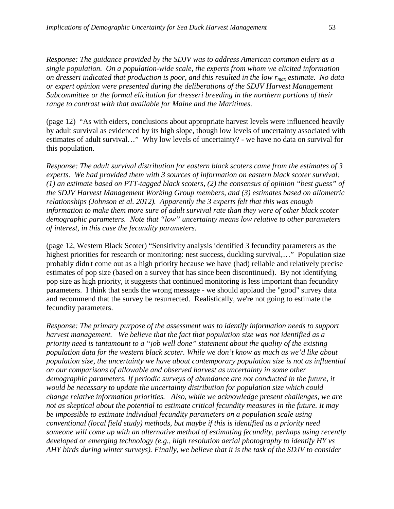*Response: The guidance provided by the SDJV was to address American common eiders as a single population. On a population-wide scale, the experts from whom we elicited information on dresseri indicated that production is poor, and this resulted in the low rmax estimate. No data or expert opinion were presented during the deliberations of the SDJV Harvest Management Subcommittee or the formal elicitation for dresseri breeding in the northern portions of their range to contrast with that available for Maine and the Maritimes.* 

(page 12) "As with eiders, conclusions about appropriate harvest levels were influenced heavily by adult survival as evidenced by its high slope, though low levels of uncertainty associated with estimates of adult survival…"Why low levels of uncertainty? - we have no data on survival for this population.

*Response: The adult survival distribution for eastern black scoters came from the estimates of 3 experts. We had provided them with 3 sources of information on eastern black scoter survival: (1) an estimate based on PTT-tagged black scoters, (2) the consensus of opinion "best guess" of the SDJV Harvest Management Working Group members, and (3) estimates based on allometric relationships (Johnson et al. 2012). Apparently the 3 experts felt that this was enough information to make them more sure of adult survival rate than they were of other black scoter demographic parameters. Note that "low" uncertainty means low relative to other parameters of interest, in this case the fecundity parameters.*

(page 12, Western Black Scoter) "Sensitivity analysis identified 3 fecundity parameters as the highest priorities for research or monitoring: nest success, duckling survival,..." Population size probably didn't come out as a high priority because we have (had) reliable and relatively precise estimates of pop size (based on a survey that has since been discontinued). By not identifying pop size as high priority, it suggests that continued monitoring is less important than fecundity parameters. I think that sends the wrong message - we should applaud the "good" survey data and recommend that the survey be resurrected. Realistically, we're not going to estimate the fecundity parameters.

*Response: The primary purpose of the assessment was to identify information needs to support harvest management. We believe that the fact that population size was not identified as a priority need is tantamount to a "job well done" statement about the quality of the existing population data for the western black scoter. While we don't know as much as we'd like about population size, the uncertainty we have about contemporary population size is not as influential on our comparisons of allowable and observed harvest as uncertainty in some other demographic parameters. If periodic surveys of abundance are not conducted in the future, it would be necessary to update the uncertainty distribution for population size which could change relative information priorities. Also, while we acknowledge present challenges, we are not as skeptical about the potential to estimate critical fecundity measures in the future. It may be impossible to estimate individual fecundity parameters on a population scale using conventional (local field study) methods, but maybe if this is identified as a priority need someone will come up with an alternative method of estimating fecundity, perhaps using recently developed or emerging technology (e.g., high resolution aerial photography to identify HY vs AHY birds during winter surveys). Finally, we believe that it is the task of the SDJV to consider*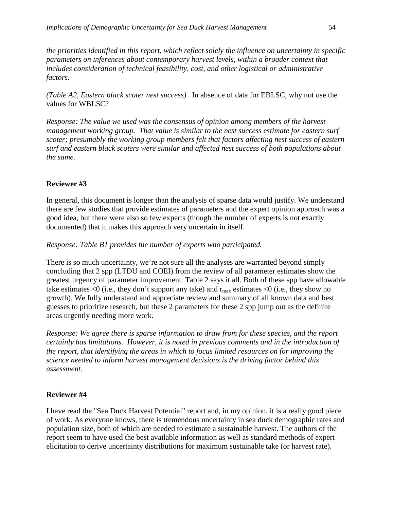*the priorities identified in this report, which reflect solely the influence on uncertainty in specific parameters on inferences about contemporary harvest levels, within a broader context that includes consideration of technical feasibility, cost, and other logistical or administrative factors.*

*(Table A2, Eastern black scoter nest success)* In absence of data for EBLSC, why not use the values for WBLSC?

*Response: The value we used was the consensus of opinion among members of the harvest management working group. That value is similar to the nest success estimate for eastern surf scoter; presumably the working group members felt that factors affecting nest success of eastern surf and eastern black scoters were similar and affected nest success of both populations about the same.*

### **Reviewer #3**

In general, this document is longer than the analysis of sparse data would justify. We understand there are few studies that provide estimates of parameters and the expert opinion approach was a good idea, but there were also so few experts (though the number of experts is not exactly documented) that it makes this approach very uncertain in itself.

### *Response: Table B1 provides the number of experts who participated.*

There is so much uncertainty, we're not sure all the analyses are warranted beyond simply concluding that 2 spp (LTDU and COEI) from the review of all parameter estimates show the greatest urgency of parameter improvement. Table 2 says it all. Both of these spp have allowable take estimates  $\leq 0$  (i.e., they don't support any take) and  $r_{\text{max}}$  estimates  $\leq 0$  (i.e., they show no growth). We fully understand and appreciate review and summary of all known data and best guesses to prioritize research, but these 2 parameters for these 2 spp jump out as the definite areas urgently needing more work.

*Response: We agree there is sparse information to draw from for these species, and the report certainly has limitations. However, it is noted in previous comments and in the introduction of the report, that identifying the areas in which to focus limited resources on for improving the science needed to inform harvest management decisions is the driving factor behind this assessment.* 

### **Reviewer #4**

I have read the "Sea Duck Harvest Potential" report and, in my opinion, it is a really good piece of work. As everyone knows, there is tremendous uncertainty in sea duck demographic rates and population size, both of which are needed to estimate a sustainable harvest. The authors of the report seem to have used the best available information as well as standard methods of expert elicitation to derive uncertainty distributions for maximum sustainable take (or harvest rate).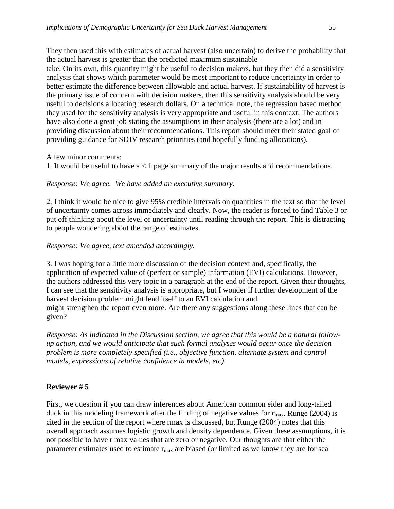take. On its own, this quantity might be useful to decision makers, but they then did a sensitivity analysis that shows which parameter would be most important to reduce uncertainty in order to better estimate the difference between allowable and actual harvest. If sustainability of harvest is the primary issue of concern with decision makers, then this sensitivity analysis should be very useful to decisions allocating research dollars. On a technical note, the regression based method they used for the sensitivity analysis is very appropriate and useful in this context. The authors have also done a great job stating the assumptions in their analysis (there are a lot) and in providing discussion about their recommendations. This report should meet their stated goal of providing guidance for SDJV research priorities (and hopefully funding allocations).

A few minor comments:

1. It would be useful to have a < 1 page summary of the major results and recommendations.

*Response: We agree. We have added an executive summary.*

2. I think it would be nice to give 95% credible intervals on quantities in the text so that the level of uncertainty comes across immediately and clearly. Now, the reader is forced to find Table 3 or put off thinking about the level of uncertainty until reading through the report. This is distracting to people wondering about the range of estimates.

# *Response: We agree, text amended accordingly.*

3. I was hoping for a little more discussion of the decision context and, specifically, the application of expected value of (perfect or sample) information (EVI) calculations. However, the authors addressed this very topic in a paragraph at the end of the report. Given their thoughts, I can see that the sensitivity analysis is appropriate, but I wonder if further development of the harvest decision problem might lend itself to an EVI calculation and might strengthen the report even more. Are there any suggestions along these lines that can be given?

*Response: As indicated in the Discussion section, we agree that this would be a natural followup action, and we would anticipate that such formal analyses would occur once the decision problem is more completely specified (i.e., objective function, alternate system and control models, expressions of relative confidence in models, etc).*

# **Reviewer # 5**

First, we question if you can draw inferences about American common eider and long-tailed duck in this modeling framework after the finding of negative values for  $r_{\text{max}}$ . Runge (2004) is cited in the section of the report where rmax is discussed, but Runge (2004) notes that this overall approach assumes logistic growth and density dependence. Given these assumptions, it is not possible to have r max values that are zero or negative. Our thoughts are that either the parameter estimates used to estimate  $r_{\text{max}}$  are biased (or limited as we know they are for sea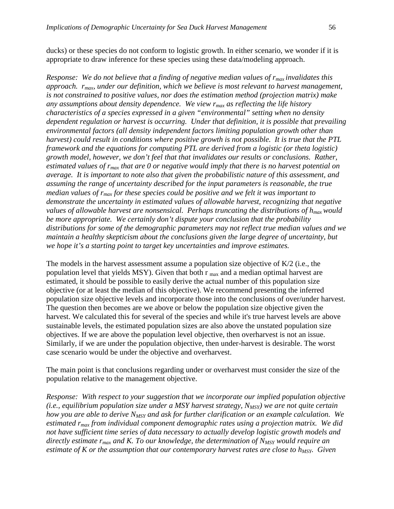ducks) or these species do not conform to logistic growth. In either scenario, we wonder if it is appropriate to draw inference for these species using these data/modeling approach.

*Response: We do not believe that a finding of negative median values of*  $r_{max}$  *invalidates this approach. rmax, under our definition, which we believe is most relevant to harvest management, is not constrained to positive values, nor does the estimation method (projection matrix) make any assumptions about density dependence. We view rmax as reflecting the life history characteristics of a species expressed in a given "environmental" setting when no density dependent regulation or harvest is occurring. Under that definition, it is possible that prevailing environmental factors (all density independent factors limiting population growth other than harvest) could result in conditions where positive growth is not possible. It is true that the PTL framework and the equations for computing PTL are derived from a logistic (or theta logistic) growth model, however, we don't feel that that invalidates our results or conclusions. Rather, estimated values of rmax that are 0 or negative would imply that there is no harvest potential on average. It is important to note also that given the probabilistic nature of this assessment, and assuming the range of uncertainty described for the input parameters is reasonable, the true median values of rmax for these species could be positive and we felt it was important to demonstrate the uncertainty in estimated values of allowable harvest, recognizing that negative values of allowable harvest are nonsensical. Perhaps truncating the distributions of hmax would be more appropriate. We certainly don't dispute your conclusion that the probability distributions for some of the demographic parameters may not reflect true median values and we maintain a healthy skepticism about the conclusions given the large degree of uncertainty, but we hope it's a starting point to target key uncertainties and improve estimates.* 

The models in the harvest assessment assume a population size objective of K/2 (i.e., the population level that yields MSY). Given that both  $r_{\text{max}}$  and a median optimal harvest are estimated, it should be possible to easily derive the actual number of this population size objective (or at least the median of this objective). We recommend presenting the inferred population size objective levels and incorporate those into the conclusions of over/under harvest. The question then becomes are we above or below the population size objective given the harvest. We calculated this for several of the species and while it's true harvest levels are above sustainable levels, the estimated population sizes are also above the unstated population size objectives. If we are above the population level objective, then overharvest is not an issue. Similarly, if we are under the population objective, then under-harvest is desirable. The worst case scenario would be under the objective and overharvest.

The main point is that conclusions regarding under or overharvest must consider the size of the population relative to the management objective.

*Response: With respect to your suggestion that we incorporate our implied population objective*  (*i.e., equilibrium population size under a MSY harvest strategy, N<sub>MSY</sub>) we are not quite certain how you are able to derive NMSY and ask for further clarification or an example calculation. We estimated rmax from individual component demographic rates using a projection matrix. We did not have sufficient time series of data necessary to actually develop logistic growth models and directly estimate r<sub>max</sub> and K. To our knowledge, the determination of N<sub>MSY</sub> would require an estimate of K or the assumption that our contemporary harvest rates are close to*  $h_{MSY}$ *. Given*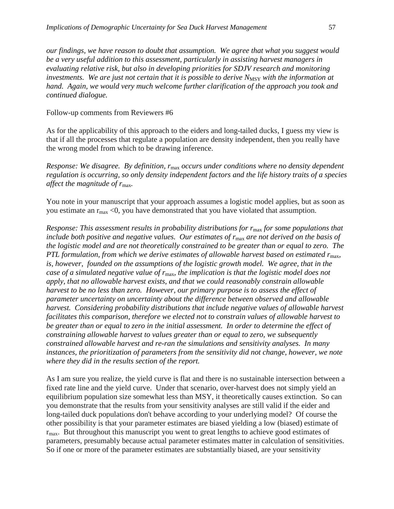*our findings, we have reason to doubt that assumption. We agree that what you suggest would be a very useful addition to this assessment, particularly in assisting harvest managers in evaluating relative risk, but also in developing priorities for SDJV research and monitoring investments. We are just not certain that it is possible to derive N<sub>MSY</sub> with the information at hand. Again, we would very much welcome further clarification of the approach you took and continued dialogue.*

#### Follow-up comments from Reviewers #6

As for the applicability of this approach to the eiders and long-tailed ducks, I guess my view is that if all the processes that regulate a population are density independent, then you really have the wrong model from which to be drawing inference.

*Response: We disagree. By definition, r*max *occurs under conditions where no density dependent regulation is occurring, so only density independent factors and the life history traits of a species affect the magnitude of r*max*.* 

You note in your manuscript that your approach assumes a logistic model applies, but as soon as you estimate an  $r_{\text{max}}$  <0, you have demonstrated that you have violated that assumption.

*Response: This assessment results in probability distributions for r*max *for some populations that include both positive and negative values. Our estimates of r*max *are not derived on the basis of the logistic model and are not theoretically constrained to be greater than or equal to zero. The PTL formulation, from which we derive estimates of allowable harvest based on estimated r*<sub>max</sub>, *is, however, founded on the assumptions of the logistic growth model. We agree, that in the case of a simulated negative value of r*max*, the implication is that the logistic model does not apply, that no allowable harvest exists, and that we could reasonably constrain allowable harvest to be no less than zero. However, our primary purpose is to assess the effect of parameter uncertainty on uncertainty about the difference between observed and allowable harvest. Considering probability distributions that include negative values of allowable harvest facilitates this comparison, therefore we elected not to constrain values of allowable harvest to be greater than or equal to zero in the initial assessment. In order to determine the effect of constraining allowable harvest to values greater than or equal to zero, we subsequently constrained allowable harvest and re-ran the simulations and sensitivity analyses. In many instances, the prioritization of parameters from the sensitivity did not change, however, we note where they did in the results section of the report.*

As I am sure you realize, the yield curve is flat and there is no sustainable intersection between a fixed rate line and the yield curve. Under that scenario, over-harvest does not simply yield an equilibrium population size somewhat less than MSY, it theoretically causes extinction. So can you demonstrate that the results from your sensitivity analyses are still valid if the eider and long-tailed duck populations don't behave according to your underlying model? Of course the other possibility is that your parameter estimates are biased yielding a low (biased) estimate of  $r_{\text{max}}$ . But throughout this manuscript you went to great lengths to achieve good estimates of parameters, presumably because actual parameter estimates matter in calculation of sensitivities. So if one or more of the parameter estimates are substantially biased, are your sensitivity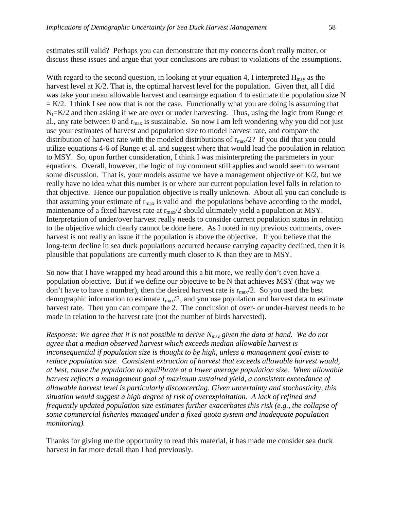estimates still valid? Perhaps you can demonstrate that my concerns don't really matter, or discuss these issues and argue that your conclusions are robust to violations of the assumptions.

With regard to the second question, in looking at your equation 4, I interpreted  $H_{\text{msy}}$  as the harvest level at K/2. That is, the optimal harvest level for the population. Given that, all I did was take your mean allowable harvest and rearrange equation 4 to estimate the population size N  $= K/2$ . I think I see now that is not the case. Functionally what you are doing is assuming that  $N_t=K/2$  and then asking if we are over or under harvesting. Thus, using the logic from Runge et al., any rate between 0 and  $r_{\text{max}}$  is sustainable. So now I am left wondering why you did not just use your estimates of harvest and population size to model harvest rate, and compare the distribution of harvest rate with the modeled distributions of  $r_{\text{max}}/2$ ? If you did that you could utilize equations 4-6 of Runge et al. and suggest where that would lead the population in relation to MSY. So, upon further consideration, I think I was misinterpreting the parameters in your equations. Overall, however, the logic of my comment still applies and would seem to warrant some discussion. That is, your models assume we have a management objective of  $K/2$ , but we really have no idea what this number is or where our current population level falls in relation to that objective. Hence our population objective is really unknown. About all you can conclude is that assuming your estimate of  $r_{\text{max}}$  is valid and the populations behave according to the model, maintenance of a fixed harvest rate at  $r_{\text{max}}/2$  should ultimately yield a population at MSY. Interpretation of under/over harvest really needs to consider current population status in relation to the objective which clearly cannot be done here. As I noted in my previous comments, overharvest is not really an issue if the population is above the objective. If you believe that the long-term decline in sea duck populations occurred because carrying capacity declined, then it is plausible that populations are currently much closer to K than they are to MSY.

So now that I have wrapped my head around this a bit more, we really don't even have a population objective. But if we define our objective to be N that achieves MSY (that way we don't have to have a number), then the desired harvest rate is  $r_{\text{max}}/2$ . So you used the best demographic information to estimate  $r_{\text{max}}/2$ , and you use population and harvest data to estimate harvest rate. Then you can compare the 2. The conclusion of over- or under-harvest needs to be made in relation to the harvest rate (not the number of birds harvested).

*Response: We agree that it is not possible to derive Nmsy given the data at hand. We do not agree that a median observed harvest which exceeds median allowable harvest is inconsequential if population size is thought to be high, unless a management goal exists to reduce population size. Consistent extraction of harvest that exceeds allowable harvest would, at best, cause the population to equilibrate at a lower average population size. When allowable harvest reflects a management goal of maximum sustained yield, a consistent exceedance of allowable harvest level is particularly disconcerting. Given uncertainty and stochasticity, this situation would suggest a high degree of risk of overexploitation. A lack of refined and frequently updated population size estimates further exacerbates this risk (e.g., the collapse of some commercial fisheries managed under a fixed quota system and inadequate population monitoring).*

Thanks for giving me the opportunity to read this material, it has made me consider sea duck harvest in far more detail than I had previously.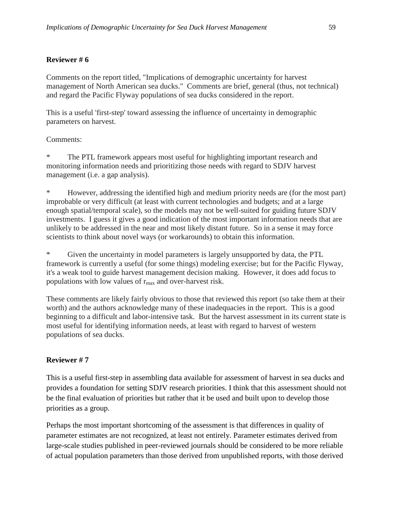## **Reviewer # 6**

Comments on the report titled, "Implications of demographic uncertainty for harvest management of North American sea ducks." Comments are brief, general (thus, not technical) and regard the Pacific Flyway populations of sea ducks considered in the report.

This is a useful 'first-step' toward assessing the influence of uncertainty in demographic parameters on harvest.

## Comments:

The PTL framework appears most useful for highlighting important research and monitoring information needs and prioritizing those needs with regard to SDJV harvest management (i.e. a gap analysis).

\* However, addressing the identified high and medium priority needs are (for the most part) improbable or very difficult (at least with current technologies and budgets; and at a large enough spatial/temporal scale), so the models may not be well-suited for guiding future SDJV investments. I guess it gives a good indication of the most important information needs that are unlikely to be addressed in the near and most likely distant future. So in a sense it may force scientists to think about novel ways (or workarounds) to obtain this information.

Given the uncertainty in model parameters is largely unsupported by data, the PTL framework is currently a useful (for some things) modeling exercise; but for the Pacific Flyway, it's a weak tool to guide harvest management decision making. However, it does add focus to populations with low values of  $r_{\text{max}}$  and over-harvest risk.

These comments are likely fairly obvious to those that reviewed this report (so take them at their worth) and the authors acknowledge many of these inadequacies in the report. This is a good beginning to a difficult and labor-intensive task. But the harvest assessment in its current state is most useful for identifying information needs, at least with regard to harvest of western populations of sea ducks.

## **Reviewer # 7**

This is a useful first-step in assembling data available for assessment of harvest in sea ducks and provides a foundation for setting SDJV research priorities. I think that this assessment should not be the final evaluation of priorities but rather that it be used and built upon to develop those priorities as a group.

Perhaps the most important shortcoming of the assessment is that differences in quality of parameter estimates are not recognized, at least not entirely. Parameter estimates derived from large-scale studies published in peer-reviewed journals should be considered to be more reliable of actual population parameters than those derived from unpublished reports, with those derived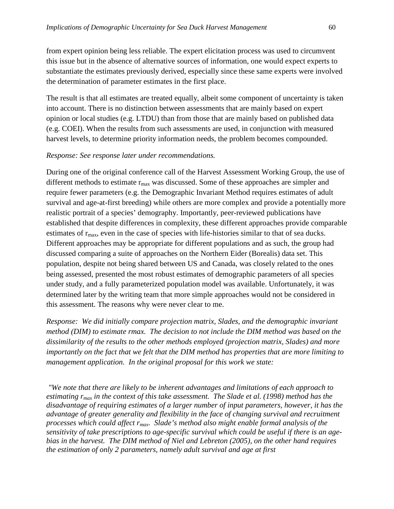from expert opinion being less reliable. The expert elicitation process was used to circumvent this issue but in the absence of alternative sources of information, one would expect experts to substantiate the estimates previously derived, especially since these same experts were involved the determination of parameter estimates in the first place.

The result is that all estimates are treated equally, albeit some component of uncertainty is taken into account. There is no distinction between assessments that are mainly based on expert opinion or local studies (e.g. LTDU) than from those that are mainly based on published data (e.g. COEI). When the results from such assessments are used, in conjunction with measured harvest levels, to determine priority information needs, the problem becomes compounded.

#### *Response: See response later under recommendations.*

During one of the original conference call of the Harvest Assessment Working Group, the use of different methods to estimate  $r_{\text{max}}$  was discussed. Some of these approaches are simpler and require fewer parameters (e.g. the Demographic Invariant Method requires estimates of adult survival and age-at-first breeding) while others are more complex and provide a potentially more realistic portrait of a species' demography. Importantly, peer-reviewed publications have established that despite differences in complexity, these different approaches provide comparable estimates of  $r_{\text{max}}$ , even in the case of species with life-histories similar to that of sea ducks. Different approaches may be appropriate for different populations and as such, the group had discussed comparing a suite of approaches on the Northern Eider (Borealis) data set. This population, despite not being shared between US and Canada, was closely related to the ones being assessed, presented the most robust estimates of demographic parameters of all species under study, and a fully parameterized population model was available. Unfortunately, it was determined later by the writing team that more simple approaches would not be considered in this assessment. The reasons why were never clear to me.

*Response: We did initially compare projection matrix, Slades, and the demographic invariant method (DIM) to estimate rmax. The decision to not include the DIM method was based on the dissimilarity of the results to the other methods employed (projection matrix, Slades) and more importantly on the fact that we felt that the DIM method has properties that are more limiting to management application. In the original proposal for this work we state:*

*"We note that there are likely to be inherent advantages and limitations of each approach to estimating rmax in the context of this take assessment. The Slade et al. (1998) method has the disadvantage of requiring estimates of a larger number of input parameters, however, it has the advantage of greater generality and flexibility in the face of changing survival and recruitment processes which could affect rmax. Slade's method also might enable formal analysis of the sensitivity of take prescriptions to age-specific survival which could be useful if there is an agebias in the harvest. The DIM method of Niel and Lebreton (2005), on the other hand requires the estimation of only 2 parameters, namely adult survival and age at first*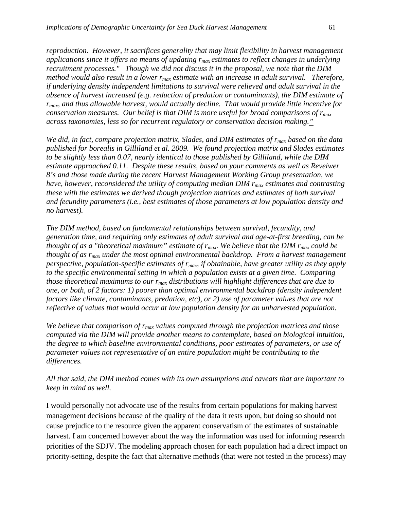*reproduction. However, it sacrifices generality that may limit flexibility in harvest management applications since it offers no means of updating rmax estimates to reflect changes in underlying recruitment processes." Though we did not discuss it in the proposal, we note that the DIM method would also result in a lower rmax estimate with an increase in adult survival. Therefore, if underlying density independent limitations to survival were relieved and adult survival in the absence of harvest increased (e.g. reduction of predation or contaminants), the DIM estimate of rmax, and thus allowable harvest, would actually decline. That would provide little incentive for conservation measures. Our belief is that DIM is more useful for broad comparisons of*  $r_{max}$ *across taxonomies, less so for recurrent regulatory or conservation decision making."*

*We did, in fact, compare projection matrix, Slades, and DIM estimates of rmax based on the data published for borealis in Gilliland et al. 2009. We found projection matrix and Slades estimates to be slightly less than 0.07, nearly identical to those published by Gilliland, while the DIM estimate approached 0.11. Despite these results, based on your comments as well as Reveiwer 8's and those made during the recent Harvest Management Working Group presentation, we have, however, reconsidered the utility of computing median DIM rmax estimates and contrasting these with the estimates we derived though projection matrices and estimates of both survival and fecundity parameters (i.e., best estimates of those parameters at low population density and no harvest).* 

*The DIM method, based on fundamental relationships between survival, fecundity, and generation time, and requiring only estimates of adult survival and age-at-first breeding, can be thought of as a "theoretical maximum" estimate of r<sub>max</sub>. We believe that the DIM r<sub>max</sub> could be thought of as rmax under the most optimal environmental backdrop. From a harvest management perspective, population-specific estimates of rmax, if obtainable, have greater utility as they apply to the specific environmental setting in which a population exists at a given time. Comparing those theoretical maximums to our rmax distributions will highlight differences that are due to one, or both, of 2 factors: 1) poorer than optimal environmental backdrop (density independent factors like climate, contaminants, predation, etc), or 2) use of parameter values that are not reflective of values that would occur at low population density for an unharvested population.* 

*We believe that comparison of rmax values computed through the projection matrices and those computed via the DIM will provide another means to contemplate, based on biological intuition, the degree to which baseline environmental conditions, poor estimates of parameters, or use of parameter values not representative of an entire population might be contributing to the differences.* 

## *All that said, the DIM method comes with its own assumptions and caveats that are important to keep in mind as well.*

I would personally not advocate use of the results from certain populations for making harvest management decisions because of the quality of the data it rests upon, but doing so should not cause prejudice to the resource given the apparent conservatism of the estimates of sustainable harvest. I am concerned however about the way the information was used for informing research priorities of the SDJV. The modeling approach chosen for each population had a direct impact on priority-setting, despite the fact that alternative methods (that were not tested in the process) may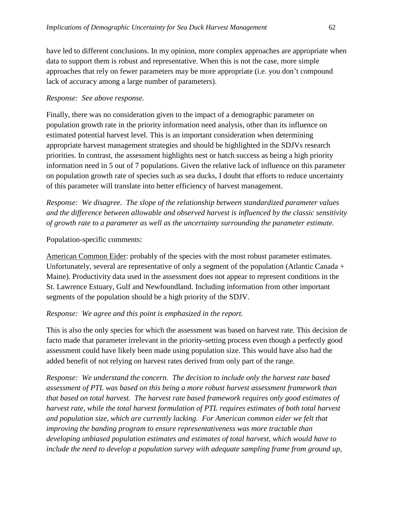have led to different conclusions. In my opinion, more complex approaches are appropriate when data to support them is robust and representative. When this is not the case, more simple approaches that rely on fewer parameters may be more appropriate (i.e. you don't compound lack of accuracy among a large number of parameters).

#### *Response: See above response.*

Finally, there was no consideration given to the impact of a demographic parameter on population growth rate in the priority information need analysis, other than its influence on estimated potential harvest level. This is an important consideration when determining appropriate harvest management strategies and should be highlighted in the SDJVs research priorities. In contrast, the assessment highlights nest or hatch success as being a high priority information need in 5 out of 7 populations. Given the relative lack of influence on this parameter on population growth rate of species such as sea ducks, I doubt that efforts to reduce uncertainty of this parameter will translate into better efficiency of harvest management.

*Response: We disagree. The slope of the relationship between standardized parameter values and the difference between allowable and observed harvest is influenced by the classic sensitivity of growth rate to a parameter as well as the uncertainty surrounding the parameter estimate.* 

#### Population-specific comments:

American Common Eider: probably of the species with the most robust parameter estimates. Unfortunately, several are representative of only a segment of the population (Atlantic Canada + Maine). Productivity data used in the assessment does not appear to represent conditions in the St. Lawrence Estuary, Gulf and Newfoundland. Including information from other important segments of the population should be a high priority of the SDJV.

#### *Response: We agree and this point is emphasized in the report.*

This is also the only species for which the assessment was based on harvest rate. This decision de facto made that parameter irrelevant in the priority-setting process even though a perfectly good assessment could have likely been made using population size. This would have also had the added benefit of not relying on harvest rates derived from only part of the range.

*Response: We understand the concern. The decision to include only the harvest rate based assessment of PTL was based on this being a more robust harvest assessment framework than that based on total harvest. The harvest rate based framework requires only good estimates of harvest rate, while the total harvest formulation of PTL requires estimates of both total harvest and population size, which are currently lacking. For American common eider we felt that improving the banding program to ensure representativeness was more tractable than developing unbiased population estimates and estimates of total harvest, which would have to include the need to develop a population survey with adequate sampling frame from ground up,*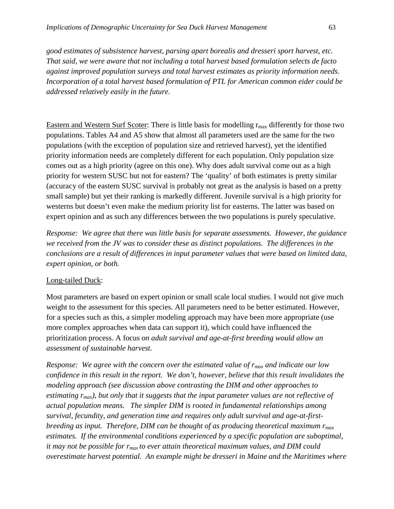*good estimates of subsistence harvest, parsing apart borealis and dresseri sport harvest, etc. That said, we were aware that not including a total harvest based formulation selects de facto against improved population surveys and total harvest estimates as priority information needs. Incorporation of a total harvest based formulation of PTL for American common eider could be addressed relatively easily in the future.* 

Eastern and Western Surf Scoter: There is little basis for modelling  $r_{\text{max}}$  differently for those two populations. Tables A4 and A5 show that almost all parameters used are the same for the two populations (with the exception of population size and retrieved harvest), yet the identified priority information needs are completely different for each population. Only population size comes out as a high priority (agree on this one). Why does adult survival come out as a high priority for western SUSC but not for eastern? The 'quality' of both estimates is pretty similar (accuracy of the eastern SUSC survival is probably not great as the analysis is based on a pretty small sample) but yet their ranking is markedly different. Juvenile survival is a high priority for westerns but doesn't even make the medium priority list for easterns. The latter was based on expert opinion and as such any differences between the two populations is purely speculative.

*Response: We agree that there was little basis for separate assessments. However, the guidance we received from the JV was to consider these as distinct populations. The differences in the conclusions are a result of differences in input parameter values that were based on limited data, expert opinion, or both.*

#### Long-tailed Duck:

Most parameters are based on expert opinion or small scale local studies. I would not give much weight to the assessment for this species. All parameters need to be better estimated. However, for a species such as this, a simpler modeling approach may have been more appropriate (use more complex approaches when data can support it), which could have influenced the prioritization process. A focus *on adult survival and age-at-first breeding would allow an assessment of sustainable harvest.*

*Response:* We agree with the concern over the estimated value of  $r_{max}$  and indicate our low *confidence in this result in the report. We don't, however, believe that this result invalidates the modeling approach (see discussion above contrasting the DIM and other approaches to*  estimating  $r_{max}$ ), but only that it suggests that the input parameter values are not reflective of *actual population means. The simpler DIM is rooted in fundamental relationships among survival, fecundity, and generation time and requires only adult survival and age-at-firstbreeding as input. Therefore, DIM can be thought of as producing theoretical maximum*  $r_{max}$ *estimates. If the environmental conditions experienced by a specific population are suboptimal, it may not be possible for r<sub>max</sub> to ever attain theoretical maximum values, and DIM could overestimate harvest potential. An example might be dresseri in Maine and the Maritimes where*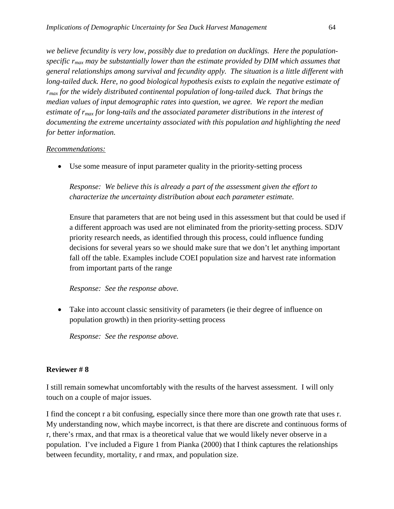*we believe fecundity is very low, possibly due to predation on ducklings. Here the populationspecific rmax may be substantially lower than the estimate provided by DIM which assumes that general relationships among survival and fecundity apply. The situation is a little different with*  long-tailed duck. Here, no good biological hypothesis exists to explain the negative estimate of *rmax for the widely distributed continental population of long-tailed duck. That brings the median values of input demographic rates into question, we agree. We report the median estimate of rmax for long-tails and the associated parameter distributions in the interest of documenting the extreme uncertainty associated with this population and highlighting the need for better information.*

#### *Recommendations:*

• Use some measure of input parameter quality in the priority-setting process

*Response: We believe this is already a part of the assessment given the effort to characterize the uncertainty distribution about each parameter estimate.* 

Ensure that parameters that are not being used in this assessment but that could be used if a different approach was used are not eliminated from the priority-setting process. SDJV priority research needs, as identified through this process, could influence funding decisions for several years so we should make sure that we don't let anything important fall off the table. Examples include COEI population size and harvest rate information from important parts of the range

#### *Response: See the response above.*

• Take into account classic sensitivity of parameters (ie their degree of influence on population growth) in then priority-setting process

*Response: See the response above.*

### **Reviewer # 8**

I still remain somewhat uncomfortably with the results of the harvest assessment. I will only touch on a couple of major issues.

I find the concept r a bit confusing, especially since there more than one growth rate that uses r. My understanding now, which maybe incorrect, is that there are discrete and continuous forms of r, there's rmax, and that rmax is a theoretical value that we would likely never observe in a population. I've included a Figure 1 from Pianka (2000) that I think captures the relationships between fecundity, mortality, r and rmax, and population size.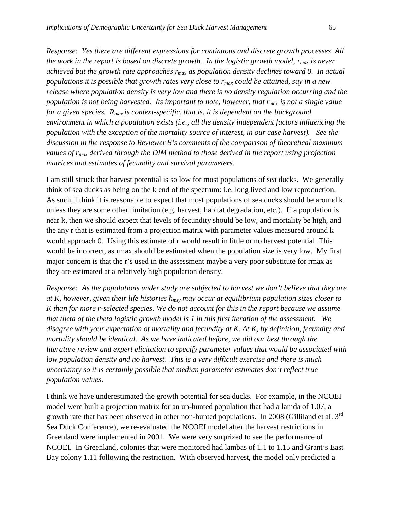*Response: Yes there are different expressions for continuous and discrete growth processes. All the work in the report is based on discrete growth. In the logistic growth model,*  $r_{max}$  *is never achieved but the growth rate approaches rmax as population density declines toward 0. In actual populations it is possible that growth rates very close to rmax could be attained, say in a new release where population density is very low and there is no density regulation occurring and the population is not being harvested. Its important to note, however, that rmax is not a single value for a given species. Rmax is context-specific, that is, it is dependent on the background environment in which a population exists (i.e., all the density independent factors influencing the population with the exception of the mortality source of interest, in our case harvest). See the discussion in the response to Reviewer 8's comments of the comparison of theoretical maximum values of rmax derived through the DIM method to those derived in the report using projection matrices and estimates of fecundity and survival parameters.*

I am still struck that harvest potential is so low for most populations of sea ducks. We generally think of sea ducks as being on the k end of the spectrum: i.e. long lived and low reproduction. As such, I think it is reasonable to expect that most populations of sea ducks should be around k unless they are some other limitation (e.g. harvest, habitat degradation, etc.). If a population is near k, then we should expect that levels of fecundity should be low, and mortality be high, and the any r that is estimated from a projection matrix with parameter values measured around k would approach 0. Using this estimate of r would result in little or no harvest potential. This would be incorrect, as rmax should be estimated when the population size is very low. My first major concern is that the r's used in the assessment maybe a very poor substitute for rmax as they are estimated at a relatively high population density.

*Response: As the populations under study are subjected to harvest we don't believe that they are at K, however, given their life histories hmsy may occur at equilibrium population sizes closer to K than for more r-selected species. We do not account for this in the report because we assume that theta of the theta logistic growth model is 1 in this first iteration of the assessment. We disagree with your expectation of mortality and fecundity at K. At K, by definition, fecundity and mortality should be identical. As we have indicated before, we did our best through the literature review and expert elicitation to specify parameter values that would be associated with low population density and no harvest. This is a very difficult exercise and there is much uncertainty so it is certainly possible that median parameter estimates don't reflect true population values.*

I think we have underestimated the growth potential for sea ducks. For example, in the NCOEI model were built a projection matrix for an un-hunted population that had a lamda of 1.07, a growth rate that has been observed in other non-hunted populations. In 2008 (Gilliland et al. 3<sup>rd</sup> Sea Duck Conference), we re-evaluated the NCOEI model after the harvest restrictions in Greenland were implemented in 2001. We were very surprized to see the performance of NCOEI. In Greenland, colonies that were monitored had lambas of 1.1 to 1.15 and Grant's East Bay colony 1.11 following the restriction. With observed harvest, the model only predicted a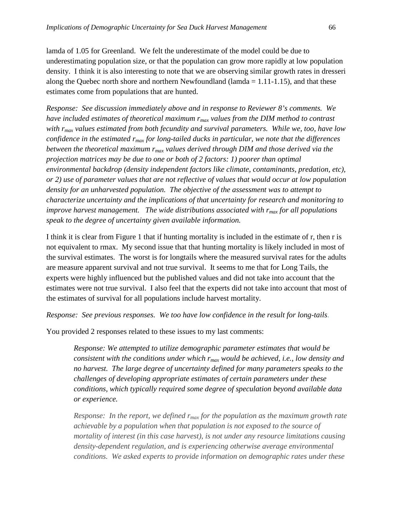lamda of 1.05 for Greenland. We felt the underestimate of the model could be due to underestimating population size, or that the population can grow more rapidly at low population density. I think it is also interesting to note that we are observing similar growth rates in dresseri along the Quebec north shore and northern Newfoundland (lamda  $= 1.11-1.15$ ), and that these estimates come from populations that are hunted.

*Response: See discussion immediately above and in response to Reviewer 8's comments. We have included estimates of theoretical maximum*  $r_{max}$  *values from the DIM method to contrast with rmax values estimated from both fecundity and survival parameters. While we, too, have low confidence in the estimated rmax for long-tailed ducks in particular, we note that the differences between the theoretical maximum rmax values derived through DIM and those derived via the projection matrices may be due to one or both of 2 factors: 1) poorer than optimal environmental backdrop (density independent factors like climate, contaminants, predation, etc), or 2) use of parameter values that are not reflective of values that would occur at low population density for an unharvested population. The objective of the assessment was to attempt to characterize uncertainty and the implications of that uncertainty for research and monitoring to improve harvest management. The wide distributions associated with rmax for all populations speak to the degree of uncertainty given available information.*

I think it is clear from Figure 1 that if hunting mortality is included in the estimate of r, then r is not equivalent to rmax. My second issue that that hunting mortality is likely included in most of the survival estimates. The worst is for longtails where the measured survival rates for the adults are measure apparent survival and not true survival. It seems to me that for Long Tails, the experts were highly influenced but the published values and did not take into account that the estimates were not true survival. I also feel that the experts did not take into account that most of the estimates of survival for all populations include harvest mortality.

*Response: See previous responses. We too have low confidence in the result for long-tails*.

You provided 2 responses related to these issues to my last comments:

*Response: We attempted to utilize demographic parameter estimates that would be consistent with the conditions under which rmax would be achieved, i.e., low density and no harvest. The large degree of uncertainty defined for many parameters speaks to the challenges of developing appropriate estimates of certain parameters under these conditions, which typically required some degree of speculation beyond available data or experience.*

*Response: In the report, we defined*  $r_{max}$  *for the population as the maximum growth rate achievable by a population when that population is not exposed to the source of mortality of interest (in this case harvest), is not under any resource limitations causing density-dependent regulation, and is experiencing otherwise average environmental conditions. We asked experts to provide information on demographic rates under these*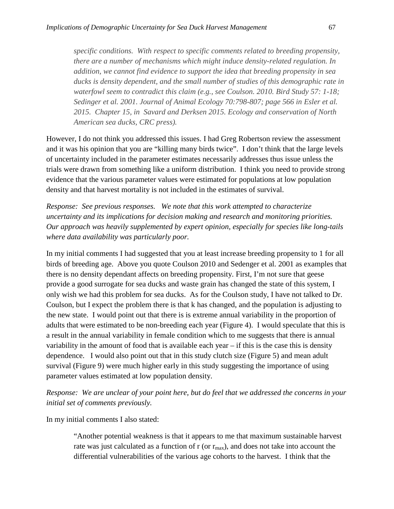*specific conditions. With respect to specific comments related to breeding propensity, there are a number of mechanisms which might induce density-related regulation. In addition, we cannot find evidence to support the idea that breeding propensity in sea ducks is density dependent, and the small number of studies of this demographic rate in waterfowl seem to contradict this claim (e.g., see Coulson. 2010. Bird Study 57: 1-18; Sedinger et al. 2001. Journal of Animal Ecology 70:798-807; page 566 in Esler et al. 2015. Chapter 15, in Savard and Derksen 2015. Ecology and conservation of North American sea ducks, CRC press).*

However, I do not think you addressed this issues. I had Greg Robertson review the assessment and it was his opinion that you are "killing many birds twice". I don't think that the large levels of uncertainty included in the parameter estimates necessarily addresses thus issue unless the trials were drawn from something like a uniform distribution. I think you need to provide strong evidence that the various parameter values were estimated for populations at low population density and that harvest mortality is not included in the estimates of survival.

*Response: See previous responses. We note that this work attempted to characterize uncertainty and its implications for decision making and research and monitoring priorities. Our approach was heavily supplemented by expert opinion, especially for species like long-tails where data availability was particularly poor.* 

In my initial comments I had suggested that you at least increase breeding propensity to 1 for all birds of breeding age. Above you quote Coulson 2010 and Sedenger et al. 2001 as examples that there is no density dependant affects on breeding propensity. First, I'm not sure that geese provide a good surrogate for sea ducks and waste grain has changed the state of this system, I only wish we had this problem for sea ducks. As for the Coulson study, I have not talked to Dr. Coulson, but I expect the problem there is that k has changed, and the population is adjusting to the new state. I would point out that there is is extreme annual variability in the proportion of adults that were estimated to be non-breeding each year (Figure 4). I would speculate that this is a result in the annual variability in female condition which to me suggests that there is annual variability in the amount of food that is available each year – if this is the case this is density dependence. I would also point out that in this study clutch size (Figure 5) and mean adult survival (Figure 9) were much higher early in this study suggesting the importance of using parameter values estimated at low population density.

*Response: We are unclear of your point here, but do feel that we addressed the concerns in your initial set of comments previously.*

In my initial comments I also stated:

"Another potential weakness is that it appears to me that maximum sustainable harvest rate was just calculated as a function of  $r$  (or  $r_{\text{max}}$ ), and does not take into account the differential vulnerabilities of the various age cohorts to the harvest. I think that the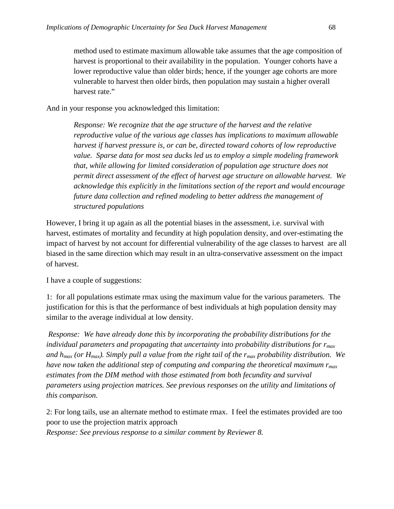method used to estimate maximum allowable take assumes that the age composition of harvest is proportional to their availability in the population. Younger cohorts have a lower reproductive value than older birds; hence, if the younger age cohorts are more vulnerable to harvest then older birds, then population may sustain a higher overall harvest rate."

And in your response you acknowledged this limitation:

*Response: We recognize that the age structure of the harvest and the relative reproductive value of the various age classes has implications to maximum allowable harvest if harvest pressure is, or can be, directed toward cohorts of low reproductive value. Sparse data for most sea ducks led us to employ a simple modeling framework that, while allowing for limited consideration of population age structure does not permit direct assessment of the effect of harvest age structure on allowable harvest. We acknowledge this explicitly in the limitations section of the report and would encourage future data collection and refined modeling to better address the management of structured populations*

However, I bring it up again as all the potential biases in the assessment, i.e. survival with harvest, estimates of mortality and fecundity at high population density, and over-estimating the impact of harvest by not account for differential vulnerability of the age classes to harvest are all biased in the same direction which may result in an ultra-conservative assessment on the impact of harvest.

I have a couple of suggestions:

1: for all populations estimate rmax using the maximum value for the various parameters. The justification for this is that the performance of best individuals at high population density may similar to the average individual at low density.

*Response: We have already done this by incorporating the probability distributions for the individual parameters and propagating that uncertainty into probability distributions for rmax and hmax (or Hmax). Simply pull a value from the right tail of the rmax probability distribution. We*  have now taken the additional step of computing and comparing the theoretical maximum  $r_{max}$ estimates from the DIM method with those estimated from both fecundity and survival *parameters using projection matrices. See previous responses on the utility and limitations of this comparison.*

2: For long tails, use an alternate method to estimate rmax. I feel the estimates provided are too poor to use the projection matrix approach

*Response: See previous response to a similar comment by Reviewer 8.*